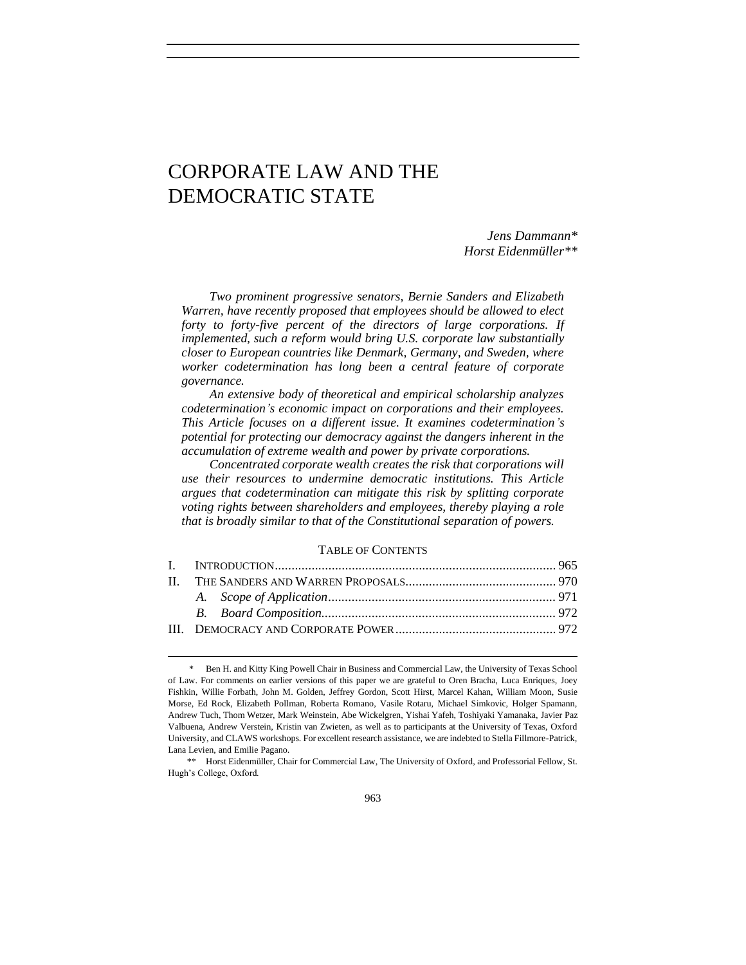# CORPORATE LAW AND THE DEMOCRATIC STATE

*Jens Dammann\* Horst Eidenmüller\*\**

*Two prominent progressive senators, Bernie Sanders and Elizabeth Warren, have recently proposed that employees should be allowed to elect forty to forty-five percent of the directors of large corporations. If implemented, such a reform would bring U.S. corporate law substantially closer to European countries like Denmark, Germany, and Sweden, where worker codetermination has long been a central feature of corporate governance.* 

*An extensive body of theoretical and empirical scholarship analyzes codetermination's economic impact on corporations and their employees. This Article focuses on a different issue. It examines codetermination's potential for protecting our democracy against the dangers inherent in the accumulation of extreme wealth and power by private corporations.*

*Concentrated corporate wealth creates the risk that corporations will use their resources to undermine democratic institutions. This Article argues that codetermination can mitigate this risk by splitting corporate voting rights between shareholders and employees, thereby playing a role that is broadly similar to that of the Constitutional separation of powers.*

### TABLE OF CONTENTS

Ben H. and Kitty King Powell Chair in Business and Commercial Law, the University of Texas School of Law. For comments on earlier versions of this paper we are grateful to Oren Bracha, Luca Enriques, Joey Fishkin, Willie Forbath, John M. Golden, Jeffrey Gordon, Scott Hirst, Marcel Kahan, William Moon, Susie Morse, Ed Rock, Elizabeth Pollman, Roberta Romano, Vasile Rotaru, Michael Simkovic, Holger Spamann, Andrew Tuch, Thom Wetzer, Mark Weinstein, Abe Wickelgren, Yishai Yafeh, Toshiyaki Yamanaka, Javier Paz Valbuena, Andrew Verstein, Kristin van Zwieten, as well as to participants at the University of Texas, Oxford University, and CLAWS workshops. For excellent research assistance, we are indebted to Stella Fillmore-Patrick, Lana Levien, and Emilie Pagano.

<sup>\*\*</sup> Horst Eidenmüller, Chair for Commercial Law, The University of Oxford, and Professorial Fellow, St. Hugh's College, Oxford.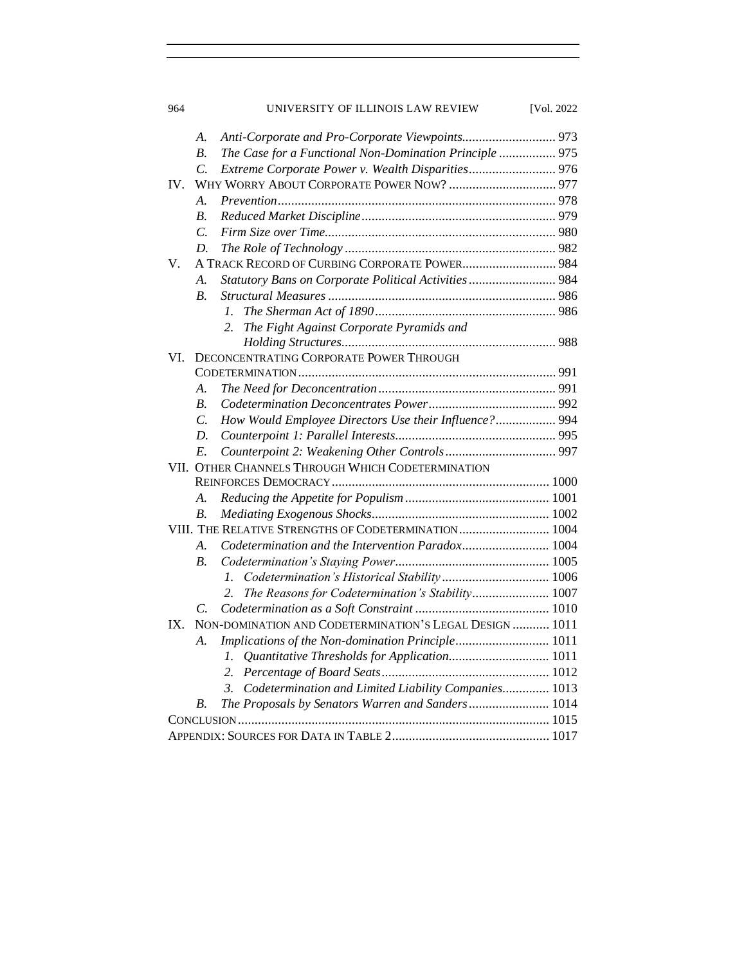| 964             | UNIVERSITY OF ILLINOIS LAW REVIEW                          | [Vol. 2022] |
|-----------------|------------------------------------------------------------|-------------|
| A.              | Anti-Corporate and Pro-Corporate Viewpoints 973            |             |
| B.              | The Case for a Functional Non-Domination Principle  975    |             |
| $\mathcal{C}$ . |                                                            |             |
| IV.             |                                                            |             |
| A.              |                                                            |             |
| $B$ .           |                                                            |             |
| $\mathcal{C}$ . |                                                            |             |
| D.              |                                                            |             |
| V.              | A TRACK RECORD OF CURBING CORPORATE POWER 984              |             |
| A.              | Statutory Bans on Corporate Political Activities 984       |             |
| B <sub>1</sub>  |                                                            |             |
|                 | L.                                                         |             |
|                 | The Fight Against Corporate Pyramids and<br>2.             |             |
|                 |                                                            |             |
| VI.             | DECONCENTRATING CORPORATE POWER THROUGH                    |             |
|                 |                                                            |             |
| А.              |                                                            |             |
| B <sub>1</sub>  |                                                            |             |
| $\mathcal{C}$ . | How Would Employee Directors Use their Influence? 994      |             |
| D.              |                                                            |             |
| E.              |                                                            |             |
|                 | VII. OTHER CHANNELS THROUGH WHICH CODETERMINATION          |             |
|                 |                                                            |             |
| A.              |                                                            |             |
| В.              |                                                            |             |
|                 | VIII. THE RELATIVE STRENGTHS OF CODETERMINATION 1004       |             |
| А.              | Codetermination and the Intervention Paradox 1004          |             |
| В.              |                                                            |             |
|                 | Codetermination's Historical Stability 1006<br>1.          |             |
|                 | The Reasons for Codetermination's Stability 1007<br>2.     |             |
| C.              |                                                            |             |
| IX.             | NON-DOMINATION AND CODETERMINATION'S LEGAL DESIGN  1011    |             |
| А.              | Implications of the Non-domination Principle 1011          |             |
|                 | 1.                                                         |             |
|                 | 2.                                                         |             |
|                 | Codetermination and Limited Liability Companies 1013<br>3. |             |
| В.              | The Proposals by Senators Warren and Sanders 1014          |             |
|                 |                                                            |             |
|                 |                                                            |             |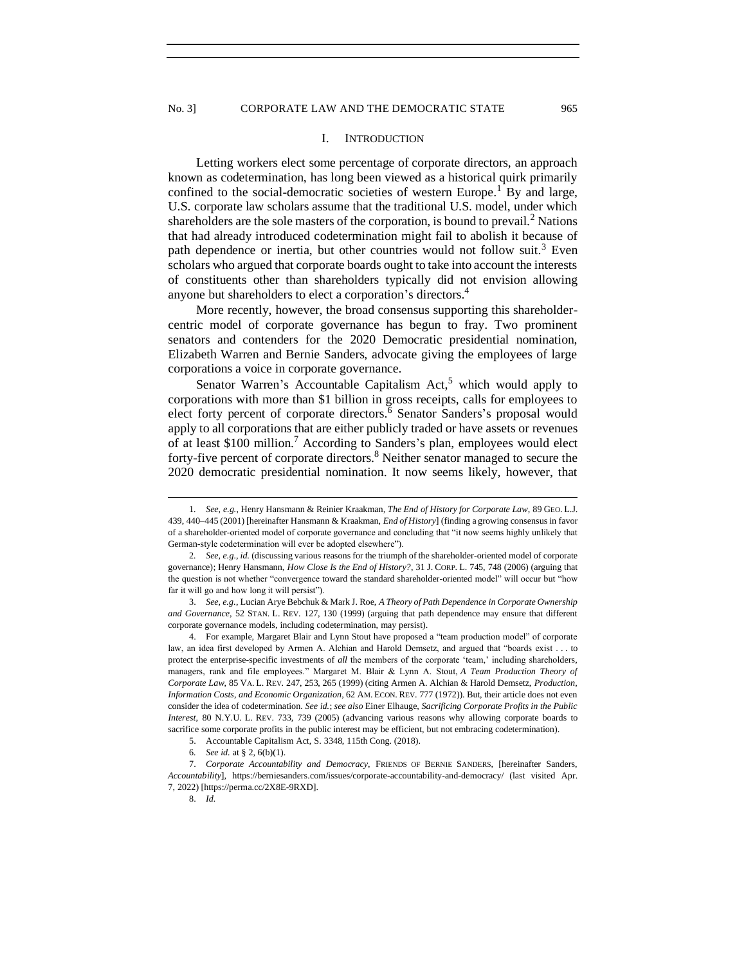#### I. INTRODUCTION

Letting workers elect some percentage of corporate directors, an approach known as codetermination, has long been viewed as a historical quirk primarily confined to the social-democratic societies of western Europe.<sup>1</sup> By and large, U.S. corporate law scholars assume that the traditional U.S. model, under which shareholders are the sole masters of the corporation, is bound to prevail.<sup>2</sup> Nations that had already introduced codetermination might fail to abolish it because of path dependence or inertia, but other countries would not follow suit.<sup>3</sup> Even scholars who argued that corporate boards ought to take into account the interests of constituents other than shareholders typically did not envision allowing anyone but shareholders to elect a corporation's directors.<sup>4</sup>

More recently, however, the broad consensus supporting this shareholdercentric model of corporate governance has begun to fray. Two prominent senators and contenders for the 2020 Democratic presidential nomination, Elizabeth Warren and Bernie Sanders, advocate giving the employees of large corporations a voice in corporate governance.

Senator Warren's Accountable Capitalism Act,<sup>5</sup> which would apply to corporations with more than \$1 billion in gross receipts, calls for employees to elect forty percent of corporate directors.<sup>6</sup> Senator Sanders's proposal would apply to all corporations that are either publicly traded or have assets or revenues of at least \$100 million.<sup>7</sup> According to Sanders's plan, employees would elect forty-five percent of corporate directors.<sup>8</sup> Neither senator managed to secure the 2020 democratic presidential nomination. It now seems likely, however, that

3. *See, e.g.*, Lucian Arye Bebchuk & Mark J. Roe, *A Theory of Path Dependence in Corporate Ownership and Governance*, 52 STAN. L. REV. 127, 130 (1999) (arguing that path dependence may ensure that different corporate governance models, including codetermination, may persist).

4. For example, Margaret Blair and Lynn Stout have proposed a "team production model" of corporate law, an idea first developed by Armen A. Alchian and Harold Demsetz, and argued that "boards exist . . . to protect the enterprise-specific investments of *all* the members of the corporate 'team,' including shareholders, managers, rank and file employees." Margaret M. Blair & Lynn A. Stout, *A Team Production Theory of Corporate Law*, 85 VA. L. REV. 247, 253, 265 (1999) (citing Armen A. Alchian & Harold Demsetz, *Production, Information Costs, and Economic Organization*, 62 AM. ECON. REV. 777 (1972)). But, their article does not even consider the idea of codetermination. *See id.*; *see also* Einer Elhauge, *Sacrificing Corporate Profits in the Public Interest*, 80 N.Y.U. L. REV. 733, 739 (2005) (advancing various reasons why allowing corporate boards to sacrifice some corporate profits in the public interest may be efficient, but not embracing codetermination).

5. Accountable Capitalism Act, S. 3348, 115th Cong. (2018).

<span id="page-2-0"></span>

<sup>1</sup>*. See, e.g.*, Henry Hansmann & Reinier Kraakman*, The End of History for Corporate Law*, 89 GEO. L.J. 439, 440–445 (2001) [hereinafter Hansmann & Kraakman, *End of History*] (finding a growing consensus in favor of a shareholder-oriented model of corporate governance and concluding that "it now seems highly unlikely that German-style codetermination will ever be adopted elsewhere").

<sup>2</sup>*. See, e.g.*, *id.* (discussing various reasons for the triumph of the shareholder-oriented model of corporate governance); Henry Hansmann, *How Close Is the End of History?*, 31 J. CORP. L. 745, 748 (2006) (arguing that the question is not whether "convergence toward the standard shareholder-oriented model" will occur but "how far it will go and how long it will persist").

<sup>6</sup>*. See id.* at § 2, 6(b)(1).

<sup>7.</sup> *Corporate Accountability and Democracy*, FRIENDS OF BERNIE SANDERS, [hereinafter Sanders, *Accountability*], https://berniesanders.com/issues/corporate-accountability-and-democracy/ (last visited Apr. 7, 2022) [https://perma.cc/2X8E-9RXD].

<sup>8.</sup> *Id.*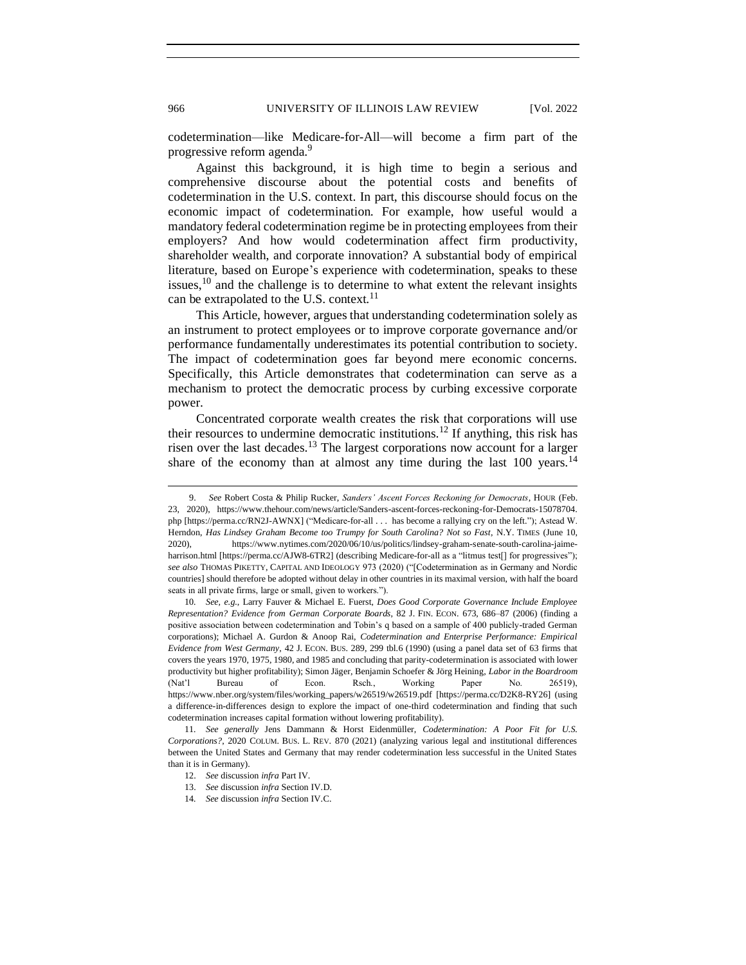codetermination—like Medicare-for-All—will become a firm part of the progressive reform agenda.<sup>9</sup>

Against this background, it is high time to begin a serious and comprehensive discourse about the potential costs and benefits of codetermination in the U.S. context. In part, this discourse should focus on the economic impact of codetermination. For example, how useful would a mandatory federal codetermination regime be in protecting employees from their employers? And how would codetermination affect firm productivity, shareholder wealth, and corporate innovation? A substantial body of empirical literature, based on Europe's experience with codetermination, speaks to these issues,  $10$  and the challenge is to determine to what extent the relevant insights can be extrapolated to the U.S. context.<sup>11</sup>

This Article, however, argues that understanding codetermination solely as an instrument to protect employees or to improve corporate governance and/or performance fundamentally underestimates its potential contribution to society. The impact of codetermination goes far beyond mere economic concerns. Specifically, this Article demonstrates that codetermination can serve as a mechanism to protect the democratic process by curbing excessive corporate power.

Concentrated corporate wealth creates the risk that corporations will use their resources to undermine democratic institutions.<sup>12</sup> If anything, this risk has risen over the last decades.<sup>13</sup> The largest corporations now account for a larger share of the economy than at almost any time during the last  $100$  years.<sup>14</sup>

<sup>9.</sup> *See* Robert Costa & Philip Rucker, *Sanders' Ascent Forces Reckoning for Democrats*, HOUR (Feb. 23, 2020), https://www.thehour.com/news/article/Sanders-ascent-forces-reckoning-for-Democrats-15078704. php [https://perma.cc/RN2J-AWNX] ("Medicare-for-all . . . has become a rallying cry on the left."); Astead W. Herndon, *Has Lindsey Graham Become too Trumpy for South Carolina? Not so Fast*, N.Y. TIMES (June 10, 2020), https://www.nytimes.com/2020/06/10/us/politics/lindsey-graham-senate-south-carolina-jaimeharrison.html [https://perma.cc/AJW8-6TR2] (describing Medicare-for-all as a "litmus test[] for progressives"); *see also* THOMAS PIKETTY, CAPITAL AND IDEOLOGY 973 (2020) ("[Codetermination as in Germany and Nordic countries] should therefore be adopted without delay in other countries in its maximal version, with half the board seats in all private firms, large or small, given to workers.").

<sup>10</sup>*. See, e.g.*, Larry Fauver & Michael E. Fuerst, *Does Good Corporate Governance Include Employee Representation? Evidence from German Corporate Boards*, 82 J. FIN. ECON. 673, 686–87 (2006) (finding a positive association between codetermination and Tobin's q based on a sample of 400 publicly-traded German corporations); Michael A. Gurdon & Anoop Rai, *Codetermination and Enterprise Performance: Empirical Evidence from West Germany*, 42 J. ECON. BUS. 289, 299 tbl.6 (1990) (using a panel data set of 63 firms that covers the years 1970, 1975, 1980, and 1985 and concluding that parity-codetermination is associated with lower productivity but higher profitability); Simon Jäger, Benjamin Schoefer & Jörg Heining, *Labor in the Boardroom* (Nat'l Bureau of Econ. Rsch., Working Paper No. 26519), https://www.nber.org/system/files/working\_papers/w26519/w26519.pdf [https://perma.cc/D2K8-RY26] (using a difference-in-differences design to explore the impact of one-third codetermination and finding that such codetermination increases capital formation without lowering profitability).

<sup>11</sup>*. See generally* Jens Dammann & Horst Eidenmüller, *Codetermination: A Poor Fit for U.S. Corporations?*, 2020 COLUM. BUS. L. REV. 870 (2021) (analyzing various legal and institutional differences between the United States and Germany that may render codetermination less successful in the United States than it is in Germany).

<sup>12.</sup> *See* discussion *infra* Part IV.

<sup>13.</sup> *See* discussion *infra* Section IV.D.

<sup>14</sup>*. See* discussion *infra* Section IV.C.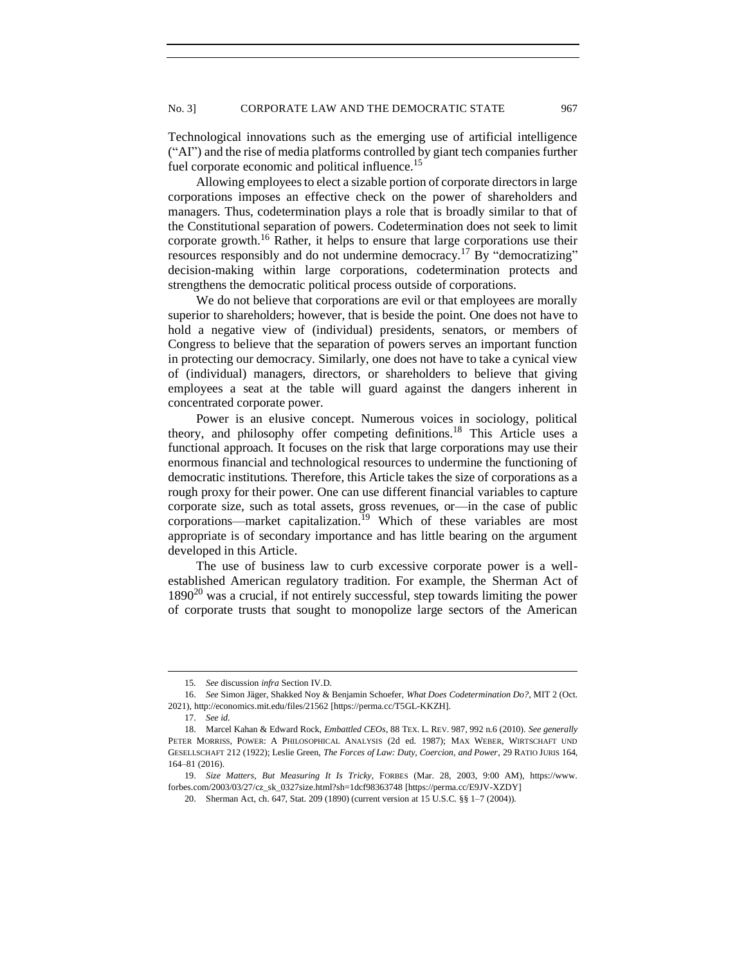Technological innovations such as the emerging use of artificial intelligence ("AI") and the rise of media platforms controlled by giant tech companies further fuel corporate economic and political influence.<sup>15</sup>

Allowing employees to elect a sizable portion of corporate directors in large corporations imposes an effective check on the power of shareholders and managers. Thus, codetermination plays a role that is broadly similar to that of the Constitutional separation of powers. Codetermination does not seek to limit corporate growth.<sup>16</sup> Rather, it helps to ensure that large corporations use their resources responsibly and do not undermine democracy.<sup>17</sup> By "democratizing" decision-making within large corporations, codetermination protects and strengthens the democratic political process outside of corporations.

We do not believe that corporations are evil or that employees are morally superior to shareholders; however, that is beside the point. One does not have to hold a negative view of (individual) presidents, senators, or members of Congress to believe that the separation of powers serves an important function in protecting our democracy. Similarly, one does not have to take a cynical view of (individual) managers, directors, or shareholders to believe that giving employees a seat at the table will guard against the dangers inherent in concentrated corporate power.

Power is an elusive concept. Numerous voices in sociology, political theory, and philosophy offer competing definitions.<sup>18</sup> This Article uses a functional approach. It focuses on the risk that large corporations may use their enormous financial and technological resources to undermine the functioning of democratic institutions. Therefore, this Article takes the size of corporations as a rough proxy for their power. One can use different financial variables to capture corporate size, such as total assets, gross revenues, or—in the case of public corporations—market capitalization.<sup>19</sup> Which of these variables are most appropriate is of secondary importance and has little bearing on the argument developed in this Article.

The use of business law to curb excessive corporate power is a wellestablished American regulatory tradition. For example, the Sherman Act of  $1890^{20}$  was a crucial, if not entirely successful, step towards limiting the power of corporate trusts that sought to monopolize large sectors of the American

<sup>15</sup>*. See* discussion *infra* Section IV.D.

<sup>16.</sup> *See* Simon Jäger, Shakked Noy & Benjamin Schoefer, *What Does Codetermination Do?*, MIT 2 (Oct. 2021), http://economics.mit.edu/files/21562 [https://perma.cc/T5GL-KKZH].

<sup>17.</sup> *See id.*

<sup>18.</sup> Marcel Kahan & Edward Rock, *Embattled CEOs*, 88 TEX. L. REV. 987, 992 n.6 (2010). *See generally* PETER MORRISS, POWER: A PHILOSOPHICAL ANALYSIS (2d ed. 1987); MAX WEBER, WIRTSCHAFT UND GESELLSCHAFT 212 (1922); Leslie Green, *The Forces of Law: Duty, Coercion, and Power*, 29 RATIO JURIS 164, 164–81 (2016).

<sup>19.</sup> *Size Matters, But Measuring It Is Tricky*, FORBES (Mar. 28, 2003, 9:00 AM), https://www. forbes.com/2003/03/27/cz\_sk\_0327size.html?sh=1dcf98363748 [https://perma.cc/E9JV-XZDY]

<sup>20.</sup> Sherman Act, ch. 647, Stat. 209 (1890) (current version at 15 U.S.C. §§ 1–7 (2004)).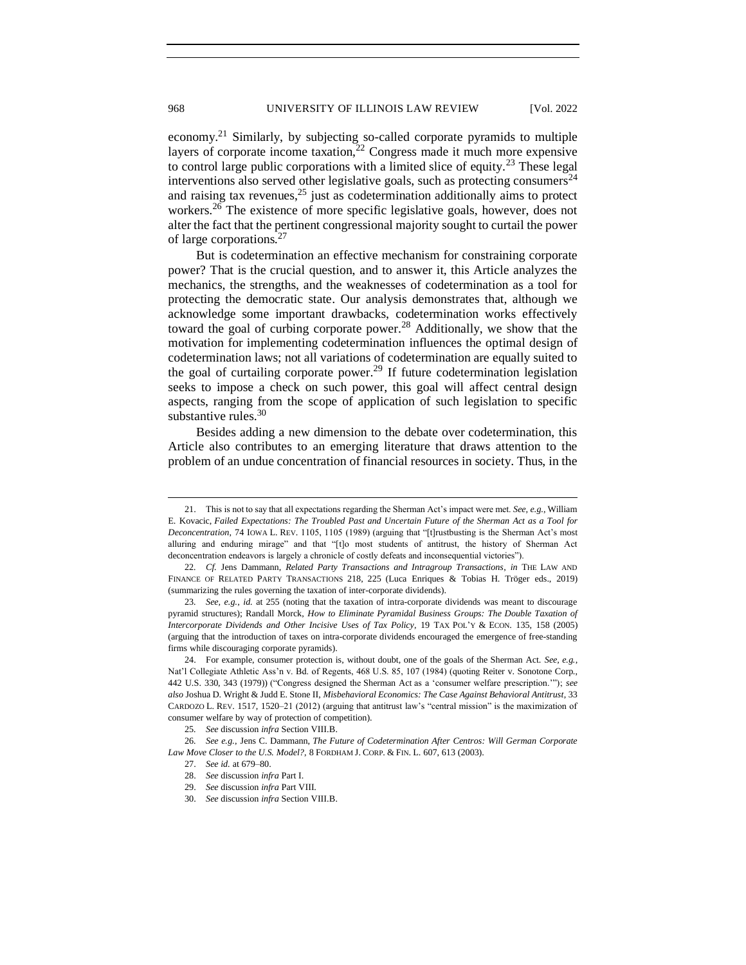economy.<sup>21</sup> Similarly, by subjecting so-called corporate pyramids to multiple layers of corporate income taxation, $22$  Congress made it much more expensive to control large public corporations with a limited slice of equity.<sup>23</sup> These legal interventions also served other legislative goals, such as protecting consumers $^{24}$ and raising tax revenues, $25$  just as codetermination additionally aims to protect workers.<sup>26</sup> The existence of more specific legislative goals, however, does not alter the fact that the pertinent congressional majority sought to curtail the power of large corporations.<sup>27</sup>

But is codetermination an effective mechanism for constraining corporate power? That is the crucial question, and to answer it, this Article analyzes the mechanics, the strengths, and the weaknesses of codetermination as a tool for protecting the democratic state. Our analysis demonstrates that, although we acknowledge some important drawbacks, codetermination works effectively toward the goal of curbing corporate power.<sup>28</sup> Additionally, we show that the motivation for implementing codetermination influences the optimal design of codetermination laws; not all variations of codetermination are equally suited to the goal of curtailing corporate power.<sup>29</sup> If future codetermination legislation seeks to impose a check on such power, this goal will affect central design aspects, ranging from the scope of application of such legislation to specific substantive rules.<sup>30</sup>

Besides adding a new dimension to the debate over codetermination, this Article also contributes to an emerging literature that draws attention to the problem of an undue concentration of financial resources in society. Thus, in the

<sup>21.</sup> This is not to say that all expectations regarding the Sherman Act's impact were met. *See, e.g.*, William E. Kovacic, *Failed Expectations: The Troubled Past and Uncertain Future of the Sherman Act as a Tool for Deconcentration*, 74 IOWA L. REV. 1105, 1105 (1989) (arguing that "[t]rustbusting is the Sherman Act's most alluring and enduring mirage" and that "[t]o most students of antitrust, the history of Sherman Act deconcentration endeavors is largely a chronicle of costly defeats and inconsequential victories").

<sup>22</sup>*. Cf.* Jens Dammann, *Related Party Transactions and Intragroup Transactions*, *in* THE LAW AND FINANCE OF RELATED PARTY TRANSACTIONS 218, 225 (Luca Enriques & Tobias H. Tröger eds., 2019) (summarizing the rules governing the taxation of inter-corporate dividends).

<sup>23</sup>*. See, e.g.*, *id.* at 255 (noting that the taxation of intra-corporate dividends was meant to discourage pyramid structures); Randall Morck, *How to Eliminate Pyramidal Business Groups: The Double Taxation of Intercorporate Dividends and Other Incisive Uses of Tax Policy*, 19 TAX POL'Y & ECON. 135, 158 (2005) (arguing that the introduction of taxes on intra-corporate dividends encouraged the emergence of free-standing firms while discouraging corporate pyramids).

<sup>24.</sup> For example, consumer protection is, without doubt, one of the goals of the Sherman Act. *See, e.g.*, Nat'l Collegiate Athletic Ass'n v. Bd. of Regents, 468 U.S. 85, 107 (1984) (quoting Reiter v. Sonotone Corp., 442 U.S. 330, 343 (1979)) ("Congress designed the Sherman Act as a 'consumer welfare prescription.'"); *see also* Joshua D. Wright & Judd E. Stone II, *Misbehavioral Economics: The Case Against Behavioral Antitrust*, 33 CARDOZO L. REV. 1517, 1520–21 (2012) (arguing that antitrust law's "central mission" is the maximization of consumer welfare by way of protection of competition).

<sup>25</sup>*. See* discussion *infra* Section VIII.B.

<sup>26</sup>*. See e.g.*, Jens C. Dammann, *The Future of Codetermination After Centros: Will German Corporate Law Move Closer to the U.S. Model?*, 8 FORDHAM J. CORP. & FIN. L. 607, 613 (2003).

<sup>27.</sup> *See id.* at 679–80.

<sup>28.</sup> *See* discussion *infra* Part I.

<sup>29.</sup> *See* discussion *infra* Part VIII.

<sup>30.</sup> *See* discussion *infra* Section VIII.B.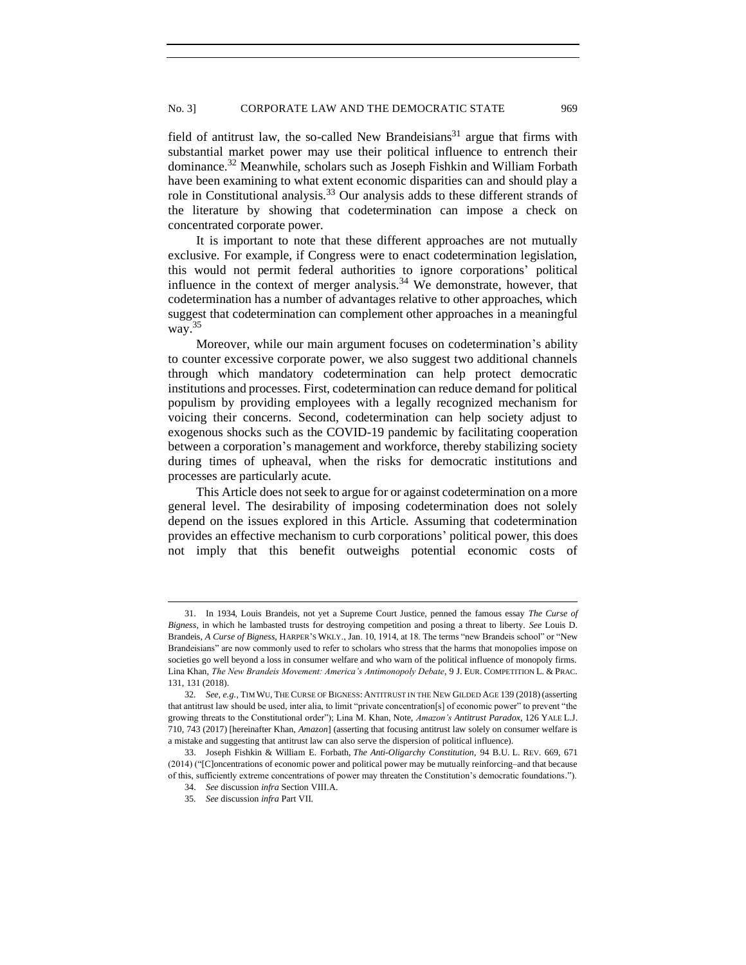field of antitrust law, the so-called New Brandeisians<sup>31</sup> argue that firms with substantial market power may use their political influence to entrench their dominance.<sup>32</sup> Meanwhile, scholars such as Joseph Fishkin and William Forbath have been examining to what extent economic disparities can and should play a role in Constitutional analysis.<sup>33</sup> Our analysis adds to these different strands of the literature by showing that codetermination can impose a check on concentrated corporate power.

It is important to note that these different approaches are not mutually exclusive. For example, if Congress were to enact codetermination legislation, this would not permit federal authorities to ignore corporations' political influence in the context of merger analysis.<sup>34</sup> We demonstrate, however, that codetermination has a number of advantages relative to other approaches, which suggest that codetermination can complement other approaches in a meaningful way. $35$ 

Moreover, while our main argument focuses on codetermination's ability to counter excessive corporate power, we also suggest two additional channels through which mandatory codetermination can help protect democratic institutions and processes. First, codetermination can reduce demand for political populism by providing employees with a legally recognized mechanism for voicing their concerns. Second, codetermination can help society adjust to exogenous shocks such as the COVID-19 pandemic by facilitating cooperation between a corporation's management and workforce, thereby stabilizing society during times of upheaval, when the risks for democratic institutions and processes are particularly acute.

This Article does not seek to argue for or against codetermination on a more general level. The desirability of imposing codetermination does not solely depend on the issues explored in this Article. Assuming that codetermination provides an effective mechanism to curb corporations' political power, this does not imply that this benefit outweighs potential economic costs of

<sup>31.</sup> In 1934, Louis Brandeis, not yet a Supreme Court Justice, penned the famous essay *The Curse of Bigness*, in which he lambasted trusts for destroying competition and posing a threat to liberty. *See* Louis D. Brandeis, *A Curse of Bigness*, HARPER'S WKLY., Jan. 10, 1914, at 18. The terms "new Brandeis school" or "New Brandeisians" are now commonly used to refer to scholars who stress that the harms that monopolies impose on societies go well beyond a loss in consumer welfare and who warn of the political influence of monopoly firms. Lina Khan, *The New Brandeis Movement: America's Antimonopoly Debate*, 9 J. EUR. COMPETITION L. & PRAC. 131, 131 (2018).

<sup>32</sup>*. See, e.g.*, TIM WU, THE CURSE OF BIGNESS: ANTITRUST IN THE NEW GILDED AGE 139 (2018)(asserting that antitrust law should be used, inter alia, to limit "private concentration[s] of economic power" to prevent "the growing threats to the Constitutional order"); Lina M. Khan, Note, *Amazon's Antitrust Paradox*, 126 YALE L.J. 710, 743 (2017) [hereinafter Khan, *Amazon*] (asserting that focusing antitrust law solely on consumer welfare is a mistake and suggesting that antitrust law can also serve the dispersion of political influence).

<sup>33.</sup> Joseph Fishkin & William E. Forbath, *The Anti-Oligarchy Constitution*, 94 B.U. L. REV. 669, 671 (2014) ("[C]oncentrations of economic power and political power may be mutually reinforcing–and that because of this, sufficiently extreme concentrations of power may threaten the Constitution's democratic foundations.").

<sup>34.</sup> *See* discussion *infra* Section VIII.A.

<sup>35</sup>*. See* discussion *infra* Part VII.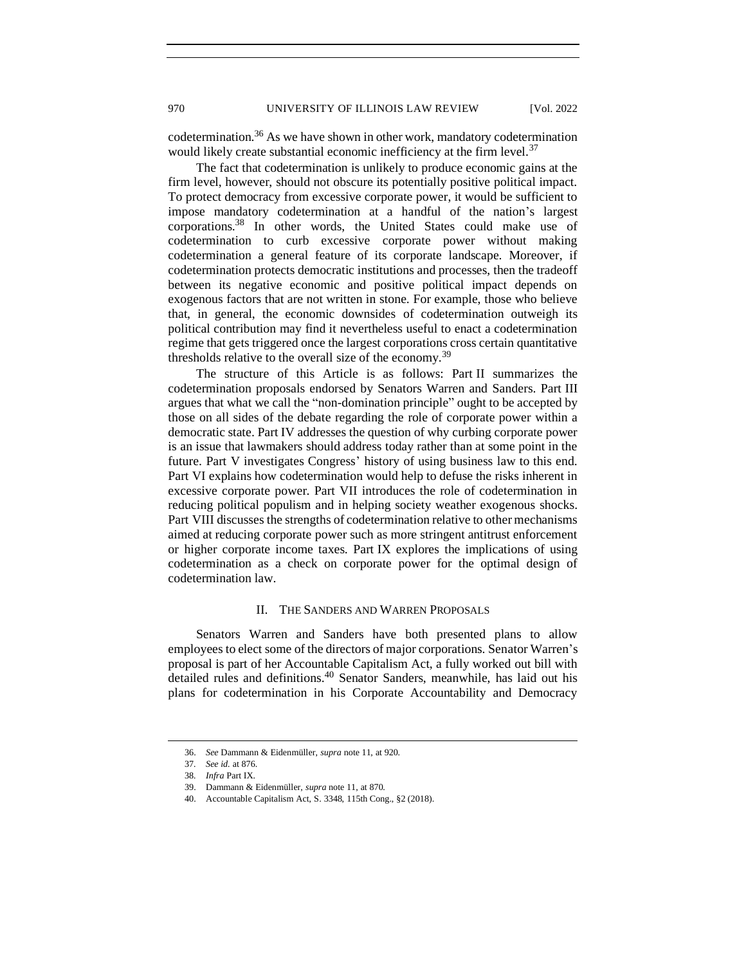codetermination.<sup>36</sup> As we have shown in other work, mandatory codetermination would likely create substantial economic inefficiency at the firm level.<sup>37</sup>

The fact that codetermination is unlikely to produce economic gains at the firm level, however, should not obscure its potentially positive political impact. To protect democracy from excessive corporate power, it would be sufficient to impose mandatory codetermination at a handful of the nation's largest corporations.<sup>38</sup> In other words, the United States could make use of codetermination to curb excessive corporate power without making codetermination a general feature of its corporate landscape. Moreover, if codetermination protects democratic institutions and processes, then the tradeoff between its negative economic and positive political impact depends on exogenous factors that are not written in stone. For example, those who believe that, in general, the economic downsides of codetermination outweigh its political contribution may find it nevertheless useful to enact a codetermination regime that gets triggered once the largest corporations cross certain quantitative thresholds relative to the overall size of the economy.<sup>39</sup>

The structure of this Article is as follows: Part II summarizes the codetermination proposals endorsed by Senators Warren and Sanders. Part III argues that what we call the "non-domination principle" ought to be accepted by those on all sides of the debate regarding the role of corporate power within a democratic state. Part IV addresses the question of why curbing corporate power is an issue that lawmakers should address today rather than at some point in the future. Part V investigates Congress' history of using business law to this end. Part VI explains how codetermination would help to defuse the risks inherent in excessive corporate power. Part VII introduces the role of codetermination in reducing political populism and in helping society weather exogenous shocks. Part VIII discusses the strengths of codetermination relative to other mechanisms aimed at reducing corporate power such as more stringent antitrust enforcement or higher corporate income taxes. Part IX explores the implications of using codetermination as a check on corporate power for the optimal design of codetermination law.

# II. THE SANDERS AND WARREN PROPOSALS

<span id="page-7-0"></span>Senators Warren and Sanders have both presented plans to allow employees to elect some of the directors of major corporations. Senator Warren's proposal is part of her Accountable Capitalism Act, a fully worked out bill with detailed rules and definitions.<sup>40</sup> Senator Sanders, meanwhile, has laid out his plans for codetermination in his Corporate Accountability and Democracy

<sup>36.</sup> *See* Dammann & Eidenmüller, *supra* note 11, at 920.

<sup>37</sup>*. See id.* at 876.

<sup>38</sup>*. Infra* Part IX.

<sup>39.</sup> Dammann & Eidenmüller, *supra* note 11, at 870.

<sup>40.</sup> Accountable Capitalism Act, S. 3348, 115th Cong., §2 (2018).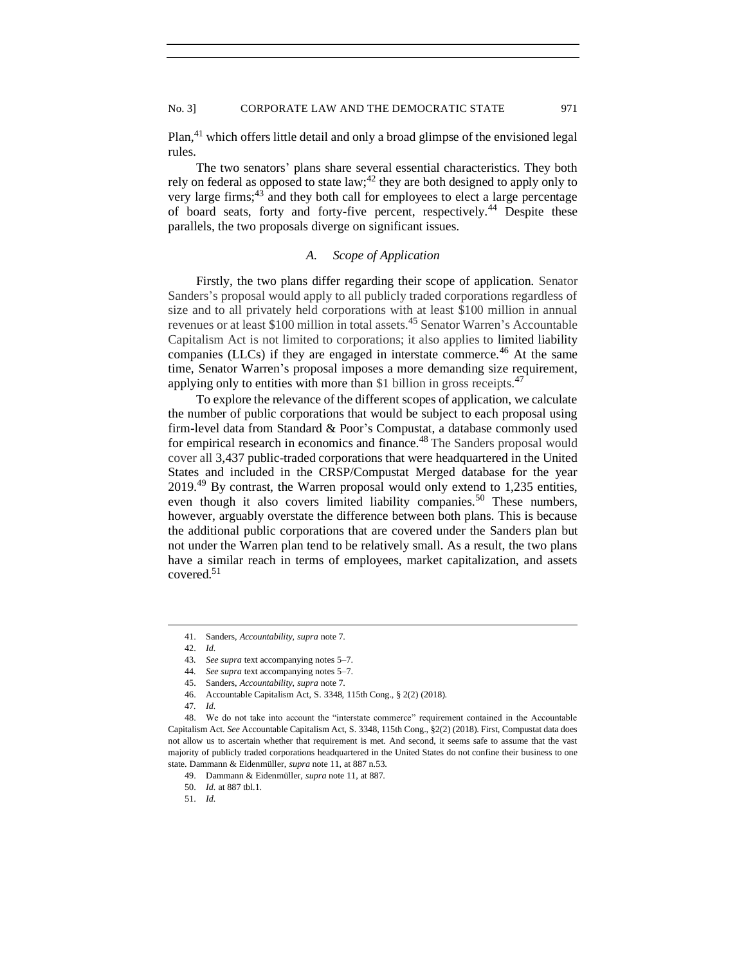Plan,<sup>41</sup> which offers little detail and only a broad glimpse of the envisioned legal rules.

The two senators' plans share several essential characteristics. They both rely on federal as opposed to state law;<sup>42</sup> they are both designed to apply only to very large firms;<sup>43</sup> and they both call for employees to elect a large percentage of board seats, forty and forty-five percent, respectively.<sup>44</sup> Despite these parallels, the two proposals diverge on significant issues.

# *A. Scope of Application*

<span id="page-8-0"></span>Firstly, the two plans differ regarding their scope of application. Senator Sanders's proposal would apply to all publicly traded corporations regardless of size and to all privately held corporations with at least \$100 million in annual revenues or at least \$100 million in total assets.<sup>45</sup> Senator Warren's Accountable Capitalism Act is not limited to corporations; it also applies to limited liability companies (LLCs) if they are engaged in interstate commerce.<sup>46</sup> At the same time, Senator Warren's proposal imposes a more demanding size requirement, applying only to entities with more than \$1 billion in gross receipts. $47$ 

To explore the relevance of the different scopes of application, we calculate the number of public corporations that would be subject to each proposal using firm-level data from Standard & Poor's Compustat, a database commonly used for empirical research in economics and finance.<sup>48</sup> The Sanders proposal would cover all 3,437 public-traded corporations that were headquartered in the United States and included in the CRSP/Compustat Merged database for the year 2019.<sup>49</sup> By contrast, the Warren proposal would only extend to 1,235 entities, even though it also covers limited liability companies.<sup>50</sup> These numbers, however, arguably overstate the difference between both plans. This is because the additional public corporations that are covered under the Sanders plan but not under the Warren plan tend to be relatively small. As a result, the two plans have a similar reach in terms of employees, market capitalization, and assets covered.<sup>51</sup>

<sup>41.</sup> Sanders, *Accountability*, *supra* note 7.

<sup>42.</sup> *Id.*

<sup>43</sup>*. See supra* text accompanying notes 5–7.

<sup>44</sup>*. See supra* text accompanying notes 5–7.

<sup>45.</sup> Sanders, *Accountability*, *supra* note 7.

<sup>46.</sup> Accountable Capitalism Act, S. 3348, 115th Cong., § 2(2) (2018).

<sup>47</sup>*. Id.*

<sup>48.</sup> We do not take into account the "interstate commerce" requirement contained in the Accountable Capitalism Act. *See* Accountable Capitalism Act, S. 3348, 115th Cong., §2(2) (2018). First, Compustat data does not allow us to ascertain whether that requirement is met. And second, it seems safe to assume that the vast majority of publicly traded corporations headquartered in the United States do not confine their business to one state. Dammann & Eidenmüller, *supra* note 11, at 887 n.53.

<sup>49.</sup> Dammann & Eidenmüller, *supra* note 11, at 887.

<sup>50.</sup> *Id.* at 887 tbl.1.

<sup>51.</sup> *Id.*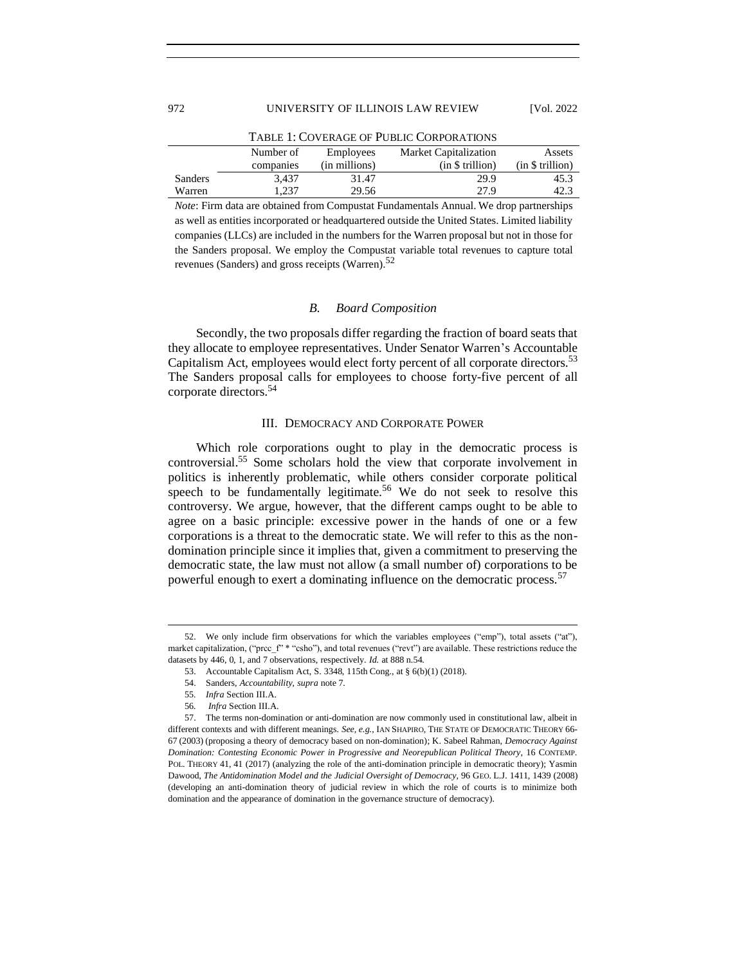|         |                                                                  |               | TABLE 1: COVERAGE OF PUBLIC CORPORATIONS |                  |
|---------|------------------------------------------------------------------|---------------|------------------------------------------|------------------|
|         | <b>Market Capitalization</b><br>Number of<br>Employees<br>Assets |               |                                          |                  |
|         | companies                                                        | (in millions) | (in \$ trillion)                         | (in \$ trillion) |
| Sanders | 3.437                                                            | 31.47         | 29.9                                     | 45.3             |
| Warren  | 1.237                                                            | 29.56         | 27.9                                     | 42.3             |

*Note*: Firm data are obtained from Compustat Fundamentals Annual. We drop partnerships as well as entities incorporated or headquartered outside the United States. Limited liability companies (LLCs) are included in the numbers for the Warren proposal but not in those for the Sanders proposal. We employ the Compustat variable total revenues to capture total revenues (Sanders) and gross receipts (Warren). $52$ 

### *B. Board Composition*

<span id="page-9-0"></span>Secondly, the two proposals differ regarding the fraction of board seats that they allocate to employee representatives. Under Senator Warren's Accountable Capitalism Act, employees would elect forty percent of all corporate directors.<sup>53</sup> The Sanders proposal calls for employees to choose forty-five percent of all corporate directors.<sup>54</sup>

### III. DEMOCRACY AND CORPORATE POWER

<span id="page-9-1"></span>Which role corporations ought to play in the democratic process is controversial.<sup>55</sup> Some scholars hold the view that corporate involvement in politics is inherently problematic, while others consider corporate political speech to be fundamentally legitimate.<sup>56</sup> We do not seek to resolve this controversy. We argue, however, that the different camps ought to be able to agree on a basic principle: excessive power in the hands of one or a few corporations is a threat to the democratic state. We will refer to this as the nondomination principle since it implies that, given a commitment to preserving the democratic state, the law must not allow (a small number of) corporations to be powerful enough to exert a dominating influence on the democratic process.<sup>57</sup>

<sup>52.</sup> We only include firm observations for which the variables employees ("emp"), total assets ("at"), market capitalization, ("prcc\_f" \* "csho"), and total revenues ("revt") are available. These restrictions reduce the datasets by 446, 0, 1, and 7 observations, respectively. *Id.* at 888 n.54.

<sup>53.</sup> Accountable Capitalism Act, S. 3348, 115th Cong., at § 6(b)(1) (2018).

<sup>54.</sup> Sanders, *Accountability*, *supra* note 7.

<sup>55</sup>*. Infra* Section III.A.

<sup>56</sup>*. Infra* Section III.A.

<sup>57.</sup> The terms non-domination or anti-domination are now commonly used in constitutional law, albeit in different contexts and with different meanings. *See, e.g.*, IAN SHAPIRO, THE STATE OF DEMOCRATIC THEORY 66- 67 (2003) (proposing a theory of democracy based on non-domination); K. Sabeel Rahman, *Democracy Against Domination: Contesting Economic Power in Progressive and Neorepublican Political Theory*, 16 CONTEMP. POL. THEORY 41, 41 (2017) (analyzing the role of the anti-domination principle in democratic theory); Yasmin Dawood, *The Antidomination Model and the Judicial Oversight of Democracy*, 96 GEO. L.J. 1411, 1439 (2008) (developing an anti-domination theory of judicial review in which the role of courts is to minimize both domination and the appearance of domination in the governance structure of democracy).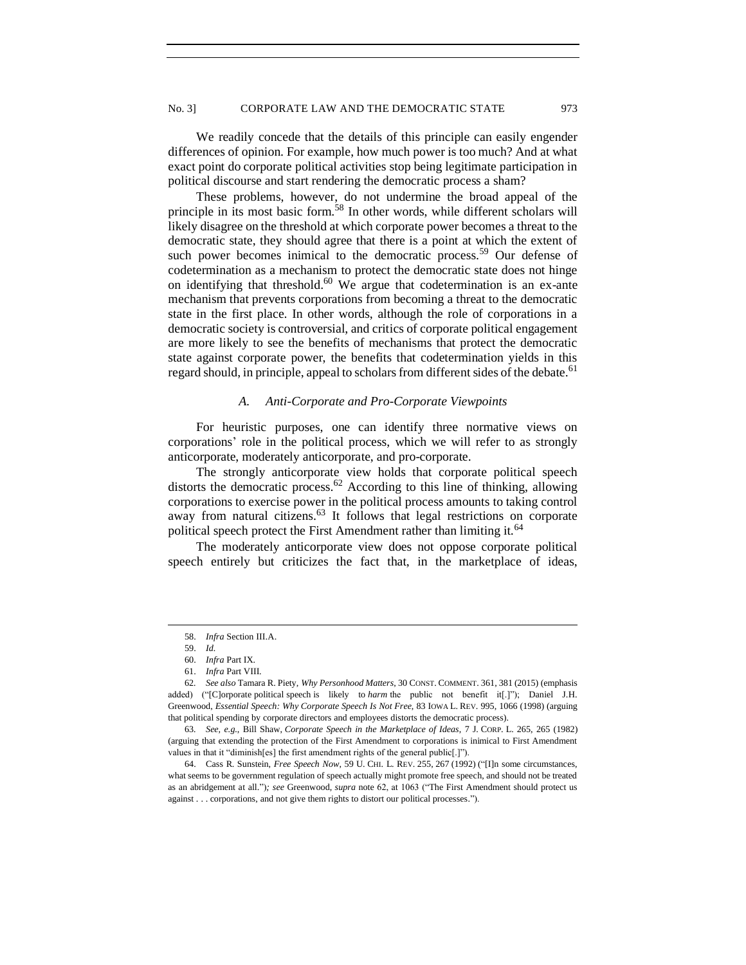We readily concede that the details of this principle can easily engender differences of opinion. For example, how much power is too much? And at what exact point do corporate political activities stop being legitimate participation in political discourse and start rendering the democratic process a sham?

These problems, however, do not undermine the broad appeal of the principle in its most basic form.<sup>58</sup> In other words, while different scholars will likely disagree on the threshold at which corporate power becomes a threat to the democratic state, they should agree that there is a point at which the extent of such power becomes inimical to the democratic process.<sup>59</sup> Our defense of codetermination as a mechanism to protect the democratic state does not hinge on identifying that threshold. $60$  We argue that codetermination is an ex-ante mechanism that prevents corporations from becoming a threat to the democratic state in the first place. In other words, although the role of corporations in a democratic society is controversial, and critics of corporate political engagement are more likely to see the benefits of mechanisms that protect the democratic state against corporate power, the benefits that codetermination yields in this regard should, in principle, appeal to scholars from different sides of the debate.<sup>61</sup>

### *A. Anti-Corporate and Pro-Corporate Viewpoints*

<span id="page-10-0"></span>For heuristic purposes, one can identify three normative views on corporations' role in the political process, which we will refer to as strongly anticorporate, moderately anticorporate, and pro-corporate.

The strongly anticorporate view holds that corporate political speech distorts the democratic process.<sup>62</sup> According to this line of thinking, allowing corporations to exercise power in the political process amounts to taking control away from natural citizens.<sup>63</sup> It follows that legal restrictions on corporate political speech protect the First Amendment rather than limiting it.<sup>64</sup>

The moderately anticorporate view does not oppose corporate political speech entirely but criticizes the fact that, in the marketplace of ideas,

<sup>58.</sup> *Infra* Section III.A.

<sup>59.</sup> *Id.*

<sup>60.</sup> *Infra* Part IX.

<sup>61.</sup> *Infra* Part VIII.

<sup>62</sup>*. See also* Tamara R. Piety, *Why Personhood Matters*, 30 CONST. COMMENT. 361, 381 (2015) (emphasis added) ("[C]orporate political speech is likely to *harm* the public not benefit it[.]"); Daniel J.H. Greenwood, *Essential Speech: Why Corporate Speech Is Not Free*, 83 IOWA L. REV. 995, 1066 (1998) (arguing that political spending by corporate directors and employees distorts the democratic process).

<sup>63</sup>*. See, e.g.*, Bill Shaw, *Corporate Speech in the Marketplace of Ideas*, 7 J. CORP. L. 265, 265 (1982) (arguing that extending the protection of the First Amendment to corporations is inimical to First Amendment values in that it "diminish[es] the first amendment rights of the general public[.]").

<sup>64.</sup> Cass R. Sunstein, *Free Speech Now*, 59 U. CHI. L. REV. 255, 267 (1992) ("[I]n some circumstances, what seems to be government regulation of speech actually might promote free speech, and should not be treated as an abridgement at all.")*; see* Greenwood, *supra* note 62, at 1063 ("The First Amendment should protect us against . . . corporations, and not give them rights to distort our political processes.").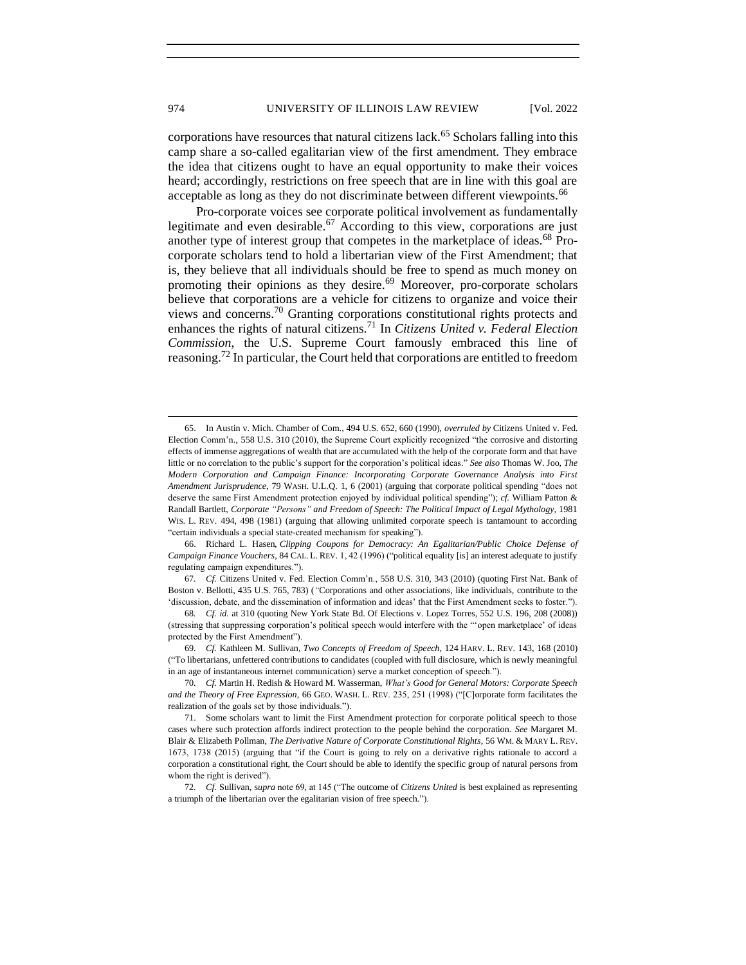corporations have resources that natural citizens lack.<sup>65</sup> Scholars falling into this camp share a so-called egalitarian view of the first amendment. They embrace the idea that citizens ought to have an equal opportunity to make their voices heard; accordingly, restrictions on free speech that are in line with this goal are acceptable as long as they do not discriminate between different viewpoints.<sup>66</sup>

Pro-corporate voices see corporate political involvement as fundamentally legitimate and even desirable.<sup>67</sup> According to this view, corporations are just another type of interest group that competes in the marketplace of ideas.<sup>68</sup> Procorporate scholars tend to hold a libertarian view of the First Amendment; that is, they believe that all individuals should be free to spend as much money on promoting their opinions as they desire.<sup>69</sup> Moreover, pro-corporate scholars believe that corporations are a vehicle for citizens to organize and voice their views and concerns.<sup>70</sup> Granting corporations constitutional rights protects and enhances the rights of natural citizens.<sup>71</sup> In *Citizens United v. Federal Election Commission*, the U.S. Supreme Court famously embraced this line of reasoning.<sup>72</sup> In particular, the Court held that corporations are entitled to freedom

66. Richard L. Hasen, *Clipping Coupons for Democracy: An Egalitarian/Public Choice Defense of Campaign Finance Vouchers*, 84 CAL. L. REV. 1, 42 (1996) ("political equality [is] an interest adequate to justify regulating campaign expenditures.").

67*. Cf.* Citizens United v. Fed. Election Comm'n., 558 U.S. 310, 343 (2010) (quoting First Nat. Bank of Boston v. Bellotti, 435 U.S. 765, 783) (*"*Corporations and other associations, like individuals, contribute to the 'discussion, debate, and the dissemination of information and ideas' that the First Amendment seeks to foster.").

68*. Cf. id*. at 310 (quoting New York State Bd. Of Elections v. Lopez Torres, 552 U.S. 196, 208 (2008)) (stressing that suppressing corporation's political speech would interfere with the "'open marketplace' of ideas protected by the First Amendment").

69*. Cf.* Kathleen M. Sullivan, *Two Concepts of Freedom of Speech*, 124 HARV. L. REV. 143, 168 (2010) ("To libertarians, unfettered contributions to candidates (coupled with full disclosure, which is newly meaningful in an age of instantaneous internet communication) serve a market conception of speech.").

<sup>65.</sup> In Austin v. Mich. Chamber of Com., 494 U.S. 652, 660 (1990), *overruled by* Citizens United v. Fed. Election Comm'n., 558 U.S. 310 (2010), the Supreme Court explicitly recognized "the corrosive and distorting effects of immense aggregations of wealth that are accumulated with the help of the corporate form and that have little or no correlation to the public's support for the corporation's political ideas." *See also* Thomas W. Joo, *The Modern Corporation and Campaign Finance: Incorporating Corporate Governance Analysis into First Amendment Jurisprudence*, 79 WASH. U.L.Q. 1, 6 (2001) (arguing that corporate political spending "does not deserve the same First Amendment protection enjoyed by individual political spending"); *cf.* William Patton & Randall Bartlett, *Corporate "Persons" and Freedom of Speech: The Political Impact of Legal Mythology*, 1981 WIS. L. REV. 494, 498 (1981) (arguing that allowing unlimited corporate speech is tantamount to according "certain individuals a special state-created mechanism for speaking").

<sup>70</sup>*. Cf.* Martin H. Redish & Howard M. Wasserman, *What's Good for General Motors: Corporate Speech and the Theory of Free Expression*, 66 GEO. WASH. L. REV. 235, 251 (1998) ("[C]orporate form facilitates the realization of the goals set by those individuals.").

<sup>71.</sup> Some scholars want to limit the First Amendment protection for corporate political speech to those cases where such protection affords indirect protection to the people behind the corporation. *See* Margaret M. Blair & Elizabeth Pollman, *The Derivative Nature of Corporate Constitutional Rights*, 56 WM. & MARY L. REV. 1673, 1738 (2015) (arguing that "if the Court is going to rely on a derivative rights rationale to accord a corporation a constitutional right, the Court should be able to identify the specific group of natural persons from whom the right is derived").

<sup>72</sup>*. Cf.* Sullivan, s*upra* note 69, at 145 ("The outcome of *Citizens United* is best explained as representing a triumph of the libertarian over the egalitarian vision of free speech.").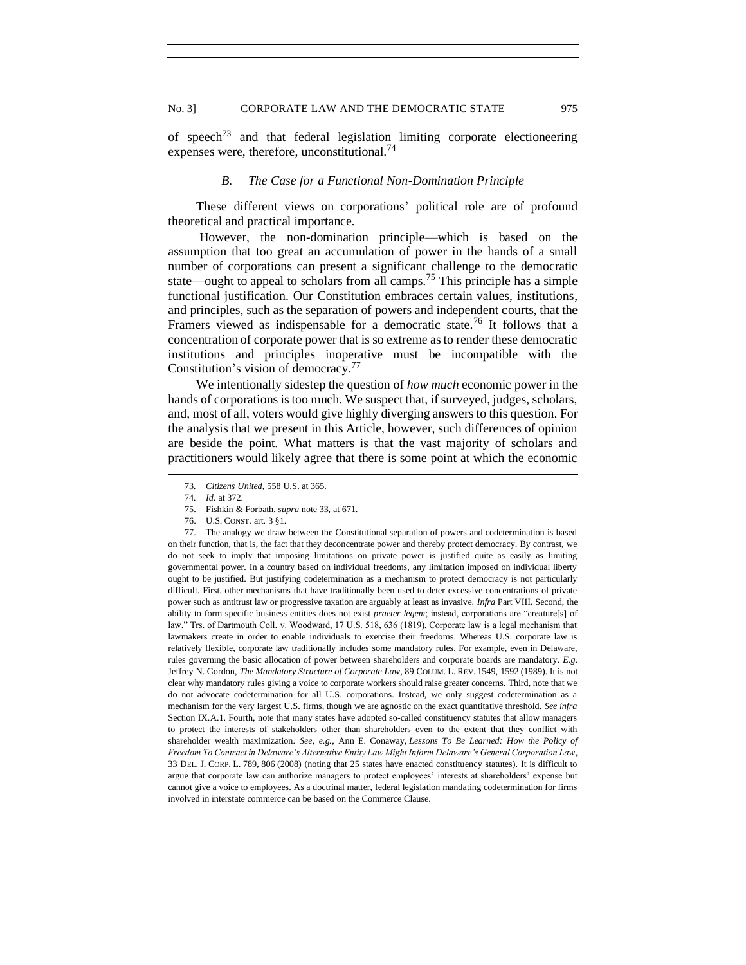<span id="page-12-0"></span>of speech<sup>73</sup> and that federal legislation limiting corporate electioneering expenses were, therefore, unconstitutional.<sup>74</sup>

## *B. The Case for a Functional Non-Domination Principle*

These different views on corporations' political role are of profound theoretical and practical importance.

However, the non-domination principle—which is based on the assumption that too great an accumulation of power in the hands of a small number of corporations can present a significant challenge to the democratic state—ought to appeal to scholars from all camps.<sup>75</sup> This principle has a simple functional justification. Our Constitution embraces certain values, institutions, and principles, such as the separation of powers and independent courts, that the Framers viewed as indispensable for a democratic state.<sup>76</sup> It follows that a concentration of corporate power that is so extreme as to render these democratic institutions and principles inoperative must be incompatible with the Constitution's vision of democracy.<sup>77</sup>

We intentionally sidestep the question of *how much* economic power in the hands of corporations is too much. We suspect that, if surveyed, judges, scholars, and, most of all, voters would give highly diverging answers to this question. For the analysis that we present in this Article, however, such differences of opinion are beside the point. What matters is that the vast majority of scholars and practitioners would likely agree that there is some point at which the economic

77. The analogy we draw between the Constitutional separation of powers and codetermination is based on their function, that is, the fact that they deconcentrate power and thereby protect democracy. By contrast, we do not seek to imply that imposing limitations on private power is justified quite as easily as limiting governmental power. In a country based on individual freedoms, any limitation imposed on individual liberty ought to be justified. But justifying codetermination as a mechanism to protect democracy is not particularly difficult. First, other mechanisms that have traditionally been used to deter excessive concentrations of private power such as antitrust law or progressive taxation are arguably at least as invasive. *Infra* Part VIII. Second, the ability to form specific business entities does not exist *praeter legem*; instead, corporations are "creature[s] of law." Trs. of Dartmouth Coll. v. Woodward, 17 U.S. 518, 636 (1819). Corporate law is a legal mechanism that lawmakers create in order to enable individuals to exercise their freedoms. Whereas U.S. corporate law is relatively flexible, corporate law traditionally includes some mandatory rules. For example, even in Delaware, rules governing the basic allocation of power between shareholders and corporate boards are mandatory. *E.g.* Jeffrey N. Gordon, *The Mandatory Structure of Corporate Law*, 89 COLUM. L. REV. 1549, 1592 (1989). It is not clear why mandatory rules giving a voice to corporate workers should raise greater concerns. Third, note that we do not advocate codetermination for all U.S. corporations. Instead, we only suggest codetermination as a mechanism for the very largest U.S. firms, though we are agnostic on the exact quantitative threshold. *See infra*  Section IX.A.1. Fourth, note that many states have adopted so-called constituency statutes that allow managers to protect the interests of stakeholders other than shareholders even to the extent that they conflict with shareholder wealth maximization. *See, e.g.*, Ann E. Conaway, *Lessons To Be Learned: How the Policy of Freedom To Contract in Delaware's Alternative Entity Law Might Inform Delaware's General Corporation Law*, 33 DEL. J. CORP. L. 789, 806 (2008) (noting that 25 states have enacted constituency statutes). It is difficult to argue that corporate law can authorize managers to protect employees' interests at shareholders' expense but cannot give a voice to employees. As a doctrinal matter, federal legislation mandating codetermination for firms involved in interstate commerce can be based on the Commerce Clause.

<sup>73</sup>*. Citizens United*, 558 U.S. at 365.

<sup>74</sup>*. Id.* at 372.

<sup>75.</sup> Fishkin & Forbath, *supra* note 33, at 671.

<sup>76.</sup> U.S. CONST. art. 3 §1.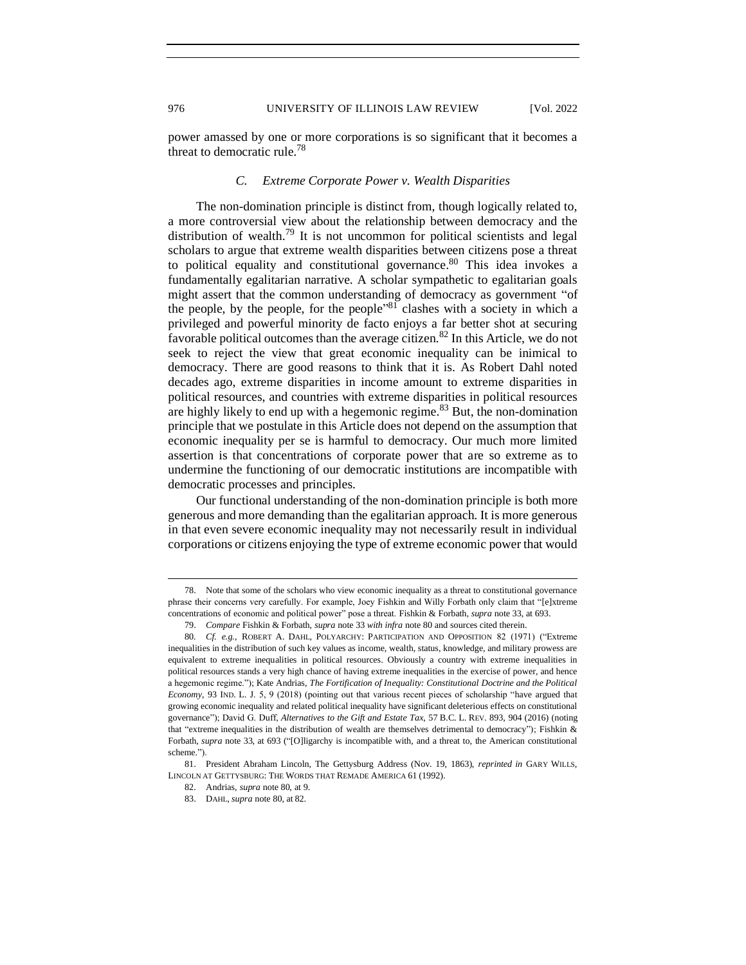<span id="page-13-0"></span>power amassed by one or more corporations is so significant that it becomes a threat to democratic rule.<sup>78</sup>

# *C. Extreme Corporate Power v. Wealth Disparities*

The non-domination principle is distinct from, though logically related to, a more controversial view about the relationship between democracy and the distribution of wealth.<sup>79</sup> It is not uncommon for political scientists and legal scholars to argue that extreme wealth disparities between citizens pose a threat to political equality and constitutional governance. $80$  This idea invokes a fundamentally egalitarian narrative. A scholar sympathetic to egalitarian goals might assert that the common understanding of democracy as government "of the people, by the people, for the people<sup>381</sup> clashes with a society in which a privileged and powerful minority de facto enjoys a far better shot at securing favorable political outcomes than the average citizen.<sup>82</sup> In this Article, we do not seek to reject the view that great economic inequality can be inimical to democracy. There are good reasons to think that it is. As Robert Dahl noted decades ago, extreme disparities in income amount to extreme disparities in political resources, and countries with extreme disparities in political resources are highly likely to end up with a hegemonic regime.<sup>83</sup> But, the non-domination principle that we postulate in this Article does not depend on the assumption that economic inequality per se is harmful to democracy. Our much more limited assertion is that concentrations of corporate power that are so extreme as to undermine the functioning of our democratic institutions are incompatible with democratic processes and principles.

Our functional understanding of the non-domination principle is both more generous and more demanding than the egalitarian approach. It is more generous in that even severe economic inequality may not necessarily result in individual corporations or citizens enjoying the type of extreme economic power that would

81. President Abraham Lincoln, The Gettysburg Address (Nov. 19, 1863), *reprinted in* GARY WILLS, LINCOLN AT GETTYSBURG: THE WORDS THAT REMADE AMERICA 61 (1992).

82. Andrias, *supra* note 80, at 9.

<sup>78.</sup> Note that some of the scholars who view economic inequality as a threat to constitutional governance phrase their concerns very carefully. For example, Joey Fishkin and Willy Forbath only claim that "[e]xtreme concentrations of economic and political power" pose a threat. Fishkin & Forbath, *supra* note 33, at 693.

<sup>79.</sup> *Compare* Fishkin & Forbath, *supra* note 33 *with infra* note 80 and sources cited therein.

<sup>80</sup>*. Cf. e.g.*, ROBERT A. DAHL, POLYARCHY: PARTICIPATION AND OPPOSITION 82 (1971) ("Extreme inequalities in the distribution of such key values as income, wealth, status, knowledge, and military prowess are equivalent to extreme inequalities in political resources. Obviously a country with extreme inequalities in political resources stands a very high chance of having extreme inequalities in the exercise of power, and hence a hegemonic regime."); Kate Andrias, *The Fortification of Inequality: Constitutional Doctrine and the Political Economy*, 93 IND. L. J. 5, 9 (2018) (pointing out that various recent pieces of scholarship "have argued that growing economic inequality and related political inequality have significant deleterious effects on constitutional governance"); David G. Duff, *Alternatives to the Gift and Estate Tax*, 57 B.C. L. REV. 893, 904 (2016) (noting that "extreme inequalities in the distribution of wealth are themselves detrimental to democracy"); Fishkin & Forbath, *supra* note 33, at 693 ("[O]ligarchy is incompatible with, and a threat to, the American constitutional scheme.").

<sup>83.</sup> DAHL, *supra* note 80, at 82.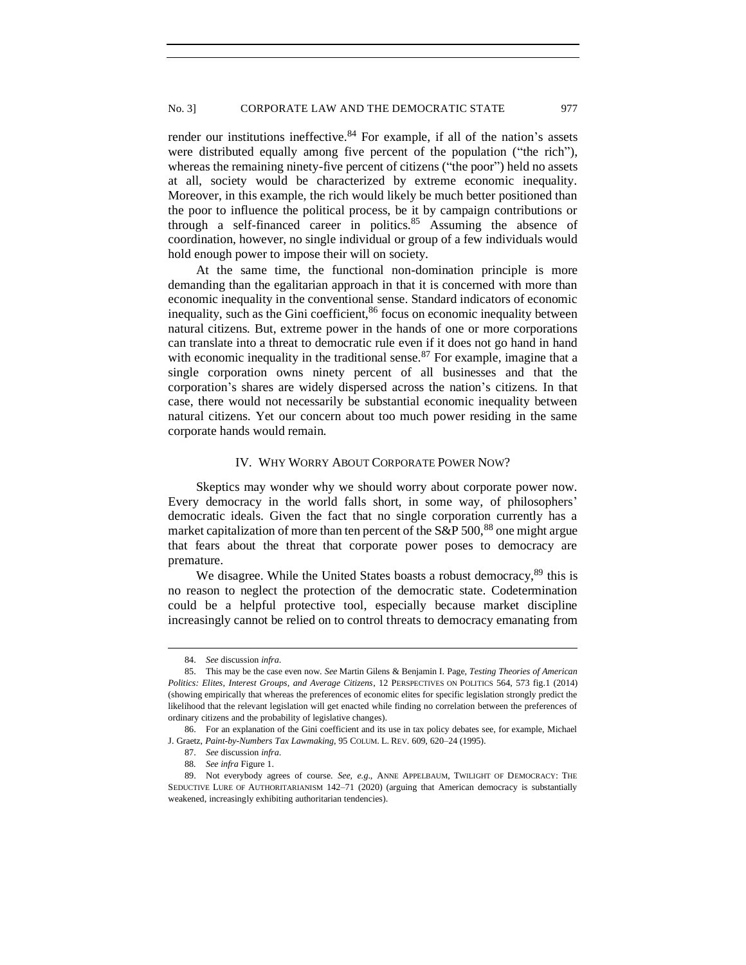render our institutions ineffective. $84$  For example, if all of the nation's assets were distributed equally among five percent of the population ("the rich"), whereas the remaining ninety-five percent of citizens ("the poor") held no assets at all, society would be characterized by extreme economic inequality. Moreover, in this example, the rich would likely be much better positioned than the poor to influence the political process, be it by campaign contributions or through a self-financed career in politics.<sup>85</sup> Assuming the absence of coordination, however, no single individual or group of a few individuals would hold enough power to impose their will on society.

At the same time, the functional non-domination principle is more demanding than the egalitarian approach in that it is concerned with more than economic inequality in the conventional sense. Standard indicators of economic inequality, such as the Gini coefficient,  $86$  focus on economic inequality between natural citizens. But, extreme power in the hands of one or more corporations can translate into a threat to democratic rule even if it does not go hand in hand with economic inequality in the traditional sense.<sup>87</sup> For example, imagine that a single corporation owns ninety percent of all businesses and that the corporation's shares are widely dispersed across the nation's citizens. In that case, there would not necessarily be substantial economic inequality between natural citizens. Yet our concern about too much power residing in the same corporate hands would remain.

### IV. WHY WORRY ABOUT CORPORATE POWER NOW?

<span id="page-14-0"></span>Skeptics may wonder why we should worry about corporate power now. Every democracy in the world falls short, in some way, of philosophers' democratic ideals. Given the fact that no single corporation currently has a market capitalization of more than ten percent of the  $S\&P 500$ , <sup>88</sup> one might argue that fears about the threat that corporate power poses to democracy are premature.

We disagree. While the United States boasts a robust democracy,<sup>89</sup> this is no reason to neglect the protection of the democratic state. Codetermination could be a helpful protective tool, especially because market discipline increasingly cannot be relied on to control threats to democracy emanating from

<sup>84.</sup> *See* discussion *infra*.

<sup>85.</sup> This may be the case even now. *See* Martin Gilens & Benjamin I. Page, *Testing Theories of American Politics: Elites, Interest Groups, and Average Citizens*, 12 PERSPECTIVES ON POLITICS 564, 573 fig.1 (2014) (showing empirically that whereas the preferences of economic elites for specific legislation strongly predict the likelihood that the relevant legislation will get enacted while finding no correlation between the preferences of ordinary citizens and the probability of legislative changes).

<sup>86.</sup> For an explanation of the Gini coefficient and its use in tax policy debates see, for example, Michael J. Graetz, *Paint-by-Numbers Tax Lawmaking*, 95 COLUM. L. REV. 609, 620–24 (1995).

<sup>87.</sup> *See* discussion *infra*.

<sup>88</sup>*. See infra* Figure 1.

<sup>89.</sup> Not everybody agrees of course. *See, e.g*., ANNE APPELBAUM, TWILIGHT OF DEMOCRACY: THE SEDUCTIVE LURE OF AUTHORITARIANISM 142–71 (2020) (arguing that American democracy is substantially weakened, increasingly exhibiting authoritarian tendencies).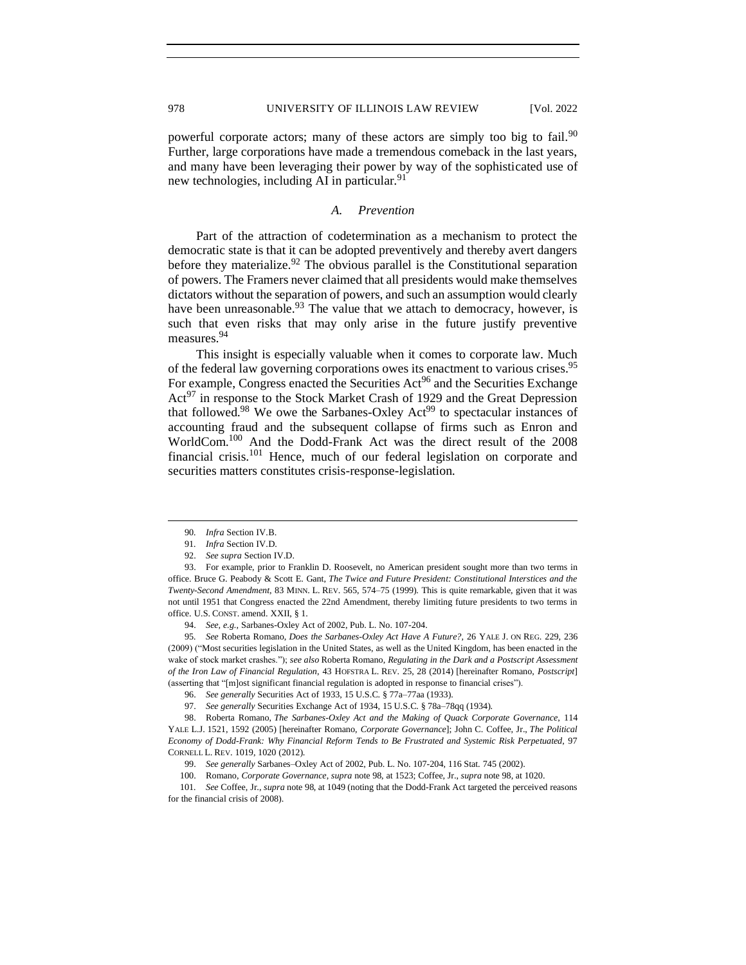powerful corporate actors; many of these actors are simply too big to fail.<sup>90</sup> Further, large corporations have made a tremendous comeback in the last years, and many have been leveraging their power by way of the sophisticated use of new technologies, including AI in particular.<sup>91</sup>

### *A. Prevention*

<span id="page-15-0"></span>Part of the attraction of codetermination as a mechanism to protect the democratic state is that it can be adopted preventively and thereby avert dangers before they materialize.<sup>92</sup> The obvious parallel is the Constitutional separation of powers. The Framers never claimed that all presidents would make themselves dictators without the separation of powers, and such an assumption would clearly have been unreasonable.<sup>93</sup> The value that we attach to democracy, however, is such that even risks that may only arise in the future justify preventive measures.<sup>94</sup>

This insight is especially valuable when it comes to corporate law. Much of the federal law governing corporations owes its enactment to various crises.<sup>95</sup> For example, Congress enacted the Securities  $Act^{96}$  and the Securities Exchange  $Act^{97}$  in response to the Stock Market Crash of 1929 and the Great Depression that followed.<sup>98</sup> We owe the Sarbanes-Oxley Act<sup>99</sup> to spectacular instances of accounting fraud and the subsequent collapse of firms such as Enron and WorldCom.<sup>100</sup> And the Dodd-Frank Act was the direct result of the 2008 financial crisis.<sup>101</sup> Hence, much of our federal legislation on corporate and securities matters constitutes crisis-response-legislation.

95*. See* Roberta Romano, *Does the Sarbanes-Oxley Act Have A Future?,* 26 YALE J. ON REG. 229, 236 (2009) ("Most securities legislation in the United States, as well as the United Kingdom, has been enacted in the wake of stock market crashes."); *see also* Roberta Romano, *Regulating in the Dark and a Postscript Assessment of the Iron Law of Financial Regulation*, 43 HOFSTRA L. REV. 25, 28 (2014) [hereinafter Romano, *Postscript*] (asserting that "[m]ost significant financial regulation is adopted in response to financial crises").

96. *See generally* Securities Act of 1933, 15 U.S.C. § 77a–77aa (1933).

97. *See generally* Securities Exchange Act of 1934, 15 U.S.C. § 78a–78qq (1934).

98. Roberta Romano, *The Sarbanes-Oxley Act and the Making of Quack Corporate Governance*, 114 YALE L.J. 1521, 1592 (2005) [hereinafter Romano, *Corporate Governance*]; John C. Coffee, Jr., *The Political Economy of Dodd-Frank: Why Financial Reform Tends to Be Frustrated and Systemic Risk Perpetuated*, 97 CORNELL L. REV. 1019, 1020 (2012).

99. *See generally* Sarbanes–Oxley Act of 2002, Pub. L. No. 107-204, 116 Stat. 745 (2002).

100. Romano, *Corporate Governance*, *supra* note 98, at 1523; Coffee, Jr., *supra* note 98, at 1020.

101*. See* Coffee, Jr., *supra* note 98, at 1049 (noting that the Dodd-Frank Act targeted the perceived reasons for the financial crisis of 2008).

<sup>90</sup>*. Infra* Section IV.B.

<sup>91</sup>*. Infra* Section IV.D.

<sup>92.</sup> *See supra* Section IV.D.

<sup>93.</sup> For example, prior to Franklin D. Roosevelt, no American president sought more than two terms in office. Bruce G. Peabody & Scott E. Gant, *The Twice and Future President: Constitutional Interstices and the Twenty-Second Amendment*, 83 MINN. L. REV. 565, 574–75 (1999). This is quite remarkable, given that it was not until 1951 that Congress enacted the 22nd Amendment, thereby limiting future presidents to two terms in office. U.S. CONST. amend. XXII, § 1.

<sup>94.</sup> *See, e.g.*, Sarbanes-Oxley Act of 2002, Pub. L. No. 107-204.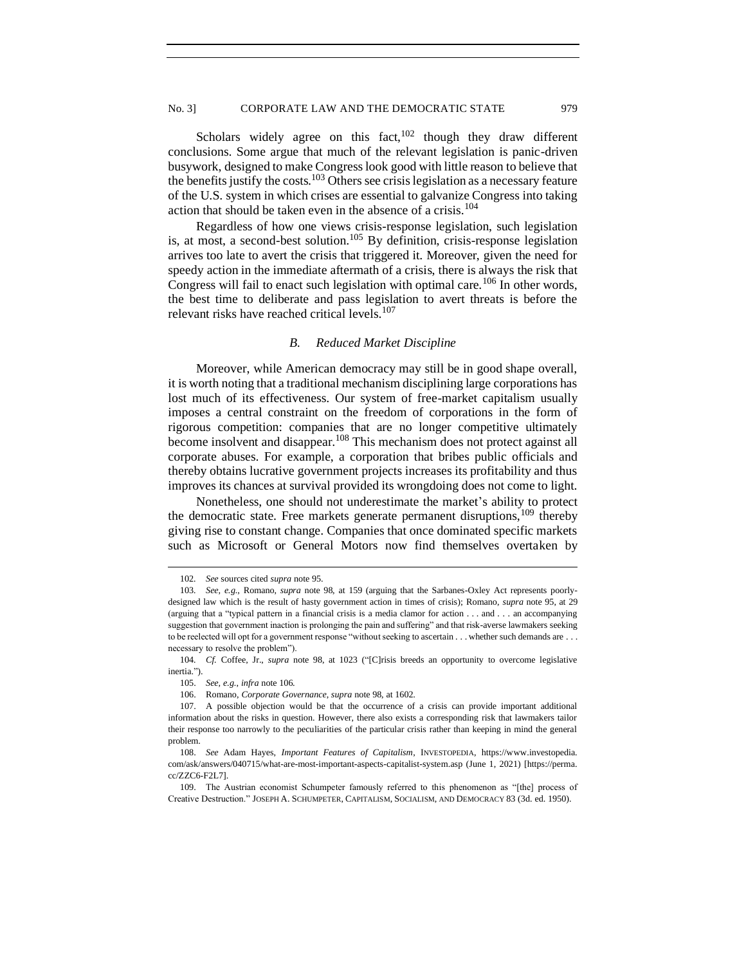# No. 3] CORPORATE LAW AND THE DEMOCRATIC STATE 979

Scholars widely agree on this fact,  $102$  though they draw different conclusions. Some argue that much of the relevant legislation is panic-driven busywork, designed to make Congress look good with little reason to believe that the benefits justify the costs. $103$  Others see crisis legislation as a necessary feature of the U.S. system in which crises are essential to galvanize Congress into taking action that should be taken even in the absence of a crisis.<sup>104</sup>

Regardless of how one views crisis-response legislation, such legislation is, at most, a second-best solution.<sup>105</sup> By definition, crisis-response legislation arrives too late to avert the crisis that triggered it. Moreover, given the need for speedy action in the immediate aftermath of a crisis, there is always the risk that Congress will fail to enact such legislation with optimal care.<sup>106</sup> In other words, the best time to deliberate and pass legislation to avert threats is before the relevant risks have reached critical levels.<sup>107</sup>

### *B. Reduced Market Discipline*

<span id="page-16-0"></span>Moreover, while American democracy may still be in good shape overall, it is worth noting that a traditional mechanism disciplining large corporations has lost much of its effectiveness. Our system of free-market capitalism usually imposes a central constraint on the freedom of corporations in the form of rigorous competition: companies that are no longer competitive ultimately become insolvent and disappear.<sup>108</sup> This mechanism does not protect against all corporate abuses. For example, a corporation that bribes public officials and thereby obtains lucrative government projects increases its profitability and thus improves its chances at survival provided its wrongdoing does not come to light.

Nonetheless, one should not underestimate the market's ability to protect the democratic state. Free markets generate permanent disruptions,  $109$  thereby giving rise to constant change. Companies that once dominated specific markets such as Microsoft or General Motors now find themselves overtaken by

<sup>102</sup>*. See* sources cited *supra* note 95.

<sup>103</sup>*. See, e.g.*, Romano, *supra* note 98, at 159 (arguing that the Sarbanes-Oxley Act represents poorlydesigned law which is the result of hasty government action in times of crisis); Romano, *supra* note 95, at 29 (arguing that a "typical pattern in a financial crisis is a media clamor for action . . . and . . . an accompanying suggestion that government inaction is prolonging the pain and suffering" and that risk-averse lawmakers seeking to be reelected will opt for a government response "without seeking to ascertain . . . whether such demands are . . . necessary to resolve the problem").

<sup>104</sup>*. Cf.* Coffee, Jr., *supra* note 98, at 1023 ("[C]risis breeds an opportunity to overcome legislative inertia.").

<sup>105.</sup> *See, e.g.*, *infra* note 106.

<sup>106.</sup> Romano, *Corporate Governance*, *supra* note 98, at 1602.

<sup>107.</sup> A possible objection would be that the occurrence of a crisis can provide important additional information about the risks in question. However, there also exists a corresponding risk that lawmakers tailor their response too narrowly to the peculiarities of the particular crisis rather than keeping in mind the general problem.

<sup>108.</sup> *See* Adam Hayes, *Important Features of Capitalism*, INVESTOPEDIA, https://www.investopedia. com/ask/answers/040715/what-are-most-important-aspects-capitalist-system.asp (June 1, 2021) [https://perma. cc/ZZC6-F2L7].

<sup>109.</sup> The Austrian economist Schumpeter famously referred to this phenomenon as "[the] process of Creative Destruction." JOSEPH A. SCHUMPETER, CAPITALISM, SOCIALISM, AND DEMOCRACY 83 (3d. ed. 1950).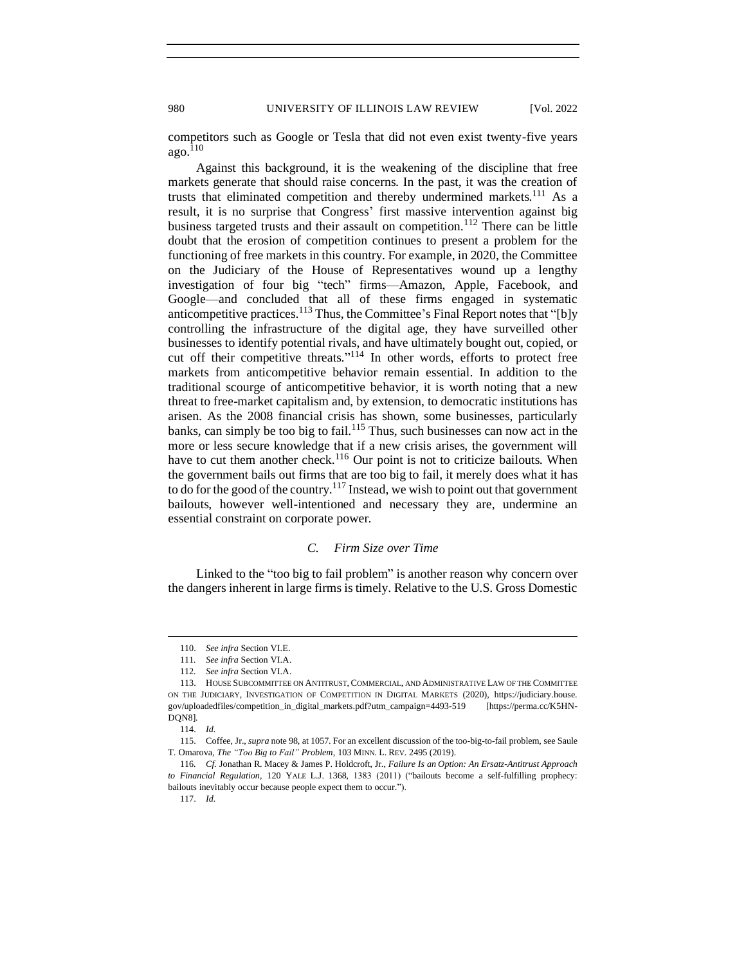competitors such as Google or Tesla that did not even exist twenty-five years  $ago.<sup>110</sup>$ 

Against this background, it is the weakening of the discipline that free markets generate that should raise concerns. In the past, it was the creation of trusts that eliminated competition and thereby undermined markets.<sup>111</sup> As a result, it is no surprise that Congress' first massive intervention against big business targeted trusts and their assault on competition.<sup>112</sup> There can be little doubt that the erosion of competition continues to present a problem for the functioning of free markets in this country. For example, in 2020, the Committee on the Judiciary of the House of Representatives wound up a lengthy investigation of four big "tech" firms—Amazon, Apple, Facebook, and Google—and concluded that all of these firms engaged in systematic anticompetitive practices.<sup>113</sup> Thus, the Committee's Final Report notes that "[b]y controlling the infrastructure of the digital age, they have surveilled other businesses to identify potential rivals, and have ultimately bought out, copied, or cut off their competitive threats."<sup>114</sup> In other words, efforts to protect free markets from anticompetitive behavior remain essential. In addition to the traditional scourge of anticompetitive behavior, it is worth noting that a new threat to free-market capitalism and, by extension, to democratic institutions has arisen. As the 2008 financial crisis has shown, some businesses, particularly banks, can simply be too big to fail.<sup>115</sup> Thus, such businesses can now act in the more or less secure knowledge that if a new crisis arises, the government will have to cut them another check.<sup>116</sup> Our point is not to criticize bailouts. When the government bails out firms that are too big to fail, it merely does what it has to do for the good of the country.<sup>117</sup> Instead, we wish to point out that government bailouts, however well-intentioned and necessary they are, undermine an essential constraint on corporate power.

# *C. Firm Size over Time*

<span id="page-17-0"></span>Linked to the "too big to fail problem" is another reason why concern over the dangers inherent in large firms is timely. Relative to the U.S. Gross Domestic

<sup>110.</sup> *See infra* Section VI.E.

<sup>111</sup>*. See infra* Section VI.A.

<sup>112</sup>*. See infra* Section VI.A.

<sup>113.</sup> HOUSE SUBCOMMITTEE ON ANTITRUST, COMMERCIAL, AND ADMINISTRATIVE LAW OF THE COMMITTEE ON THE JUDICIARY, INVESTIGATION OF COMPETITION IN DIGITAL MARKETS (2020), https://judiciary.house. gov/uploadedfiles/competition\_in\_digital\_markets.pdf?utm\_campaign=4493-519 [https://perma.cc/K5HN-DQN8].

<sup>114.</sup> *Id.*

<sup>115.</sup> Coffee, Jr., *supra* note 98, at 1057. For an excellent discussion of the too-big-to-fail problem, see Saule T. Omarova, *The "Too Big to Fail" Problem*, 103 MINN. L. REV. 2495 (2019).

<sup>116</sup>*. Cf.* Jonathan R. Macey & James P. Holdcroft, Jr., *Failure Is an Option: An Ersatz-Antitrust Approach to Financial Regulation*, 120 YALE L.J. 1368, 1383 (2011) ("bailouts become a self-fulfilling prophecy: bailouts inevitably occur because people expect them to occur.").

<sup>117.</sup> *Id.*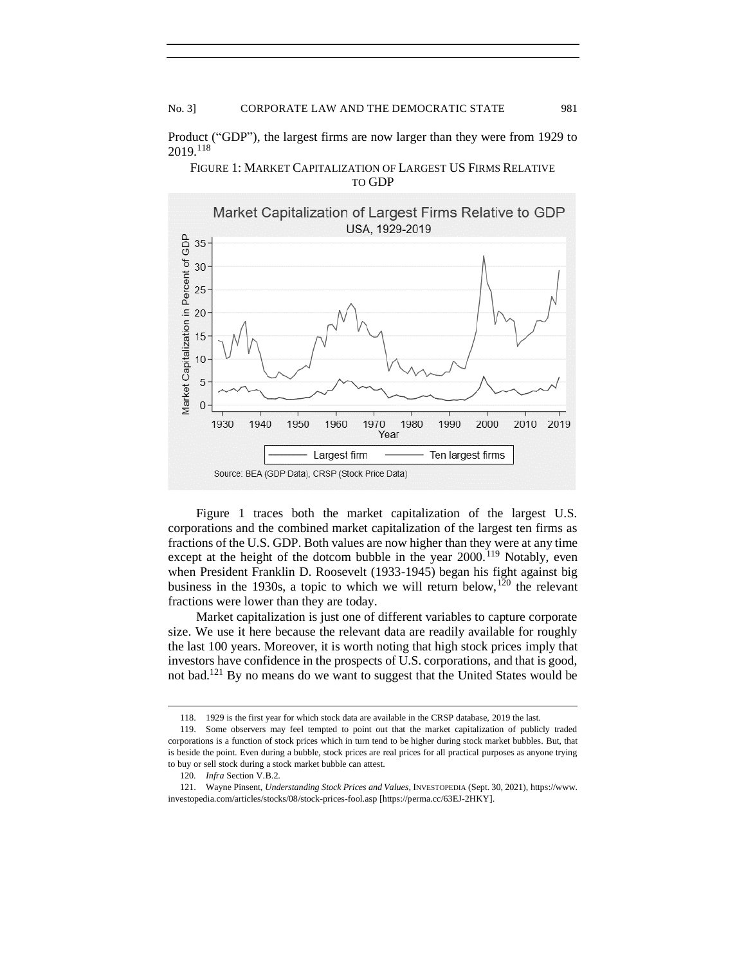Product ("GDP"), the largest firms are now larger than they were from 1929 to 2019.<sup>118</sup>



# FIGURE 1: MARKET CAPITALIZATION OF LARGEST US FIRMS RELATIVE TO GDP

Figure 1 traces both the market capitalization of the largest U.S. corporations and the combined market capitalization of the largest ten firms as fractions of the U.S. GDP. Both values are now higher than they were at any time except at the height of the dotcom bubble in the year  $2000$ .<sup>119</sup> Notably, even when President Franklin D. Roosevelt (1933-1945) began his fight against big business in the 1930s, a topic to which we will return below,<sup>120</sup> the relevant fractions were lower than they are today.

Market capitalization is just one of different variables to capture corporate size. We use it here because the relevant data are readily available for roughly the last 100 years. Moreover, it is worth noting that high stock prices imply that investors have confidence in the prospects of U.S. corporations, and that is good, not bad.<sup>121</sup> By no means do we want to suggest that the United States would be

<sup>118.</sup> 1929 is the first year for which stock data are available in the CRSP database, 2019 the last.

<sup>119.</sup> Some observers may feel tempted to point out that the market capitalization of publicly traded corporations is a function of stock prices which in turn tend to be higher during stock market bubbles. But, that is beside the point. Even during a bubble, stock prices are real prices for all practical purposes as anyone trying to buy or sell stock during a stock market bubble can attest.

<sup>120</sup>*. Infra* Section V.B.2.

<sup>121.</sup> Wayne Pinsent, *Understanding Stock Prices and Values*, INVESTOPEDIA (Sept. 30, 2021), https://www. investopedia.com/articles/stocks/08/stock-prices-fool.asp [https://perma.cc/63EJ-2HKY].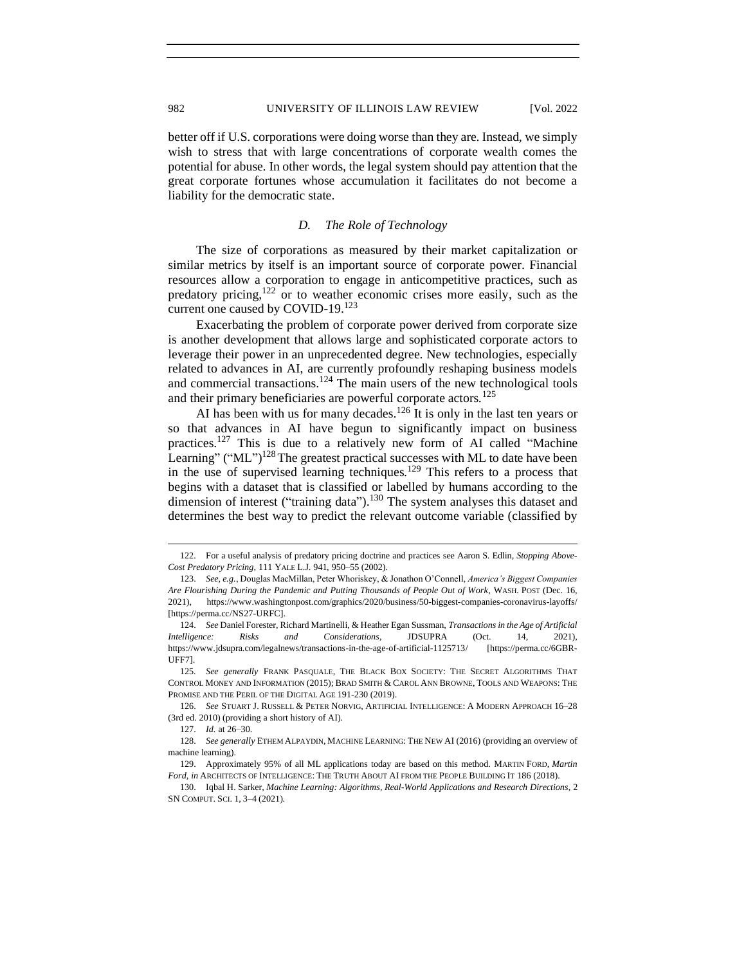better off if U.S. corporations were doing worse than they are. Instead, we simply wish to stress that with large concentrations of corporate wealth comes the potential for abuse. In other words, the legal system should pay attention that the great corporate fortunes whose accumulation it facilitates do not become a liability for the democratic state.

# *D. The Role of Technology*

<span id="page-19-0"></span>The size of corporations as measured by their market capitalization or similar metrics by itself is an important source of corporate power. Financial resources allow a corporation to engage in anticompetitive practices, such as predatory pricing, $122$  or to weather economic crises more easily, such as the current one caused by COVID-19.<sup>123</sup>

Exacerbating the problem of corporate power derived from corporate size is another development that allows large and sophisticated corporate actors to leverage their power in an unprecedented degree. New technologies, especially related to advances in AI, are currently profoundly reshaping business models and commercial transactions.<sup>124</sup> The main users of the new technological tools and their primary beneficiaries are powerful corporate actors.<sup>125</sup>

AI has been with us for many decades.<sup>126</sup> It is only in the last ten years or so that advances in AI have begun to significantly impact on business practices.<sup>127</sup> This is due to a relatively new form of AI called "Machine Learning" ("ML")<sup>128</sup> The greatest practical successes with ML to date have been in the use of supervised learning techniques.<sup>129</sup> This refers to a process that begins with a dataset that is classified or labelled by humans according to the dimension of interest ("training data").<sup>130</sup> The system analyses this dataset and determines the best way to predict the relevant outcome variable (classified by

<sup>122.</sup> For a useful analysis of predatory pricing doctrine and practices see Aaron S. Edlin, *Stopping Above-Cost Predatory Pricing*, 111 YALE L.J. 941, 950–55 (2002).

<sup>123.</sup> *See, e.g.*, Douglas MacMillan, Peter Whoriskey, & Jonathon O'Connell, *America's Biggest Companies Are Flourishing During the Pandemic and Putting Thousands of People Out of Work*, WASH. POST (Dec. 16, 2021), https://www.washingtonpost.com/graphics/2020/business/50-biggest-companies-coronavirus-layoffs/ [https://perma.cc/NS27-URFC].

<sup>124.</sup> *See* Daniel Forester, Richard Martinelli, & Heather Egan Sussman, *Transactions in the Age of Artificial Intelligence: Risks and Considerations*, JDSUPRA (Oct. 14, 2021), https://www.jdsupra.com/legalnews/transactions-in-the-age-of-artificial-1125713/ [https://perma.cc/6GBR-UFF7].

<sup>125</sup>*. See generally* FRANK PASQUALE, THE BLACK BOX SOCIETY: THE SECRET ALGORITHMS THAT CONTROL MONEY AND INFORMATION (2015); BRAD SMITH & CAROL ANN BROWNE, TOOLS AND WEAPONS: THE PROMISE AND THE PERIL OF THE DIGITAL AGE 191-230 (2019).

<sup>126.</sup> *See* STUART J. RUSSELL & PETER NORVIG, ARTIFICIAL INTELLIGENCE: A MODERN APPROACH 16–28 (3rd ed. 2010) (providing a short history of AI).

<sup>127.</sup> *Id.* at 26–30.

<sup>128.</sup> *See generally* ETHEM ALPAYDIN, MACHINE LEARNING: THE NEW AI (2016) (providing an overview of machine learning).

<sup>129.</sup> Approximately 95% of all ML applications today are based on this method. MARTIN FORD, *Martin Ford, in* ARCHITECTS OF INTELLIGENCE: THE TRUTH ABOUT AI FROM THE PEOPLE BUILDING IT 186 (2018).

<sup>130.</sup> Iqbal H. Sarker, *Machine Learning: Algorithms, Real-World Applications and Research Directions*, 2 SN COMPUT. SCI. 1, 3–4 (2021).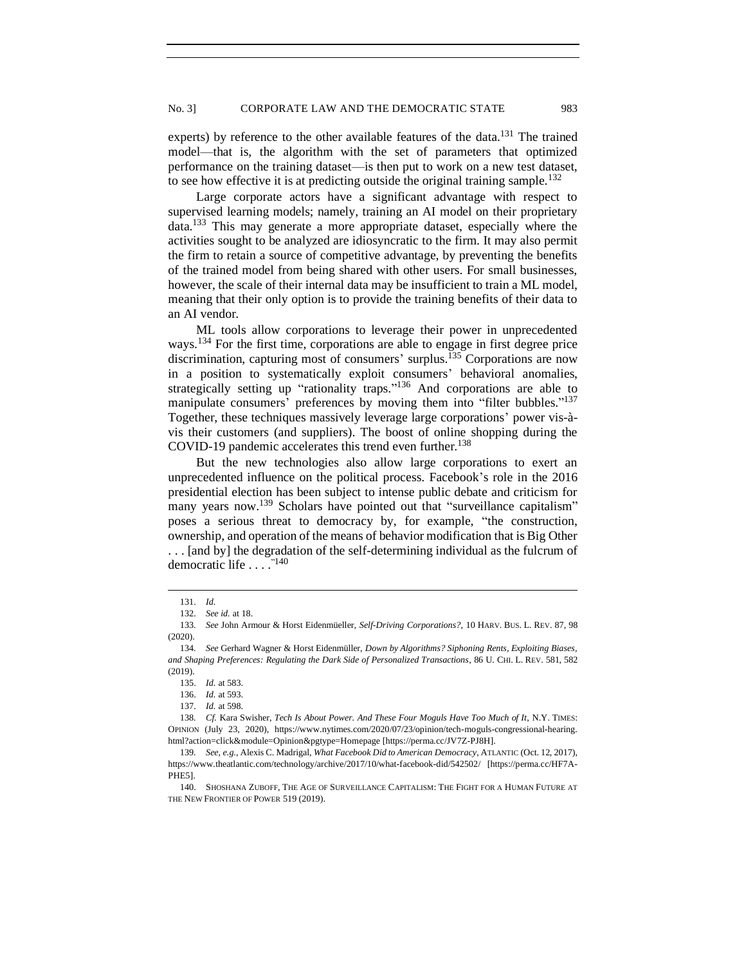experts) by reference to the other available features of the data.<sup>131</sup> The trained model—that is, the algorithm with the set of parameters that optimized performance on the training dataset—is then put to work on a new test dataset, to see how effective it is at predicting outside the original training sample.<sup>132</sup>

Large corporate actors have a significant advantage with respect to supervised learning models; namely, training an AI model on their proprietary data.<sup>133</sup> This may generate a more appropriate dataset, especially where the activities sought to be analyzed are idiosyncratic to the firm. It may also permit the firm to retain a source of competitive advantage, by preventing the benefits of the trained model from being shared with other users. For small businesses, however, the scale of their internal data may be insufficient to train a ML model, meaning that their only option is to provide the training benefits of their data to an AI vendor.

ML tools allow corporations to leverage their power in unprecedented ways.<sup>134</sup> For the first time, corporations are able to engage in first degree price discrimination, capturing most of consumers' surplus.<sup> $135$ </sup> Corporations are now in a position to systematically exploit consumers' behavioral anomalies, strategically setting up "rationality traps."<sup>136</sup> And corporations are able to manipulate consumers' preferences by moving them into "filter bubbles."<sup>137</sup> Together, these techniques massively leverage large corporations' power vis-àvis their customers (and suppliers). The boost of online shopping during the COVID-19 pandemic accelerates this trend even further.<sup>138</sup>

But the new technologies also allow large corporations to exert an unprecedented influence on the political process. Facebook's role in the 2016 presidential election has been subject to intense public debate and criticism for many years now.<sup>139</sup> Scholars have pointed out that "surveillance capitalism" poses a serious threat to democracy by, for example, "the construction, ownership, and operation of the means of behavior modification that is Big Other . . . [and by] the degradation of the self-determining individual as the fulcrum of democratic life . . . . "140

<sup>131.</sup> *Id.*

<sup>132.</sup> *See id.* at 18.

<sup>133</sup>*. See* John Armour & Horst Eidenmüeller, *Self-Driving Corporations?*, 10 HARV. BUS. L. REV. 87, 98 (2020).

<sup>134</sup>*. See* Gerhard Wagner & Horst Eidenmüller, *Down by Algorithms? Siphoning Rents, Exploiting Biases, and Shaping Preferences: Regulating the Dark Side of Personalized Transactions*, 86 U. CHI. L. REV. 581, 582 (2019).

<sup>135.</sup> *Id.* at 583.

<sup>136.</sup> *Id.* at 593.

<sup>137.</sup> *Id.* at 598.

<sup>138</sup>*. Cf.* Kara Swisher, *Tech Is About Power. And These Four Moguls Have Too Much of It*, N.Y. TIMES: OPINION (July 23, 2020), https://www.nytimes.com/2020/07/23/opinion/tech-moguls-congressional-hearing. html?action=click&module=Opinion&pgtype=Homepage [https://perma.cc/JV7Z-PJ8H].

<sup>139</sup>*. See, e.g*., Alexis C. Madrigal, *What Facebook Did to American Democracy*, ATLANTIC (Oct. 12, 2017), https://www.theatlantic.com/technology/archive/2017/10/what-facebook-did/542502/ [https://perma.cc/HF7A-PHE5].

<sup>140.</sup> SHOSHANA ZUBOFF, THE AGE OF SURVEILLANCE CAPITALISM: THE FIGHT FOR A HUMAN FUTURE AT THE NEW FRONTIER OF POWER 519 (2019).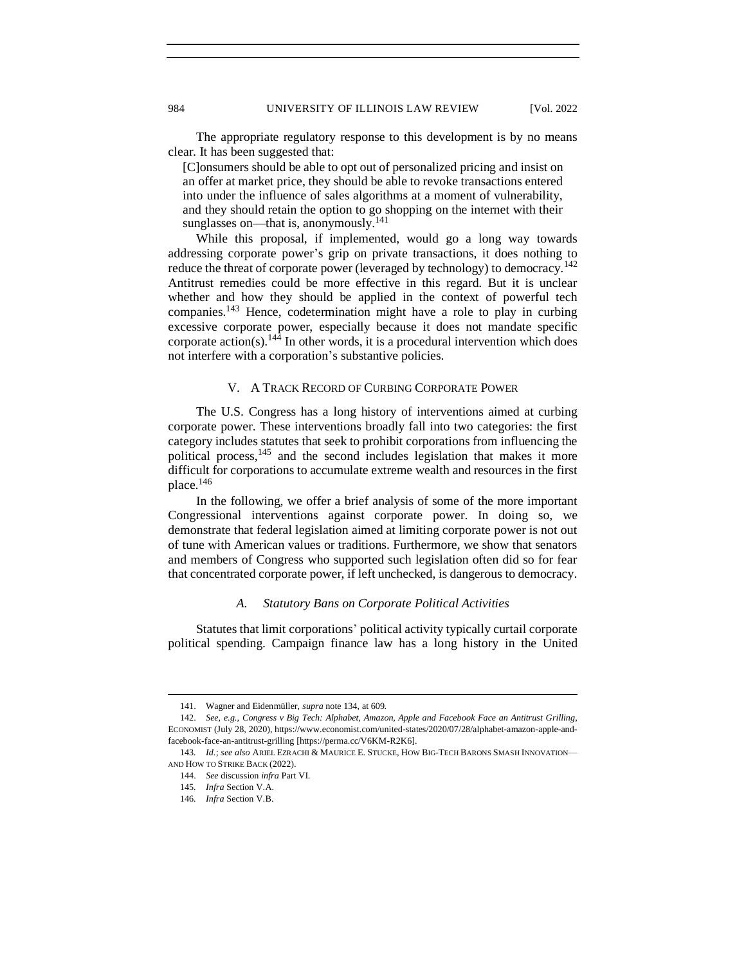The appropriate regulatory response to this development is by no means clear. It has been suggested that:

[C]onsumers should be able to opt out of personalized pricing and insist on an offer at market price, they should be able to revoke transactions entered into under the influence of sales algorithms at a moment of vulnerability, and they should retain the option to go shopping on the internet with their sunglasses on—that is, anonymously.<sup>141</sup>

While this proposal, if implemented, would go a long way towards addressing corporate power's grip on private transactions, it does nothing to reduce the threat of corporate power (leveraged by technology) to democracy.<sup>142</sup> Antitrust remedies could be more effective in this regard. But it is unclear whether and how they should be applied in the context of powerful tech companies.<sup>143</sup> Hence, codetermination might have a role to play in curbing excessive corporate power, especially because it does not mandate specific corporate action(s).<sup>144</sup> In other words, it is a procedural intervention which does not interfere with a corporation's substantive policies.

# V. A TRACK RECORD OF CURBING CORPORATE POWER

<span id="page-21-0"></span>The U.S. Congress has a long history of interventions aimed at curbing corporate power. These interventions broadly fall into two categories: the first category includes statutes that seek to prohibit corporations from influencing the political process,<sup>145</sup> and the second includes legislation that makes it more difficult for corporations to accumulate extreme wealth and resources in the first place.<sup>146</sup>

In the following, we offer a brief analysis of some of the more important Congressional interventions against corporate power. In doing so, we demonstrate that federal legislation aimed at limiting corporate power is not out of tune with American values or traditions. Furthermore, we show that senators and members of Congress who supported such legislation often did so for fear that concentrated corporate power, if left unchecked, is dangerous to democracy.

# *A. Statutory Bans on Corporate Political Activities*

<span id="page-21-1"></span>Statutes that limit corporations' political activity typically curtail corporate political spending. Campaign finance law has a long history in the United

<sup>141.</sup> Wagner and Eidenmüller, *supra* note 134, at 609.

<sup>142.</sup> *See, e.g.*, *Congress v Big Tech: Alphabet, Amazon, Apple and Facebook Face an Antitrust Grilling*, ECONOMIST (July 28, 2020), https://www.economist.com/united-states/2020/07/28/alphabet-amazon-apple-andfacebook-face-an-antitrust-grilling [https://perma.cc/V6KM-R2K6].

<sup>143</sup>*. Id.*; *see also* ARIEL EZRACHI & MAURICE E. STUCKE, HOW BIG-TECH BARONS SMASH INNOVATION— AND HOW TO STRIKE BACK (2022).

<sup>144.</sup> *See* discussion *infra* Part VI.

<sup>145</sup>*. Infra* Section V.A.

<sup>146</sup>*. Infra* Section V.B.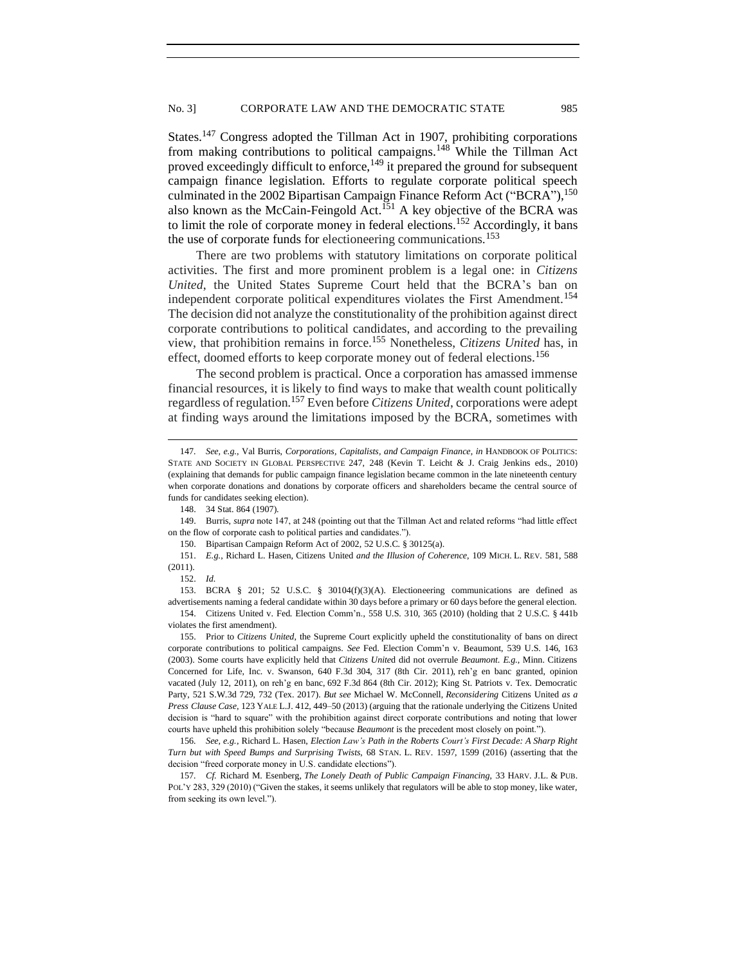States.<sup>147</sup> Congress adopted the Tillman Act in 1907, prohibiting corporations from making contributions to political campaigns.<sup>148</sup> While the Tillman Act proved exceedingly difficult to enforce,<sup>149</sup> it prepared the ground for subsequent campaign finance legislation. Efforts to regulate corporate political speech culminated in the 2002 Bipartisan Campaign Finance Reform Act ("BCRA"),<sup>150</sup> also known as the McCain-Feingold Act.<sup>151</sup> A key objective of the BCRA was to limit the role of corporate money in federal elections.<sup>152</sup> Accordingly, it bans the use of corporate funds for electioneering communications.<sup>153</sup>

There are two problems with statutory limitations on corporate political activities. The first and more prominent problem is a legal one: in *Citizens United*, the United States Supreme Court held that the BCRA's ban on independent corporate political expenditures violates the First Amendment.<sup>154</sup> The decision did not analyze the constitutionality of the prohibition against direct corporate contributions to political candidates, and according to the prevailing view, that prohibition remains in force.<sup>155</sup> Nonetheless, *Citizens United* has, in effect, doomed efforts to keep corporate money out of federal elections.<sup>156</sup>

The second problem is practical. Once a corporation has amassed immense financial resources, it is likely to find ways to make that wealth count politically regardless of regulation.<sup>157</sup> Even before *Citizens United*, corporations were adept at finding ways around the limitations imposed by the BCRA, sometimes with

148. 34 Stat. 864 (1907).

149. Burris, *supra* note 147, at 248 (pointing out that the Tillman Act and related reforms "had little effect on the flow of corporate cash to political parties and candidates.").

150. Bipartisan Campaign Reform Act of 2002, 52 U.S.C. § 30125(a).

153. BCRA § 201; 52 U.S.C. § 30104(f)(3)(A). Electioneering communications are defined as advertisements naming a federal candidate within 30 days before a primary or 60 days before the general election. 154. Citizens United v. Fed. Election Comm'n., 558 U.S. 310, 365 (2010) (holding that 2 U.S.C. § 441b

155. Prior to *Citizens United*, the Supreme Court explicitly upheld the constitutionality of bans on direct corporate contributions to political campaigns. *See* Fed. Election Comm'n v. Beaumont, 539 U.S. 146, 163 (2003). Some courts have explicitly held that *Citizens Unite*d did not overrule *Beaumont*. *E.g.*, Minn. Citizens Concerned for Life, Inc. v. Swanson, 640 F.3d 304, 317 (8th Cir. 2011), reh'g en banc granted, opinion vacated (July 12, 2011), on reh'g en banc, 692 F.3d 864 (8th Cir. 2012); King St. Patriots v. Tex. Democratic Party, 521 S.W.3d 729, 732 (Tex. 2017). *But see* Michael W. McConnell, *Reconsidering* Citizens United *as a Press Clause Case*, 123 YALE L.J. 412, 449–50 (2013) (arguing that the rationale underlying the Citizens United decision is "hard to square" with the prohibition against direct corporate contributions and noting that lower courts have upheld this prohibition solely "because *Beaumont* is the precedent most closely on point.").

156*. See, e.g.*, Richard L. Hasen, *Election Law's Path in the Roberts Court's First Decade: A Sharp Right Turn but with Speed Bumps and Surprising Twists*, 68 STAN. L. REV. 1597, 1599 (2016) (asserting that the decision "freed corporate money in U.S. candidate elections").

157*. Cf.* Richard M. Esenberg, *The Lonely Death of Public Campaign Financing*, 33 HARV. J.L. & PUB. POL'Y 283, 329 (2010) ("Given the stakes, it seems unlikely that regulators will be able to stop money, like water, from seeking its own level.").

<sup>147</sup>*. See, e.g.*, Val Burris, *Corporations, Capitalists, and Campaign Finance*, *in* HANDBOOK OF POLITICS: STATE AND SOCIETY IN GLOBAL PERSPECTIVE 247, 248 (Kevin T. Leicht & J. Craig Jenkins eds., 2010) (explaining that demands for public campaign finance legislation became common in the late nineteenth century when corporate donations and donations by corporate officers and shareholders became the central source of funds for candidates seeking election).

<sup>151.</sup> *E.g.*, Richard L. Hasen, Citizens United *and the Illusion of Coherence*, 109 MICH. L. REV. 581, 588 (2011).

<sup>152.</sup> *Id.*

violates the first amendment).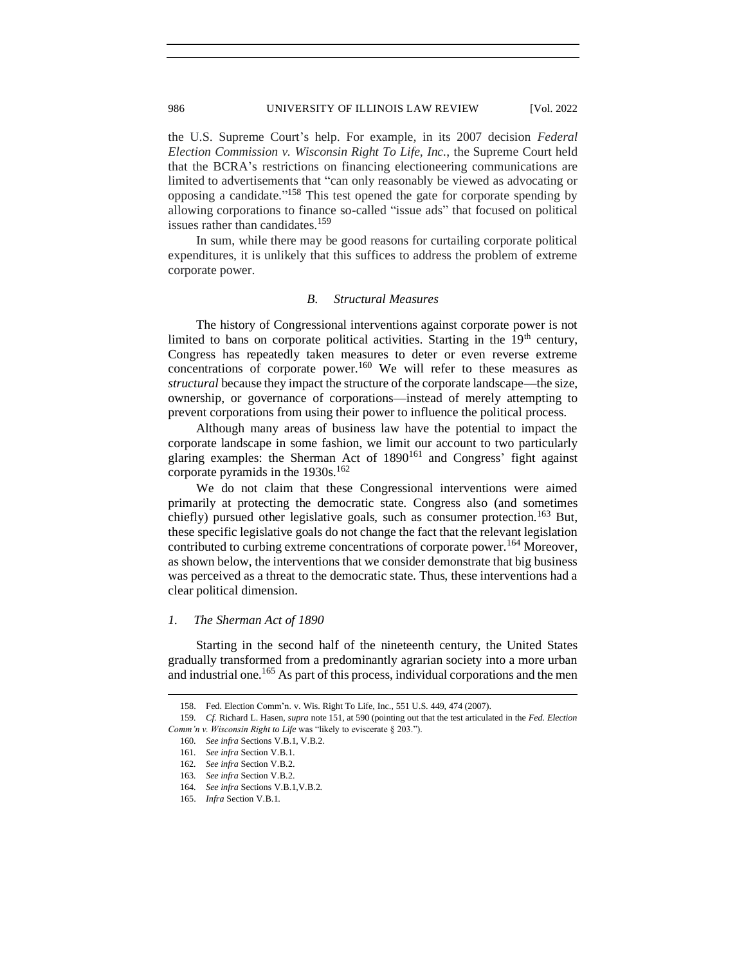the U.S. Supreme Court's help. For example, in its 2007 decision *Federal Election Commission v. Wisconsin Right To Life, Inc.*, the Supreme Court held that the BCRA's restrictions on financing electioneering communications are limited to advertisements that "can only reasonably be viewed as advocating or opposing a candidate." <sup>158</sup> This test opened the gate for corporate spending by allowing corporations to finance so-called "issue ads" that focused on political issues rather than candidates.<sup>159</sup>

In sum, while there may be good reasons for curtailing corporate political expenditures, it is unlikely that this suffices to address the problem of extreme corporate power.

### *B. Structural Measures*

<span id="page-23-0"></span>The history of Congressional interventions against corporate power is not limited to bans on corporate political activities. Starting in the  $19<sup>th</sup>$  century, Congress has repeatedly taken measures to deter or even reverse extreme concentrations of corporate power.<sup>160</sup> We will refer to these measures as *structural* because they impact the structure of the corporate landscape—the size, ownership, or governance of corporations—instead of merely attempting to prevent corporations from using their power to influence the political process.

Although many areas of business law have the potential to impact the corporate landscape in some fashion, we limit our account to two particularly glaring examples: the Sherman Act of  $1890^{161}$  and Congress' fight against corporate pyramids in the  $1930s$ .<sup>162</sup>

We do not claim that these Congressional interventions were aimed primarily at protecting the democratic state. Congress also (and sometimes chiefly) pursued other legislative goals, such as consumer protection.<sup>163</sup> But, these specific legislative goals do not change the fact that the relevant legislation contributed to curbing extreme concentrations of corporate power.<sup>164</sup> Moreover, as shown below, the interventions that we consider demonstrate that big business was perceived as a threat to the democratic state. Thus, these interventions had a clear political dimension.

### <span id="page-23-1"></span>*1. The Sherman Act of 1890*

Starting in the second half of the nineteenth century, the United States gradually transformed from a predominantly agrarian society into a more urban and industrial one.<sup>165</sup> As part of this process, individual corporations and the men

<sup>158.</sup> Fed. Election Comm'n. v. Wis. Right To Life, Inc., 551 U.S. 449, 474 (2007).

<sup>159</sup>*. Cf.* Richard L. Hasen, *supra* note 151, at 590 (pointing out that the test articulated in the *Fed. Election Comm'n v. Wisconsin Right to Life* was "likely to eviscerate § 203.").

<sup>160</sup>*. See infra* Sections V.B.1, V.B.2.

<sup>161</sup>*. See infra* Section V.B.1.

<sup>162</sup>*. See infra* Section V.B.2.

<sup>163</sup>*. See infra* Section V.B.2.

<sup>164</sup>*. See infra* Sections V.B.1,V.B.2.

<sup>165.</sup> *Infra* Section V.B.1.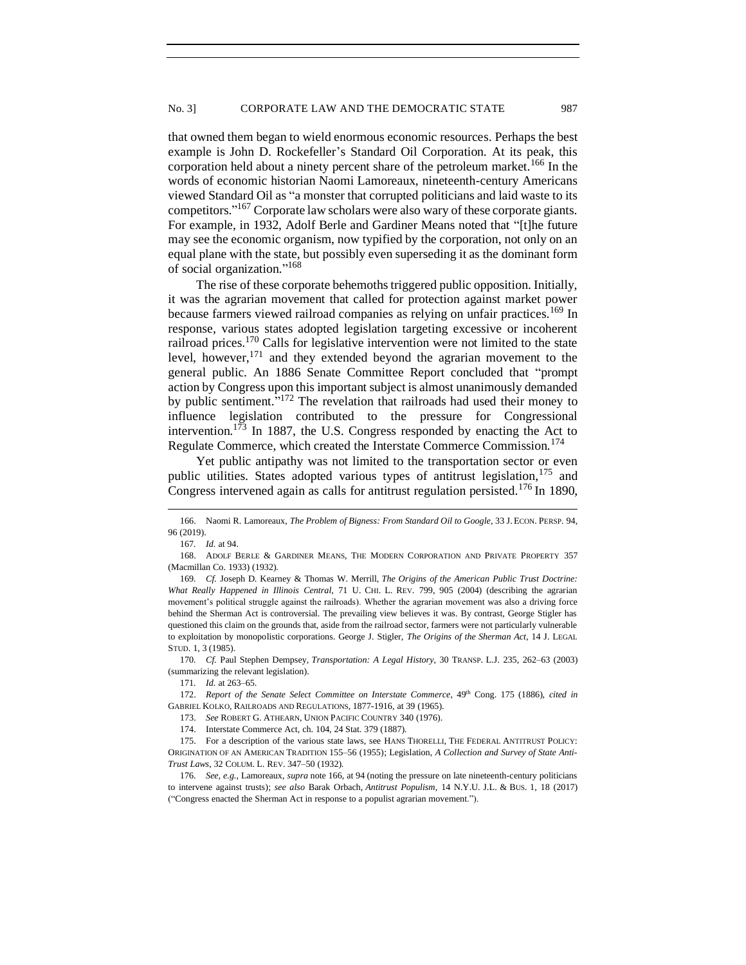that owned them began to wield enormous economic resources. Perhaps the best example is John D. Rockefeller's Standard Oil Corporation. At its peak, this corporation held about a ninety percent share of the petroleum market.<sup>166</sup> In the words of economic historian Naomi Lamoreaux, nineteenth-century Americans viewed Standard Oil as "a monster that corrupted politicians and laid waste to its competitors." <sup>167</sup> Corporate law scholars were also wary of these corporate giants. For example, in 1932, Adolf Berle and Gardiner Means noted that "[t]he future may see the economic organism, now typified by the corporation, not only on an equal plane with the state, but possibly even superseding it as the dominant form of social organization." 168

The rise of these corporate behemoths triggered public opposition. Initially, it was the agrarian movement that called for protection against market power because farmers viewed railroad companies as relying on unfair practices.<sup>169</sup> In response, various states adopted legislation targeting excessive or incoherent railroad prices.<sup>170</sup> Calls for legislative intervention were not limited to the state level, however,  $171$  and they extended beyond the agrarian movement to the general public. An 1886 Senate Committee Report concluded that "prompt action by Congress upon this important subject is almost unanimously demanded by public sentiment."<sup>172</sup> The revelation that railroads had used their money to influence legislation contributed to the pressure for Congressional intervention.<sup>173</sup> In 1887, the U.S. Congress responded by enacting the Act to Regulate Commerce, which created the Interstate Commerce Commission.<sup>174</sup>

Yet public antipathy was not limited to the transportation sector or even public utilities. States adopted various types of antitrust legislation,<sup>175</sup> and Congress intervened again as calls for antitrust regulation persisted.<sup>176</sup> In 1890,

170*. Cf.* Paul Stephen Dempsey, *Transportation: A Legal History*, 30 TRANSP. L.J. 235, 262–63 (2003) (summarizing the relevant legislation).

173. *See* ROBERT G. ATHEARN, UNION PACIFIC COUNTRY 340 (1976).

174. Interstate Commerce Act, ch. 104, 24 Stat. 379 (1887).

<sup>166.</sup> Naomi R. Lamoreaux, *The Problem of Bigness: From Standard Oil to Google*, 33 J.ECON. PERSP. 94, 96 (2019).

<sup>167</sup>*. Id.* at 94.

<sup>168.</sup> ADOLF BERLE & GARDINER MEANS, THE MODERN CORPORATION AND PRIVATE PROPERTY 357 (Macmillan Co. 1933) (1932).

<sup>169</sup>*. Cf.* Joseph D. Kearney & Thomas W. Merrill, *The Origins of the American Public Trust Doctrine: What Really Happened in Illinois Central*, 71 U. CHI. L. REV. 799, 905 (2004) (describing the agrarian movement's political struggle against the railroads). Whether the agrarian movement was also a driving force behind the Sherman Act is controversial. The prevailing view believes it was. By contrast, George Stigler has questioned this claim on the grounds that, aside from the railroad sector, farmers were not particularly vulnerable to exploitation by monopolistic corporations. George J. Stigler, *The Origins of the Sherman Act*, 14 J. LEGAL STUD. 1, 3 (1985).

<sup>171</sup>*. Id.* at 263–65.

<sup>172.</sup> *Report of the Senate Select Committee on Interstate Commerce*, 49th Cong. 175 (1886), *cited in* GABRIEL KOLKO, RAILROADS AND REGULATIONS, 1877-1916, at 39 (1965).

<sup>175.</sup> For a description of the various state laws, see HANS THORELLI, THE FEDERAL ANTITRUST POLICY: ORIGINATION OF AN AMERICAN TRADITION 155–56 (1955); Legislation, *A Collection and Survey of State Anti-Trust Laws*, 32 COLUM. L. REV. 347–50 (1932).

<sup>176</sup>*. See, e.g.*, Lamoreaux, *supra* note 166, at 94 (noting the pressure on late nineteenth-century politicians to intervene against trusts); *see also* Barak Orbach, *Antitrust Populism*, 14 N.Y.U. J.L. & BUS. 1, 18 (2017) ("Congress enacted the Sherman Act in response to a populist agrarian movement.").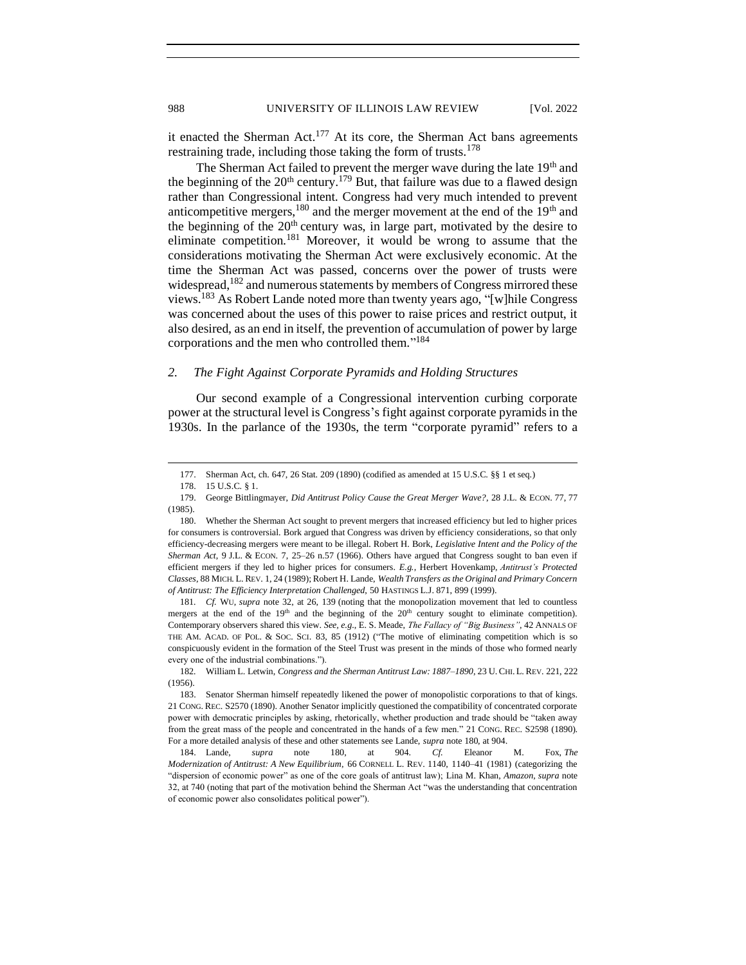it enacted the Sherman Act.<sup>177</sup> At its core, the Sherman Act bans agreements restraining trade, including those taking the form of trusts.<sup>178</sup>

The Sherman Act failed to prevent the merger wave during the late 19<sup>th</sup> and the beginning of the  $20<sup>th</sup>$  century.<sup>179</sup> But, that failure was due to a flawed design rather than Congressional intent. Congress had very much intended to prevent anticompetitive mergers,<sup>180</sup> and the merger movement at the end of the  $19<sup>th</sup>$  and the beginning of the 20th century was, in large part, motivated by the desire to eliminate competition.<sup>181</sup> Moreover, it would be wrong to assume that the considerations motivating the Sherman Act were exclusively economic. At the time the Sherman Act was passed, concerns over the power of trusts were widespread,  $182$  and numerous statements by members of Congress mirrored these views.<sup>183</sup> As Robert Lande noted more than twenty years ago, "[w]hile Congress was concerned about the uses of this power to raise prices and restrict output, it also desired, as an end in itself, the prevention of accumulation of power by large corporations and the men who controlled them." 184

### <span id="page-25-0"></span>*2. The Fight Against Corporate Pyramids and Holding Structures*

Our second example of a Congressional intervention curbing corporate power at the structural level is Congress's fight against corporate pyramids in the 1930s. In the parlance of the 1930s, the term "corporate pyramid" refers to a

181*. Cf.* WU, *supra* note 32, at 26, 139 (noting that the monopolization movement that led to countless mergers at the end of the  $19<sup>th</sup>$  and the beginning of the  $20<sup>th</sup>$  century sought to eliminate competition). Contemporary observers shared this view. *See, e.g.*, E. S. Meade, *The Fallacy of "Big Business"*, 42 ANNALS OF THE AM. ACAD. OF POL. & SOC. SCI. 83, 85 (1912) ("The motive of eliminating competition which is so conspicuously evident in the formation of the Steel Trust was present in the minds of those who formed nearly every one of the industrial combinations.").

<sup>177.</sup> Sherman Act, ch. 647, 26 Stat. 209 (1890) (codified as amended at 15 U.S.C. §§ 1 et seq.)

<sup>178.</sup> 15 U.S.C. § 1.

<sup>179.</sup> George Bittlingmayer, *Did Antitrust Policy Cause the Great Merger Wave?*, 28 J.L. & ECON. 77, 77 (1985).

<sup>180.</sup> Whether the Sherman Act sought to prevent mergers that increased efficiency but led to higher prices for consumers is controversial. Bork argued that Congress was driven by efficiency considerations, so that only efficiency-decreasing mergers were meant to be illegal. Robert H. Bork, *Legislative Intent and the Policy of the Sherman Act*, 9 J.L. & ECON. 7, 25–26 n.57 (1966). Others have argued that Congress sought to ban even if efficient mergers if they led to higher prices for consumers. *E.g.*, Herbert Hovenkamp, *Antitrust's Protected Classes*, 88 MICH. L. REV. 1, 24 (1989); Robert H. Lande, *Wealth Transfers as the Original and Primary Concern of Antitrust: The Efficiency Interpretation Challenged*, 50 HASTINGS L.J. 871, 899 (1999).

<sup>182</sup>*.* William L. Letwin, *Congress and the Sherman Antitrust Law: 1887–1890*, 23 U. CHI.L. REV. 221, 222 (1956).

<sup>183.</sup> Senator Sherman himself repeatedly likened the power of monopolistic corporations to that of kings. 21 CONG. REC. S2570 (1890). Another Senator implicitly questioned the compatibility of concentrated corporate power with democratic principles by asking, rhetorically, whether production and trade should be "taken away from the great mass of the people and concentrated in the hands of a few men." 21 CONG. REC. S2598 (1890). For a more detailed analysis of these and other statements see Lande, *supra* note 180, at 904.

<sup>184.</sup> Lande, *supra* note 180, at 904. *Cf.* Eleanor M. Fox, *The Modernization of Antitrust: A New Equilibrium*, 66 CORNELL L. REV. 1140, 1140–41 (1981) (categorizing the "dispersion of economic power" as one of the core goals of antitrust law); Lina M. Khan, *Amazon*, *supra* note 32, at 740 (noting that part of the motivation behind the Sherman Act "was the understanding that concentration of economic power also consolidates political power").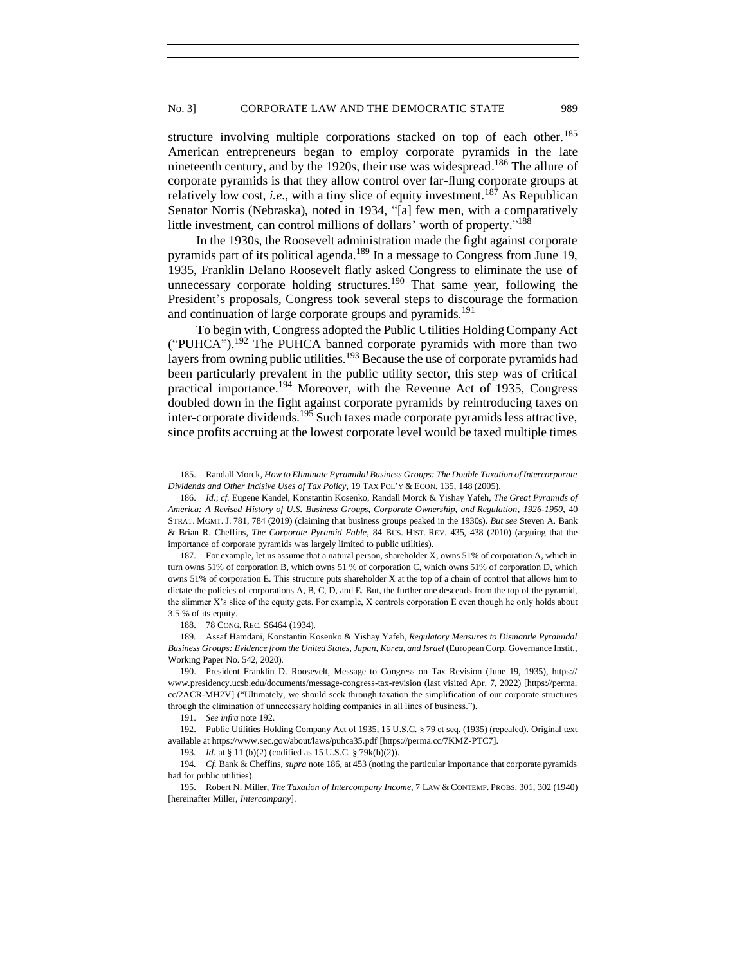structure involving multiple corporations stacked on top of each other.<sup>185</sup> American entrepreneurs began to employ corporate pyramids in the late nineteenth century, and by the 1920s, their use was widespread.<sup>186</sup> The allure of corporate pyramids is that they allow control over far-flung corporate groups at relatively low cost, *i.e.*, with a tiny slice of equity investment.<sup>187</sup> As Republican Senator Norris (Nebraska), noted in 1934, "[a] few men, with a comparatively little investment, can control millions of dollars' worth of property."<sup>188</sup>

In the 1930s, the Roosevelt administration made the fight against corporate pyramids part of its political agenda.<sup>189</sup> In a message to Congress from June 19, 1935, Franklin Delano Roosevelt flatly asked Congress to eliminate the use of unnecessary corporate holding structures.<sup>190</sup> That same year, following the President's proposals, Congress took several steps to discourage the formation and continuation of large corporate groups and pyramids.<sup>191</sup>

To begin with, Congress adopted the Public Utilities Holding Company Act ("PUHCA").<sup>192</sup> The PUHCA banned corporate pyramids with more than two layers from owning public utilities.<sup>193</sup> Because the use of corporate pyramids had been particularly prevalent in the public utility sector, this step was of critical practical importance.<sup>194</sup> Moreover, with the Revenue Act of 1935, Congress doubled down in the fight against corporate pyramids by reintroducing taxes on inter-corporate dividends.<sup>195</sup> Such taxes made corporate pyramids less attractive, since profits accruing at the lowest corporate level would be taxed multiple times

188. 78 CONG. REC. S6464 (1934).

<sup>185.</sup> Randall Morck, *How to Eliminate Pyramidal Business Groups: The Double Taxation of Intercorporate Dividends and Other Incisive Uses of Tax Policy*, 19 TAX POL'Y & ECON. 135, 148 (2005).

<sup>186.</sup> *Id*.; *cf.* Eugene Kandel, Konstantin Kosenko, Randall Morck & Yishay Yafeh, *The Great Pyramids of America: A Revised History of U.S. Business Groups, Corporate Ownership, and Regulation*, *1926-1950*, 40 STRAT. MGMT. J. 781, 784 (2019) (claiming that business groups peaked in the 1930s). *But see* Steven A. Bank & Brian R. Cheffins, *The Corporate Pyramid Fable*, 84 BUS. HIST. REV. 435, 438 (2010) (arguing that the importance of corporate pyramids was largely limited to public utilities).

<sup>187.</sup> For example, let us assume that a natural person, shareholder X, owns 51% of corporation A, which in turn owns 51% of corporation B, which owns 51 % of corporation C, which owns 51% of corporation D, which owns 51% of corporation E. This structure puts shareholder X at the top of a chain of control that allows him to dictate the policies of corporations A, B, C, D, and E. But, the further one descends from the top of the pyramid, the slimmer X's slice of the equity gets. For example, X controls corporation E even though he only holds about 3.5 % of its equity.

<sup>189</sup>*.* Assaf Hamdani, Konstantin Kosenko & Yishay Yafeh*, Regulatory Measures to Dismantle Pyramidal Business Groups: Evidence from the United States, Japan, Korea, and Israel* (European Corp. Governance Instit., Working Paper No. 542, 2020).

<sup>190.</sup> President Franklin D. Roosevelt, Message to Congress on Tax Revision (June 19, 1935), https:// www.presidency.ucsb.edu/documents/message-congress-tax-revision (last visited Apr. 7, 2022) [https://perma. cc/2ACR-MH2V] ("Ultimately, we should seek through taxation the simplification of our corporate structures through the elimination of unnecessary holding companies in all lines of business.").

<sup>191.</sup> *See infra* note 192.

<sup>192.</sup> Public Utilities Holding Company Act of 1935, 15 U.S.C. § 79 et seq. (1935) (repealed). Original text available at https://www.sec.gov/about/laws/puhca35.pdf [https://perma.cc/7KMZ-PTC7].

<sup>193</sup>*. Id.* at § 11 (b)(2) (codified as 15 U.S.C. § 79k(b)(2)).

<sup>194</sup>*. Cf.* Bank & Cheffins, *supra* note 186, at 453 (noting the particular importance that corporate pyramids had for public utilities).

<sup>195.</sup> Robert N. Miller, *The Taxation of Intercompany Income*, 7 LAW & CONTEMP. PROBS. 301, 302 (1940) [hereinafter Miller, *Intercompany*].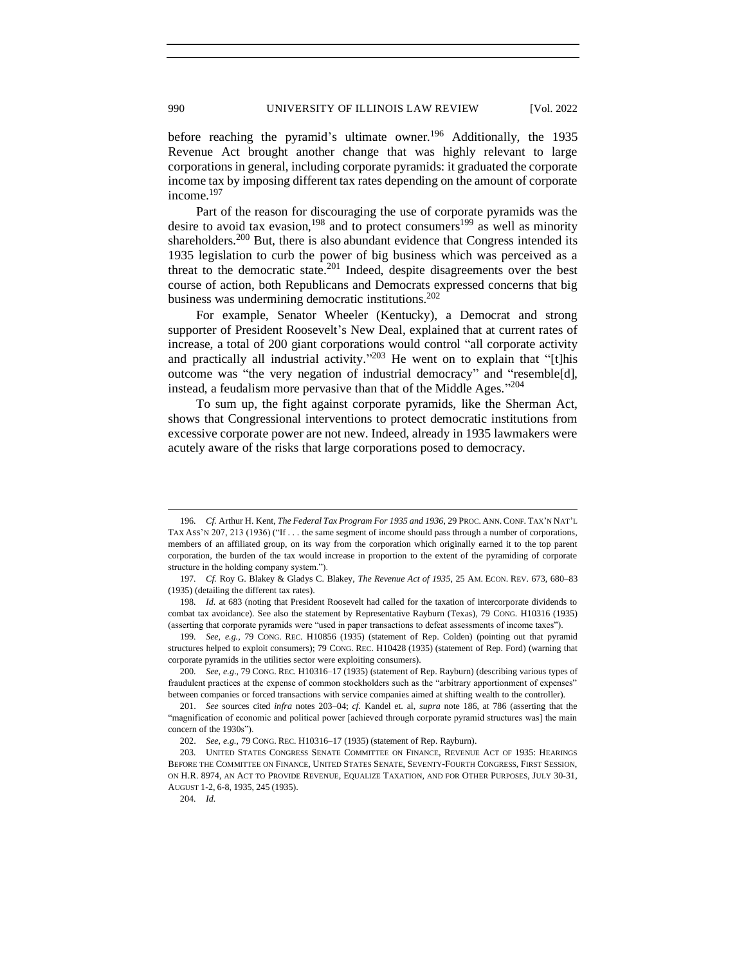before reaching the pyramid's ultimate owner.<sup>196</sup> Additionally, the 1935 Revenue Act brought another change that was highly relevant to large corporations in general, including corporate pyramids: it graduated the corporate income tax by imposing different tax rates depending on the amount of corporate income.<sup>197</sup>

Part of the reason for discouraging the use of corporate pyramids was the desire to avoid tax evasion,<sup>198</sup> and to protect consumers<sup>199</sup> as well as minority shareholders.<sup>200</sup> But, there is also abundant evidence that Congress intended its 1935 legislation to curb the power of big business which was perceived as a threat to the democratic state.<sup>201</sup> Indeed, despite disagreements over the best course of action, both Republicans and Democrats expressed concerns that big business was undermining democratic institutions.<sup>202</sup>

For example, Senator Wheeler (Kentucky), a Democrat and strong supporter of President Roosevelt's New Deal, explained that at current rates of increase, a total of 200 giant corporations would control "all corporate activity and practically all industrial activity."<sup>203</sup> He went on to explain that "[t]his outcome was "the very negation of industrial democracy" and "resemble[d], instead, a feudalism more pervasive than that of the Middle Ages."<sup>204</sup>

To sum up, the fight against corporate pyramids, like the Sherman Act, shows that Congressional interventions to protect democratic institutions from excessive corporate power are not new. Indeed, already in 1935 lawmakers were acutely aware of the risks that large corporations posed to democracy.

204*. Id.* 

<sup>196</sup>*. Cf.* Arthur H. Kent, *The Federal Tax Program For 1935 and 1936*, 29 PROC. ANN. CONF. TAX'N NAT'L TAX ASS'N 207, 213 (1936) ("If . . . the same segment of income should pass through a number of corporations, members of an affiliated group, on its way from the corporation which originally earned it to the top parent corporation, the burden of the tax would increase in proportion to the extent of the pyramiding of corporate structure in the holding company system.").

<sup>197</sup>*. Cf.* Roy G. Blakey & Gladys C. Blakey, *The Revenue Act of 1935*, 25 AM. ECON. REV. 673, 680–83 (1935) (detailing the different tax rates).

<sup>198</sup>*. Id.* at 683 (noting that President Roosevelt had called for the taxation of intercorporate dividends to combat tax avoidance). See also the statement by Representative Rayburn (Texas), 79 CONG. H10316 (1935) (asserting that corporate pyramids were "used in paper transactions to defeat assessments of income taxes").

<sup>199</sup>*. See, e.g.*, 79 CONG. REC. H10856 (1935) (statement of Rep. Colden) (pointing out that pyramid structures helped to exploit consumers); 79 CONG. REC. H10428 (1935) (statement of Rep. Ford) (warning that corporate pyramids in the utilities sector were exploiting consumers).

<sup>200</sup>*. See*, *e.g*., 79 CONG. REC. H10316–17 (1935) (statement of Rep. Rayburn) (describing various types of fraudulent practices at the expense of common stockholders such as the "arbitrary apportionment of expenses" between companies or forced transactions with service companies aimed at shifting wealth to the controller).

<sup>201.</sup> *See* sources cited *infra* notes 203–04; *cf.* Kandel et. al, *supra* note 186, at 786 (asserting that the "magnification of economic and political power [achieved through corporate pyramid structures was] the main concern of the 1930s").

<sup>202.</sup> *See, e.g.*, 79 CONG. REC. H10316–17 (1935) (statement of Rep. Rayburn).

<sup>203</sup>*.* UNITED STATES CONGRESS SENATE COMMITTEE ON FINANCE, REVENUE ACT OF 1935: HEARINGS BEFORE THE COMMITTEE ON FINANCE, UNITED STATES SENATE, SEVENTY-FOURTH CONGRESS, FIRST SESSION, ON H.R. 8974, AN ACT TO PROVIDE REVENUE, EQUALIZE TAXATION, AND FOR OTHER PURPOSES, JULY 30-31, AUGUST 1-2, 6-8, 1935, 245 (1935).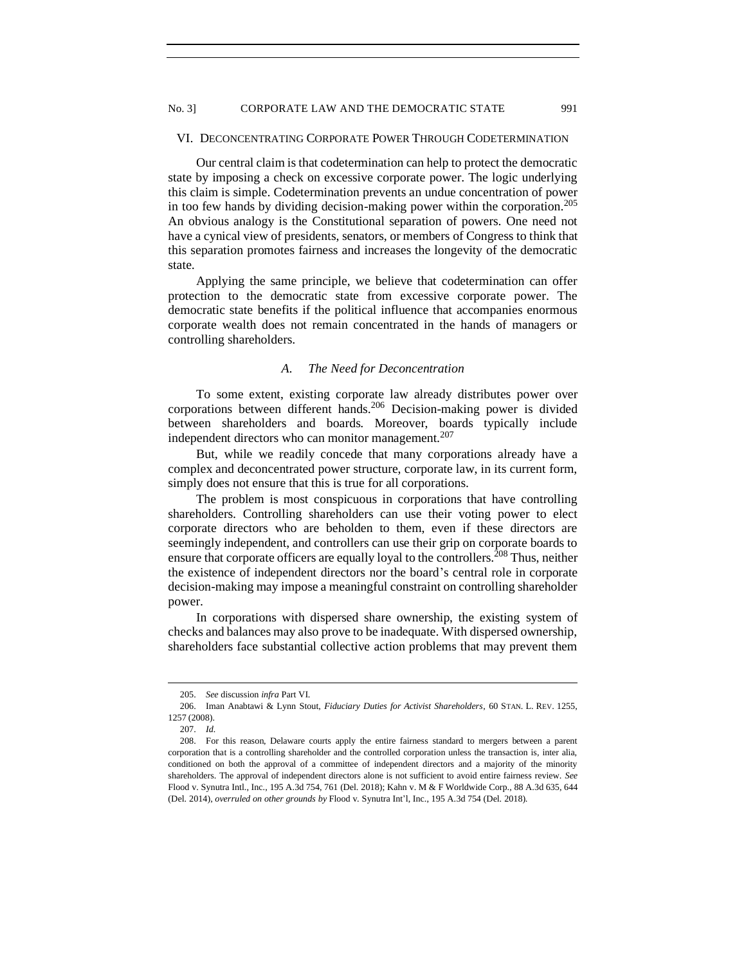### <span id="page-28-0"></span>VI. DECONCENTRATING CORPORATE POWER THROUGH CODETERMINATION

Our central claim is that codetermination can help to protect the democratic state by imposing a check on excessive corporate power. The logic underlying this claim is simple. Codetermination prevents an undue concentration of power in too few hands by dividing decision-making power within the corporation.<sup>205</sup> An obvious analogy is the Constitutional separation of powers. One need not have a cynical view of presidents, senators, or members of Congress to think that this separation promotes fairness and increases the longevity of the democratic state.

Applying the same principle, we believe that codetermination can offer protection to the democratic state from excessive corporate power. The democratic state benefits if the political influence that accompanies enormous corporate wealth does not remain concentrated in the hands of managers or controlling shareholders.

# *A. The Need for Deconcentration*

<span id="page-28-1"></span>To some extent, existing corporate law already distributes power over corporations between different hands.<sup>206</sup> Decision-making power is divided between shareholders and boards. Moreover, boards typically include independent directors who can monitor management.<sup>207</sup>

But, while we readily concede that many corporations already have a complex and deconcentrated power structure, corporate law, in its current form, simply does not ensure that this is true for all corporations.

The problem is most conspicuous in corporations that have controlling shareholders. Controlling shareholders can use their voting power to elect corporate directors who are beholden to them, even if these directors are seemingly independent, and controllers can use their grip on corporate boards to ensure that corporate officers are equally loyal to the controllers.<sup>208</sup> Thus, neither the existence of independent directors nor the board's central role in corporate decision-making may impose a meaningful constraint on controlling shareholder power.

In corporations with dispersed share ownership, the existing system of checks and balances may also prove to be inadequate. With dispersed ownership, shareholders face substantial collective action problems that may prevent them

<sup>205.</sup> *See* discussion *infra* Part VI.

<sup>206.</sup> Iman Anabtawi & Lynn Stout, *Fiduciary Duties for Activist Shareholders*, 60 STAN. L. REV. 1255, 1257 (2008).

<sup>207.</sup> *Id.*

<sup>208.</sup> For this reason, Delaware courts apply the entire fairness standard to mergers between a parent corporation that is a controlling shareholder and the controlled corporation unless the transaction is, inter alia, conditioned on both the approval of a committee of independent directors and a majority of the minority shareholders. The approval of independent directors alone is not sufficient to avoid entire fairness review. *See*  Flood v. Synutra Intl., Inc., 195 A.3d 754, 761 (Del. 2018); Kahn v. M & F Worldwide Corp., 88 A.3d 635, 644 (Del. 2014), *overruled on other grounds by* Flood v. Synutra Int'l, Inc., 195 A.3d 754 (Del. 2018).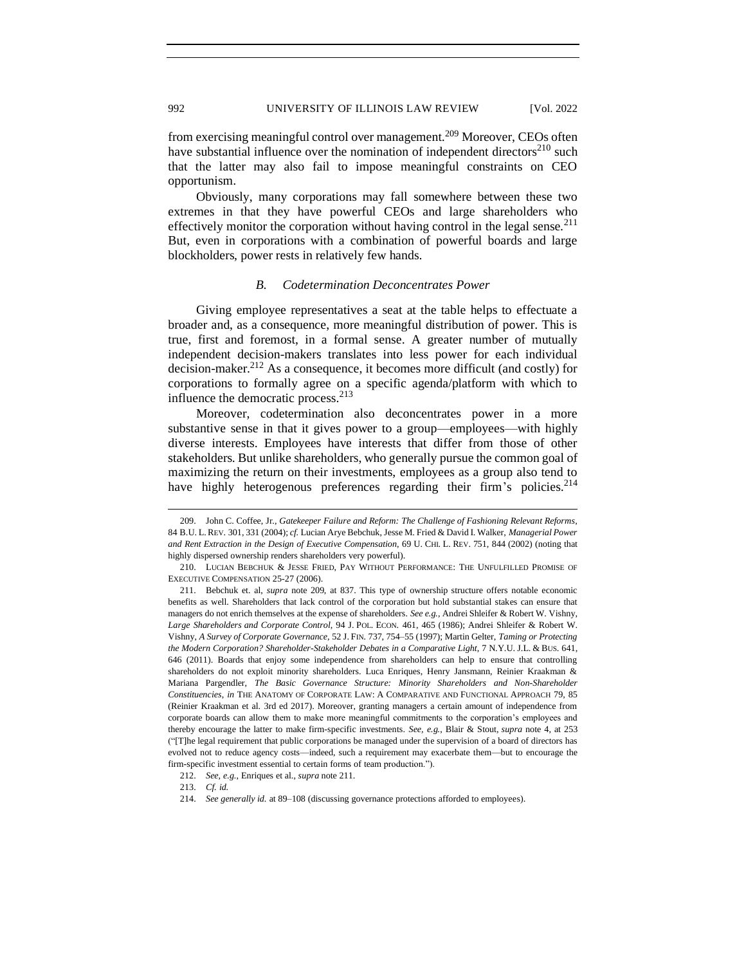from exercising meaningful control over management.<sup>209</sup> Moreover, CEOs often have substantial influence over the nomination of independent directors<sup>210</sup> such that the latter may also fail to impose meaningful constraints on CEO opportunism.

Obviously, many corporations may fall somewhere between these two extremes in that they have powerful CEOs and large shareholders who effectively monitor the corporation without having control in the legal sense.<sup>211</sup> But, even in corporations with a combination of powerful boards and large blockholders, power rests in relatively few hands.

### *B. Codetermination Deconcentrates Power*

<span id="page-29-0"></span>Giving employee representatives a seat at the table helps to effectuate a broader and, as a consequence, more meaningful distribution of power. This is true, first and foremost, in a formal sense. A greater number of mutually independent decision-makers translates into less power for each individual decision-maker.<sup>212</sup> As a consequence, it becomes more difficult (and costly) for corporations to formally agree on a specific agenda/platform with which to influence the democratic process.<sup>213</sup>

Moreover, codetermination also deconcentrates power in a more substantive sense in that it gives power to a group—employees—with highly diverse interests. Employees have interests that differ from those of other stakeholders. But unlike shareholders, who generally pursue the common goal of maximizing the return on their investments, employees as a group also tend to have highly heterogenous preferences regarding their firm's policies.<sup>214</sup>

<sup>209.</sup> John C. Coffee, Jr., *Gatekeeper Failure and Reform: The Challenge of Fashioning Relevant Reforms*, 84 B.U. L.REV. 301, 331 (2004); *cf.* Lucian Arye Bebchuk, Jesse M. Fried & David I. Walker, *Managerial Power and Rent Extraction in the Design of Executive Compensation*, 69 U. CHI. L. REV. 751, 844 (2002) (noting that highly dispersed ownership renders shareholders very powerful).

<sup>210.</sup> LUCIAN BEBCHUK & JESSE FRIED, PAY WITHOUT PERFORMANCE: THE UNFULFILLED PROMISE OF EXECUTIVE COMPENSATION 25-27 (2006).

<sup>211.</sup> Bebchuk et. al, *supra* note 209, at 837. This type of ownership structure offers notable economic benefits as well. Shareholders that lack control of the corporation but hold substantial stakes can ensure that managers do not enrich themselves at the expense of shareholders. *See e.g.*, Andrei Shleifer & Robert W. Vishny, *Large Shareholders and Corporate Control*, 94 J. POL. ECON. 461, 465 (1986); Andrei Shleifer & Robert W. Vishny, *A Survey of Corporate Governance*, 52 J. FIN. 737, 754–55 (1997); Martin Gelter, *Taming or Protecting the Modern Corporation? Shareholder-Stakeholder Debates in a Comparative Light*, 7 N.Y.U. J.L. & BUS. 641, 646 (2011). Boards that enjoy some independence from shareholders can help to ensure that controlling shareholders do not exploit minority shareholders. Luca Enriques, Henry Jansmann, Reinier Kraakman & Mariana Pargendler, *The Basic Governance Structure: Minority Shareholders and Non-Shareholder Constituencies*, *in* THE ANATOMY OF CORPORATE LAW: A COMPARATIVE AND FUNCTIONAL APPROACH 79, 85 (Reinier Kraakman et al. 3rd ed 2017). Moreover, granting managers a certain amount of independence from corporate boards can allow them to make more meaningful commitments to the corporation's employees and thereby encourage the latter to make firm-specific investments. *See, e.g.*, Blair & Stout, *supra* note 4, at 253 ("[T]he legal requirement that public corporations be managed under the supervision of a board of directors has evolved not to reduce agency costs—indeed, such a requirement may exacerbate them—but to encourage the firm-specific investment essential to certain forms of team production.").

<sup>212.</sup> *See, e.g.*, Enriques et al., *supra* note 211.

<sup>213.</sup> *Cf. id.*

<sup>214.</sup> *See generally id.* at 89–108 (discussing governance protections afforded to employees).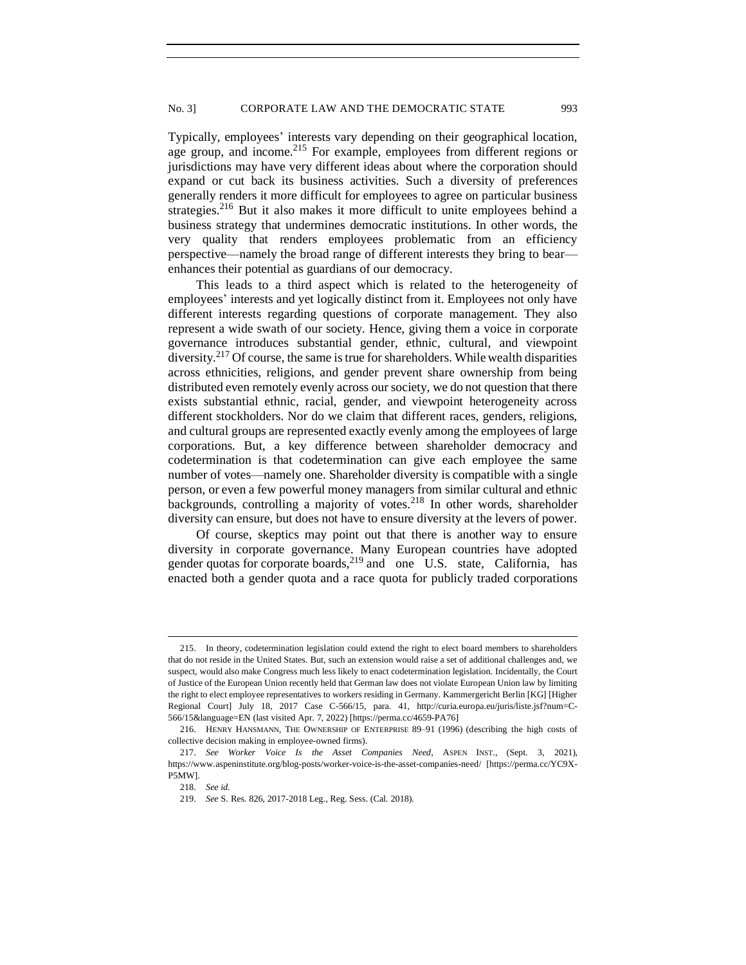Typically, employees' interests vary depending on their geographical location, age group, and income.<sup>215</sup> For example, employees from different regions or jurisdictions may have very different ideas about where the corporation should expand or cut back its business activities. Such a diversity of preferences generally renders it more difficult for employees to agree on particular business strategies.<sup>216</sup> But it also makes it more difficult to unite employees behind a business strategy that undermines democratic institutions. In other words, the very quality that renders employees problematic from an efficiency perspective—namely the broad range of different interests they bring to bear enhances their potential as guardians of our democracy.

This leads to a third aspect which is related to the heterogeneity of employees' interests and yet logically distinct from it. Employees not only have different interests regarding questions of corporate management. They also represent a wide swath of our society. Hence, giving them a voice in corporate governance introduces substantial gender, ethnic, cultural, and viewpoint diversity.<sup>217</sup> Of course, the same is true for shareholders. While wealth disparities across ethnicities, religions, and gender prevent share ownership from being distributed even remotely evenly across our society, we do not question that there exists substantial ethnic, racial, gender, and viewpoint heterogeneity across different stockholders. Nor do we claim that different races, genders, religions, and cultural groups are represented exactly evenly among the employees of large corporations. But, a key difference between shareholder democracy and codetermination is that codetermination can give each employee the same number of votes—namely one. Shareholder diversity is compatible with a single person, or even a few powerful money managers from similar cultural and ethnic backgrounds, controlling a majority of votes.<sup>218</sup> In other words, shareholder diversity can ensure, but does not have to ensure diversity at the levers of power.

Of course, skeptics may point out that there is another way to ensure diversity in corporate governance. Many European countries have adopted gender quotas for corporate boards, $^{219}$  and one U.S. state, California, has enacted both a gender quota and a race quota for publicly traded corporations

<sup>215.</sup> In theory, codetermination legislation could extend the right to elect board members to shareholders that do not reside in the United States. But, such an extension would raise a set of additional challenges and, we suspect, would also make Congress much less likely to enact codetermination legislation. Incidentally, the Court of Justice of the European Union recently held that German law does not violate European Union law by limiting the right to elect employee representatives to workers residing in Germany. Kammergericht Berlin [KG] [Higher Regional Court] July 18, 2017 Case C-566/15, para. 41, http://curia.europa.eu/juris/liste.jsf?num=C-566/15&language=EN (last visited Apr. 7, 2022) [https://perma.cc/4659-PA76]

<sup>216.</sup> HENRY HANSMANN, THE OWNERSHIP OF ENTERPRISE 89–91 (1996) (describing the high costs of collective decision making in employee-owned firms).

<sup>217.</sup> *See Worker Voice Is the Asset Companies Need*, ASPEN INST., (Sept. 3, 2021), https://www.aspeninstitute.org/blog-posts/worker-voice-is-the-asset-companies-need/ [https://perma.cc/YC9X-P5MW].

<sup>218.</sup> *See id.*

<sup>219.</sup> *See* S. Res. 826, 2017-2018 Leg., Reg. Sess. (Cal. 2018).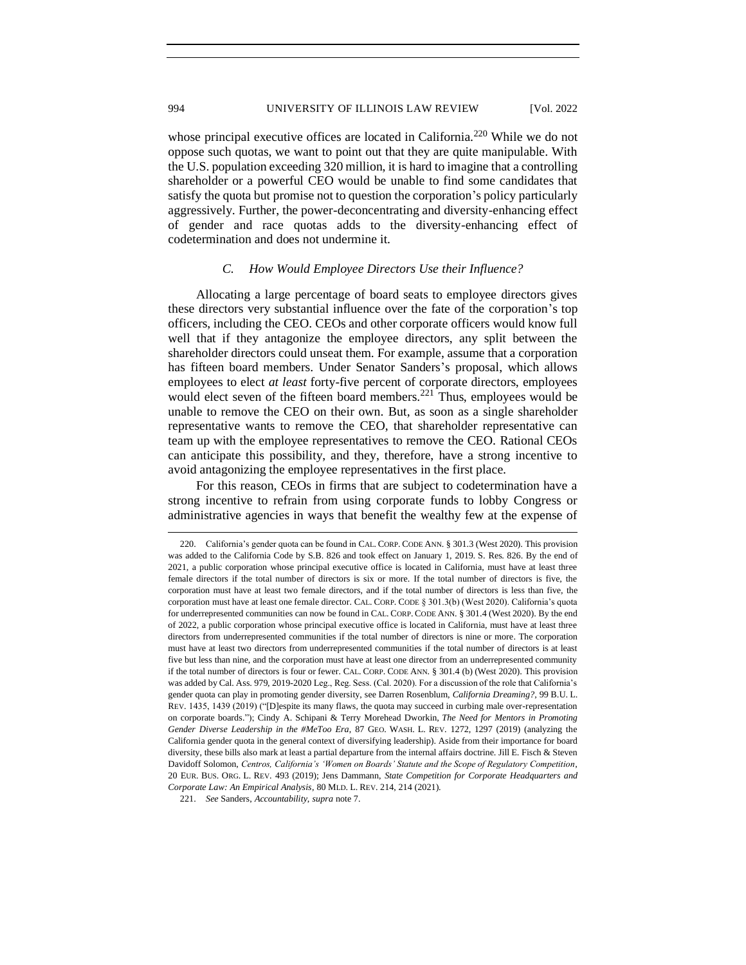994 UNIVERSITY OF ILLINOIS LAW REVIEW [Vol. 2022]

whose principal executive offices are located in California.<sup>220</sup> While we do not oppose such quotas, we want to point out that they are quite manipulable. With the U.S. population exceeding 320 million, it is hard to imagine that a controlling shareholder or a powerful CEO would be unable to find some candidates that satisfy the quota but promise not to question the corporation's policy particularly aggressively. Further, the power-deconcentrating and diversity-enhancing effect of gender and race quotas adds to the diversity-enhancing effect of codetermination and does not undermine it.

### *C. How Would Employee Directors Use their Influence?*

<span id="page-31-0"></span>Allocating a large percentage of board seats to employee directors gives these directors very substantial influence over the fate of the corporation's top officers, including the CEO. CEOs and other corporate officers would know full well that if they antagonize the employee directors, any split between the shareholder directors could unseat them. For example, assume that a corporation has fifteen board members. Under Senator Sanders's proposal, which allows employees to elect *at least* forty-five percent of corporate directors, employees would elect seven of the fifteen board members.<sup>221</sup> Thus, employees would be unable to remove the CEO on their own. But, as soon as a single shareholder representative wants to remove the CEO, that shareholder representative can team up with the employee representatives to remove the CEO. Rational CEOs can anticipate this possibility, and they, therefore, have a strong incentive to avoid antagonizing the employee representatives in the first place.

For this reason, CEOs in firms that are subject to codetermination have a strong incentive to refrain from using corporate funds to lobby Congress or administrative agencies in ways that benefit the wealthy few at the expense of

<sup>220.</sup> California's gender quota can be found in CAL. CORP. CODE ANN. § 301.3 (West 2020). This provision was added to the California Code by S.B. 826 and took effect on January 1, 2019. S. Res. 826. By the end of 2021, a public corporation whose principal executive office is located in California, must have at least three female directors if the total number of directors is six or more. If the total number of directors is five, the corporation must have at least two female directors, and if the total number of directors is less than five, the corporation must have at least one female director. CAL. CORP. CODE § 301.3(b) (West 2020). California's quota for underrepresented communities can now be found in CAL. CORP. CODE ANN. § 301.4 (West 2020). By the end of 2022, a public corporation whose principal executive office is located in California, must have at least three directors from underrepresented communities if the total number of directors is nine or more. The corporation must have at least two directors from underrepresented communities if the total number of directors is at least five but less than nine, and the corporation must have at least one director from an underrepresented community if the total number of directors is four or fewer. CAL. CORP. CODE ANN. § 301.4 (b) (West 2020). This provision was added by Cal. Ass. 979, 2019-2020 Leg., Reg. Sess. (Cal. 2020). For a discussion of the role that California's gender quota can play in promoting gender diversity, see Darren Rosenblum, *California Dreaming?*, 99 B.U. L. REV. 1435, 1439 (2019) ("[D]espite its many flaws, the quota may succeed in curbing male over-representation on corporate boards."); Cindy A. Schipani & Terry Morehead Dworkin, *The Need for Mentors in Promoting Gender Diverse Leadership in the #MeToo Era*, 87 GEO. WASH. L. REV. 1272, 1297 (2019) (analyzing the California gender quota in the general context of diversifying leadership). Aside from their importance for board diversity, these bills also mark at least a partial departure from the internal affairs doctrine. Jill E. Fisch & Steven Davidoff Solomon, *Centros, California's 'Women on Boards' Statute and the Scope of Regulatory Competition*, 20 EUR. BUS. ORG. L. REV. 493 (2019); Jens Dammann, *State Competition for Corporate Headquarters and Corporate Law: An Empirical Analysis*, 80 MLD. L. REV. 214, 214 (2021).

<sup>221.</sup> *See* Sanders, *Accountability*, *supra* note 7.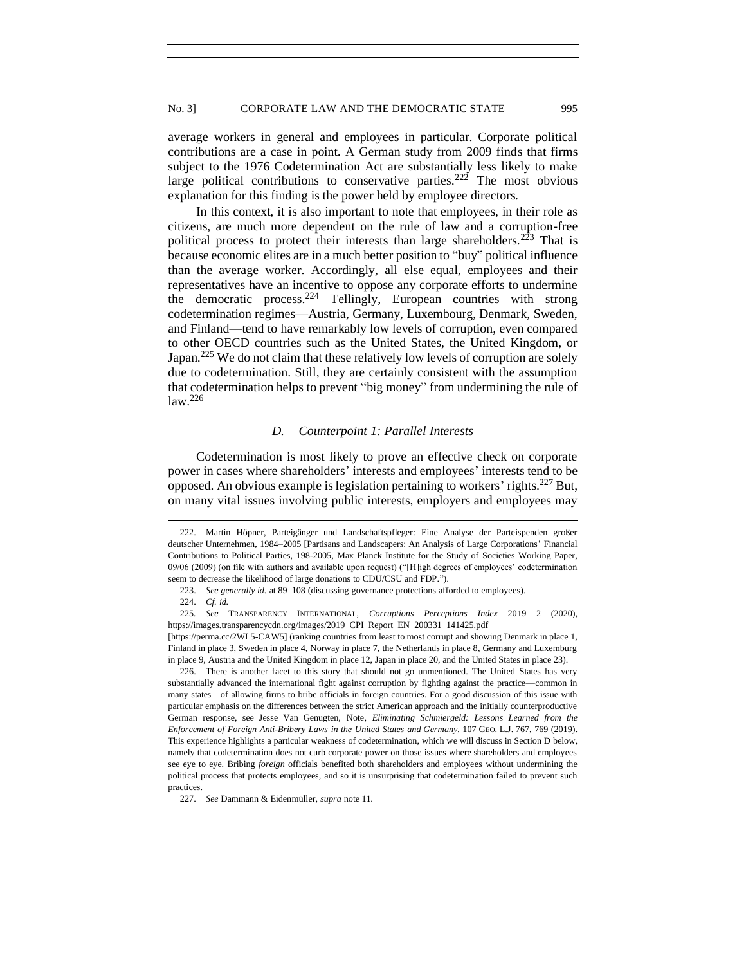average workers in general and employees in particular. Corporate political contributions are a case in point. A German study from 2009 finds that firms subject to the 1976 Codetermination Act are substantially less likely to make large political contributions to conservative parties.<sup>222</sup> The most obvious explanation for this finding is the power held by employee directors.

In this context, it is also important to note that employees, in their role as citizens, are much more dependent on the rule of law and a corruption-free political process to protect their interests than large shareholders.<sup>223</sup> That is because economic elites are in a much better position to "buy" political influence than the average worker. Accordingly, all else equal, employees and their representatives have an incentive to oppose any corporate efforts to undermine the democratic process.<sup>224</sup> Tellingly, European countries with strong codetermination regimes—Austria, Germany, Luxembourg, Denmark, Sweden, and Finland—tend to have remarkably low levels of corruption, even compared to other OECD countries such as the United States, the United Kingdom, or Japan.<sup>225</sup> We do not claim that these relatively low levels of corruption are solely due to codetermination. Still, they are certainly consistent with the assumption that codetermination helps to prevent "big money" from undermining the rule of  $law.<sup>226</sup>$ 

### *D. Counterpoint 1: Parallel Interests*

<span id="page-32-0"></span>Codetermination is most likely to prove an effective check on corporate power in cases where shareholders' interests and employees' interests tend to be opposed. An obvious example is legislation pertaining to workers' rights.<sup>227</sup> But, on many vital issues involving public interests, employers and employees may

<sup>222.</sup> Martin Höpner, Parteigänger und Landschaftspfleger: Eine Analyse der Parteispenden großer deutscher Unternehmen, 1984–2005 [Partisans and Landscapers: An Analysis of Large Corporations' Financial Contributions to Political Parties, 198-2005, Max Planck Institute for the Study of Societies Working Paper, 09/06 (2009) (on file with authors and available upon request) ("[H]igh degrees of employees' codetermination seem to decrease the likelihood of large donations to CDU/CSU and FDP.").

<sup>223.</sup> *See generally id.* at 89–108 (discussing governance protections afforded to employees).

<sup>224.</sup> *Cf. id.*

<sup>225</sup>*. See* TRANSPARENCY INTERNATIONAL, *Corruptions Perceptions Index* 2019 2 (2020), https://images.transparencycdn.org/images/2019\_CPI\_Report\_EN\_200331\_141425.pdf

<sup>[</sup>https://perma.cc/2WL5-CAW5] (ranking countries from least to most corrupt and showing Denmark in place 1, Finland in place 3, Sweden in place 4, Norway in place 7, the Netherlands in place 8, Germany and Luxemburg in place 9, Austria and the United Kingdom in place 12, Japan in place 20, and the United States in place 23).

<sup>226.</sup> There is another facet to this story that should not go unmentioned. The United States has very substantially advanced the international fight against corruption by fighting against the practice—common in many states—of allowing firms to bribe officials in foreign countries. For a good discussion of this issue with particular emphasis on the differences between the strict American approach and the initially counterproductive German response, see Jesse Van Genugten, Note, *Eliminating Schmiergeld: Lessons Learned from the Enforcement of Foreign Anti-Bribery Laws in the United States and Germany*, 107 GEO. L.J. 767, 769 (2019). This experience highlights a particular weakness of codetermination, which we will discuss in Section D below, namely that codetermination does not curb corporate power on those issues where shareholders and employees see eye to eye. Bribing *foreign* officials benefited both shareholders and employees without undermining the political process that protects employees, and so it is unsurprising that codetermination failed to prevent such practices.

<sup>227.</sup> *See* Dammann & Eidenmüller, *supra* note 11.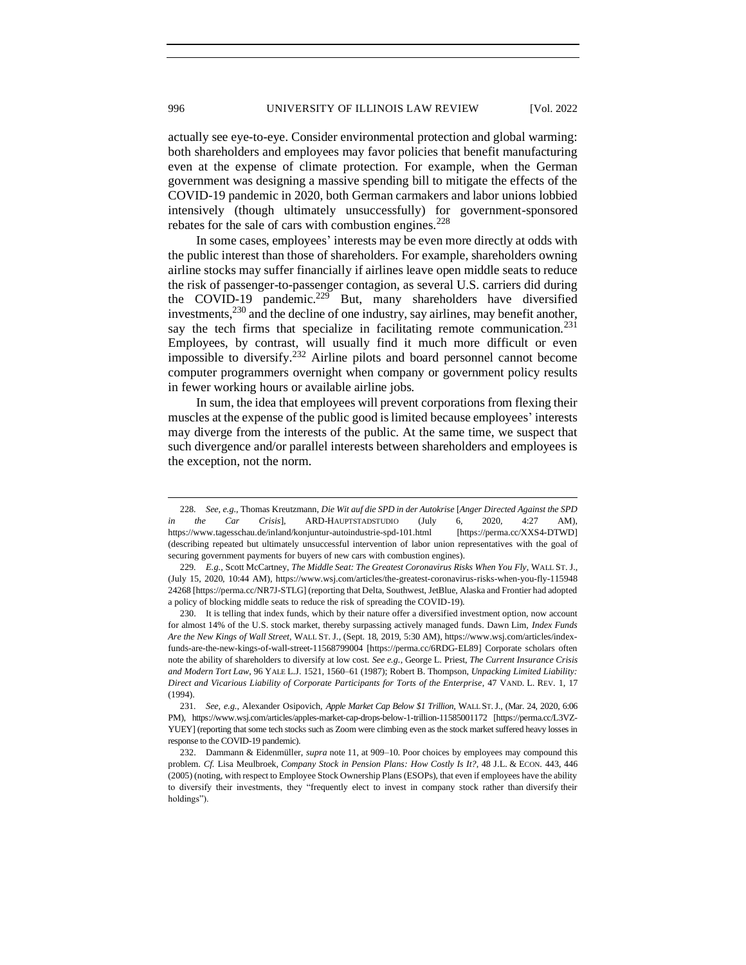actually see eye-to-eye. Consider environmental protection and global warming: both shareholders and employees may favor policies that benefit manufacturing even at the expense of climate protection. For example, when the German government was designing a massive spending bill to mitigate the effects of the COVID-19 pandemic in 2020, both German carmakers and labor unions lobbied intensively (though ultimately unsuccessfully) for government-sponsored rebates for the sale of cars with combustion engines.<sup>228</sup>

In some cases, employees' interests may be even more directly at odds with the public interest than those of shareholders. For example, shareholders owning airline stocks may suffer financially if airlines leave open middle seats to reduce the risk of passenger-to-passenger contagion, as several U.S. carriers did during the COVID-19 pandemic.<sup>229</sup> But, many shareholders have diversified investments,  $230$  and the decline of one industry, say airlines, may benefit another, say the tech firms that specialize in facilitating remote communication.<sup>231</sup> Employees, by contrast, will usually find it much more difficult or even impossible to diversify.<sup>232</sup> Airline pilots and board personnel cannot become computer programmers overnight when company or government policy results in fewer working hours or available airline jobs.

In sum, the idea that employees will prevent corporations from flexing their muscles at the expense of the public good is limited because employees' interests may diverge from the interests of the public. At the same time, we suspect that such divergence and/or parallel interests between shareholders and employees is the exception, not the norm.

<sup>228</sup>*. See, e.g.*, Thomas Kreutzmann, *Die Wit auf die SPD in der Autokrise* [*Anger Directed Against the SPD in the Car Crisis*], ARD-HAUPTSTADSTUDIO (July 6, 2020, 4:27 AM), https://www.tagesschau.de/inland/konjuntur-autoindustrie-spd-101.html [https://perma.cc/XXS4-DTWD] (describing repeated but ultimately unsuccessful intervention of labor union representatives with the goal of securing government payments for buyers of new cars with combustion engines).

<sup>229</sup>*. E.g.*, Scott McCartney, *The Middle Seat: The Greatest Coronavirus Risks When You Fly*, WALL ST. J., (July 15, 2020, 10:44 AM), https://www.wsj.com/articles/the-greatest-coronavirus-risks-when-you-fly-115948 24268 [https://perma.cc/NR7J-STLG] (reporting that Delta, Southwest, JetBlue, Alaska and Frontier had adopted a policy of blocking middle seats to reduce the risk of spreading the COVID-19).

<sup>230.</sup> It is telling that index funds, which by their nature offer a diversified investment option, now account for almost 14% of the U.S. stock market, thereby surpassing actively managed funds. Dawn Lim, *Index Funds Are the New Kings of Wall Street*, WALL ST. J., (Sept. 18, 2019, 5:30 AM), https://www.wsj.com/articles/indexfunds-are-the-new-kings-of-wall-street-11568799004 [https://perma.cc/6RDG-EL89] Corporate scholars often note the ability of shareholders to diversify at low cost. *See e.g.*, George L. Priest, *The Current Insurance Crisis and Modern Tort Law*, 96 YALE L.J. 1521, 1560–61 (1987); Robert B. Thompson, *Unpacking Limited Liability: Direct and Vicarious Liability of Corporate Participants for Torts of the Enterprise*, 47 VAND. L. REV. 1, 17 (1994).

<sup>231</sup>*. See, e.g.*, Alexander Osipovich, *Apple Market Cap Below \$1 Trillion*, WALL ST.J., (Mar. 24, 2020, 6:06 PM), https://www.wsj.com/articles/apples-market-cap-drops-below-1-trillion-11585001172 [https://perma.cc/L3VZ-YUEY] (reporting that some tech stocks such as Zoom were climbing even as the stock market suffered heavy losses in response to the COVID-19 pandemic).

<sup>232.</sup> Dammann & Eidenmüller, *supra* note 11, at 909–10. Poor choices by employees may compound this problem. *Cf.* Lisa Meulbroek, *Company Stock in Pension Plans: How Costly Is It?*, 48 J.L. & ECON. 443, 446 (2005) (noting, with respect to Employee Stock Ownership Plans (ESOPs), that even if employees have the ability to diversify their investments, they "frequently elect to invest in company stock rather than diversify their holdings").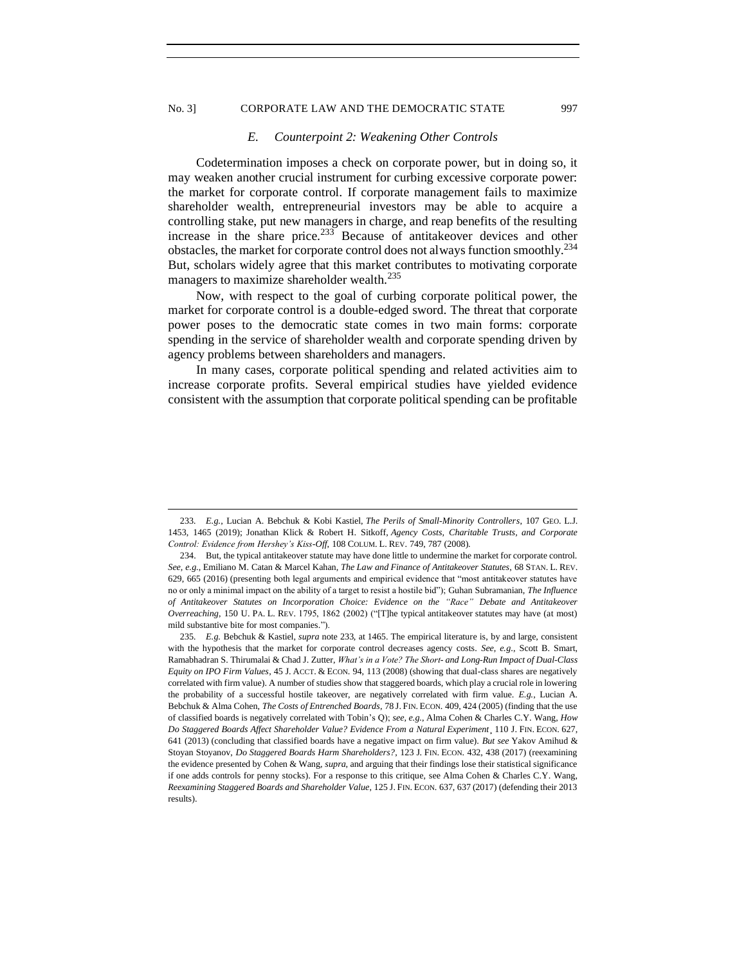### <span id="page-34-0"></span>No. 3] CORPORATE LAW AND THE DEMOCRATIC STATE 997

#### *E. Counterpoint 2: Weakening Other Controls*

Codetermination imposes a check on corporate power, but in doing so, it may weaken another crucial instrument for curbing excessive corporate power: the market for corporate control. If corporate management fails to maximize shareholder wealth, entrepreneurial investors may be able to acquire a controlling stake, put new managers in charge, and reap benefits of the resulting increase in the share price. $^{233}$  Because of antitakeover devices and other obstacles, the market for corporate control does not always function smoothly.<sup>234</sup> But, scholars widely agree that this market contributes to motivating corporate managers to maximize shareholder wealth.<sup>235</sup>

Now, with respect to the goal of curbing corporate political power, the market for corporate control is a double-edged sword. The threat that corporate power poses to the democratic state comes in two main forms: corporate spending in the service of shareholder wealth and corporate spending driven by agency problems between shareholders and managers.

In many cases, corporate political spending and related activities aim to increase corporate profits. Several empirical studies have yielded evidence consistent with the assumption that corporate political spending can be profitable

<sup>233</sup>*. E.g.*, Lucian A. Bebchuk & Kobi Kastiel, *The Perils of Small-Minority Controllers*, 107 GEO. L.J. 1453, 1465 (2019); Jonathan Klick & Robert H. Sitkoff, *Agency Costs, Charitable Trusts, and Corporate Control: Evidence from Hershey's Kiss-Off*, 108 COLUM. L. REV. 749, 787 (2008).

<sup>234.</sup> But, the typical antitakeover statute may have done little to undermine the market for corporate control. *See, e.g.*, Emiliano M. Catan & Marcel Kahan, *The Law and Finance of Antitakeover Statutes*, 68 STAN. L. REV. 629, 665 (2016) (presenting both legal arguments and empirical evidence that "most antitakeover statutes have no or only a minimal impact on the ability of a target to resist a hostile bid"); Guhan Subramanian, *The Influence of Antitakeover Statutes on Incorporation Choice: Evidence on the "Race" Debate and Antitakeover Overreaching*, 150 U. PA. L. REV. 1795, 1862 (2002) ("[T]he typical antitakeover statutes may have (at most) mild substantive bite for most companies.").

<sup>235</sup>*. E.g.* Bebchuk & Kastiel, *supra* note 233, at 1465. The empirical literature is, by and large, consistent with the hypothesis that the market for corporate control decreases agency costs. *See*, *e.g*., Scott B. Smart, Ramabhadran S. Thirumalai & Chad J. Zutter, *What's in a Vote? The Short- and Long-Run Impact of Dual-Class Equity on IPO Firm Values*, 45 J. ACCT. & ECON. 94, 113 (2008) (showing that dual-class shares are negatively correlated with firm value). A number of studies show that staggered boards, which play a crucial role in lowering the probability of a successful hostile takeover, are negatively correlated with firm value. *E.g.*, Lucian A. Bebchuk & Alma Cohen, *The Costs of Entrenched Boards*, 78 J. FIN. ECON. 409, 424 (2005) (finding that the use of classified boards is negatively correlated with Tobin's Q); *see, e.g.*, Alma Cohen & Charles C.Y. Wang, *How Do Staggered Boards Affect Shareholder Value? Evidence From a Natural Experiment*¸ 110 J. FIN. ECON. 627, 641 (2013) (concluding that classified boards have a negative impact on firm value). *But see* Yakov Amihud & Stoyan Stoyanov, *Do Staggered Boards Harm Shareholders?*, 123 J. FIN. ECON. 432, 438 (2017) (reexamining the evidence presented by Cohen & Wang, *supra*, and arguing that their findings lose their statistical significance if one adds controls for penny stocks). For a response to this critique, see Alma Cohen & Charles C.Y. Wang, *Reexamining Staggered Boards and Shareholder Value*, 125 J. FIN. ECON. 637, 637 (2017) (defending their 2013 results).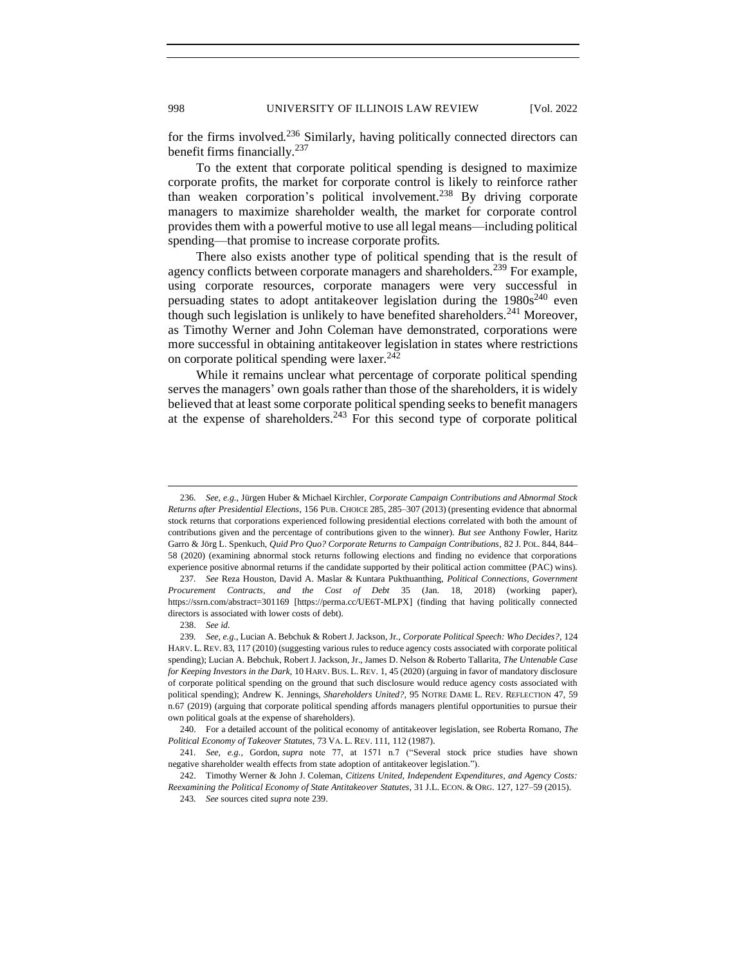for the firms involved.<sup>236</sup> Similarly, having politically connected directors can benefit firms financially.<sup>237</sup>

To the extent that corporate political spending is designed to maximize corporate profits, the market for corporate control is likely to reinforce rather than weaken corporation's political involvement.<sup>238</sup> By driving corporate managers to maximize shareholder wealth, the market for corporate control provides them with a powerful motive to use all legal means—including political spending—that promise to increase corporate profits.

There also exists another type of political spending that is the result of agency conflicts between corporate managers and shareholders.<sup>239</sup> For example, using corporate resources, corporate managers were very successful in persuading states to adopt antitakeover legislation during the  $1980s^{240}$  even though such legislation is unlikely to have benefited shareholders.<sup>241</sup> Moreover, as Timothy Werner and John Coleman have demonstrated, corporations were more successful in obtaining antitakeover legislation in states where restrictions on corporate political spending were laxer.<sup>242</sup>

While it remains unclear what percentage of corporate political spending serves the managers' own goals rather than those of the shareholders, it is widely believed that at least some corporate political spending seeks to benefit managers at the expense of shareholders.<sup>243</sup> For this second type of corporate political

<sup>236</sup>*. See, e.g.,* Jürgen Huber & Michael Kirchler, *Corporate Campaign Contributions and Abnormal Stock Returns after Presidential Elections*, 156 PUB. CHOICE 285, 285–307 (2013) (presenting evidence that abnormal stock returns that corporations experienced following presidential elections correlated with both the amount of contributions given and the percentage of contributions given to the winner). *But see* Anthony Fowler, Haritz Garro & Jörg L. Spenkuch, *Quid Pro Quo? Corporate Returns to Campaign Contributions*, 82 J. POL. 844, 844– 58 (2020) (examining abnormal stock returns following elections and finding no evidence that corporations experience positive abnormal returns if the candidate supported by their political action committee (PAC) wins).

<sup>237</sup>*. See* Reza Houston, David A. Maslar & Kuntara Pukthuanthing, *Political Connections, Government Procurement Contracts, and the Cost of Debt* 35 (Jan. 18, 2018) (working paper), https://ssrn.com/abstract=301169 [https://perma.cc/UE6T-MLPX] (finding that having politically connected directors is associated with lower costs of debt).

<sup>238.</sup> *See id.*

<sup>239</sup>*. See, e.g.*, Lucian A. Bebchuk & Robert J. Jackson, Jr., *Corporate Political Speech: Who Decides?*, 124 HARV. L. REV. 83, 117 (2010) (suggesting various rules to reduce agency costs associated with corporate political spending); Lucian A. Bebchuk, Robert J. Jackson, Jr., James D. Nelson & Roberto Tallarita, *The Untenable Case for Keeping Investors in the Dark*, 10 HARV. BUS. L. REV. 1, 45 (2020) (arguing in favor of mandatory disclosure of corporate political spending on the ground that such disclosure would reduce agency costs associated with political spending); Andrew K. Jennings, *Shareholders United?*, 95 NOTRE DAME L. REV. REFLECTION 47, 59 n.67 (2019) (arguing that corporate political spending affords managers plentiful opportunities to pursue their own political goals at the expense of shareholders).

<sup>240.</sup> For a detailed account of the political economy of antitakeover legislation, see Roberta Romano, *The Political Economy of Takeover Statutes*, 73 VA. L. REV. 111, 112 (1987).

<sup>241</sup>*. See, e.g.*, Gordon, *supra* note 77, at 1571 n.7 ("Several stock price studies have shown negative shareholder wealth effects from state adoption of antitakeover legislation.").

<sup>242.</sup> Timothy Werner & John J. Coleman, *Citizens United, Independent Expenditures, and Agency Costs: Reexamining the Political Economy of State Antitakeover Statutes*, 31 J.L. ECON. & ORG. 127, 127–59 (2015).

<sup>243</sup>*. See* sources cited *supra* note 239.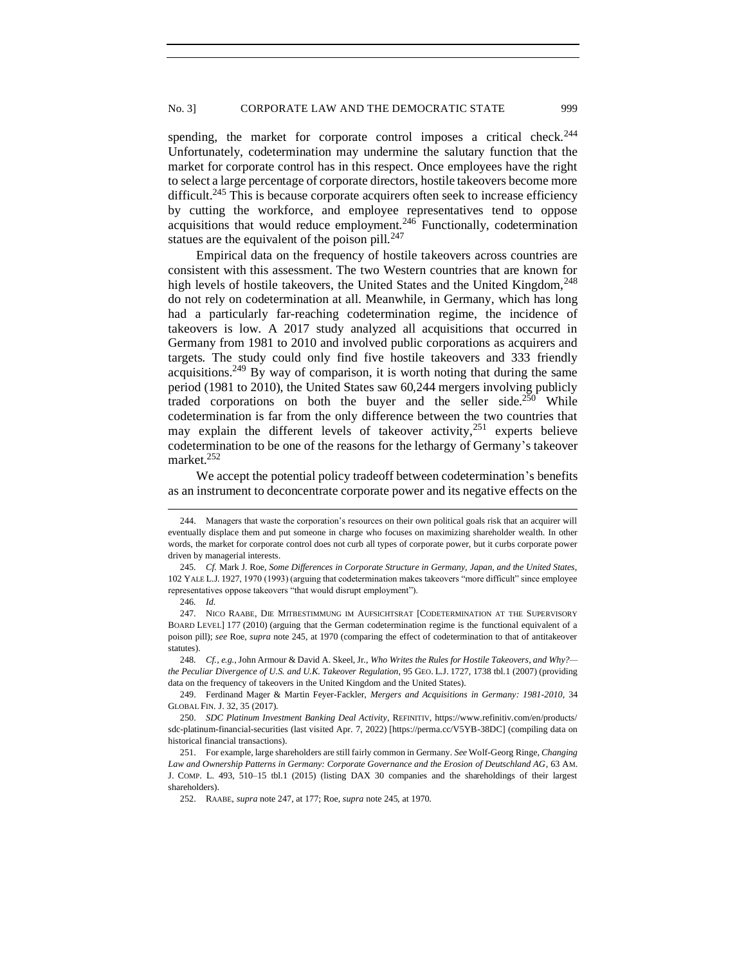spending, the market for corporate control imposes a critical check.<sup>244</sup> Unfortunately, codetermination may undermine the salutary function that the market for corporate control has in this respect. Once employees have the right to select a large percentage of corporate directors, hostile takeovers become more difficult.<sup>245</sup> This is because corporate acquirers often seek to increase efficiency by cutting the workforce, and employee representatives tend to oppose acquisitions that would reduce employment.<sup>246</sup> Functionally, codetermination statues are the equivalent of the poison pill. $^{247}$ 

Empirical data on the frequency of hostile takeovers across countries are consistent with this assessment. The two Western countries that are known for high levels of hostile takeovers, the United States and the United Kingdom, <sup>248</sup> do not rely on codetermination at all. Meanwhile, in Germany, which has long had a particularly far-reaching codetermination regime, the incidence of takeovers is low. A 2017 study analyzed all acquisitions that occurred in Germany from 1981 to 2010 and involved public corporations as acquirers and targets. The study could only find five hostile takeovers and 333 friendly acquisitions.<sup>249</sup> By way of comparison, it is worth noting that during the same period (1981 to 2010), the United States saw 60,244 mergers involving publicly traded corporations on both the buyer and the seller side.<sup>250</sup> While codetermination is far from the only difference between the two countries that may explain the different levels of takeover activity,<sup>251</sup> experts believe codetermination to be one of the reasons for the lethargy of Germany's takeover market.<sup>252</sup>

We accept the potential policy tradeoff between codetermination's benefits as an instrument to deconcentrate corporate power and its negative effects on the

<sup>244.</sup> Managers that waste the corporation's resources on their own political goals risk that an acquirer will eventually displace them and put someone in charge who focuses on maximizing shareholder wealth. In other words, the market for corporate control does not curb all types of corporate power, but it curbs corporate power driven by managerial interests.

<sup>245</sup>*. Cf.* Mark J. Roe, *Some Differences in Corporate Structure in Germany, Japan, and the United States*, 102 YALE L.J. 1927, 1970 (1993) (arguing that codetermination makes takeovers "more difficult" since employee representatives oppose takeovers "that would disrupt employment").

<sup>246</sup>*. Id.* 

<sup>247</sup>*.* NICO RAABE, DIE MITBESTIMMUNG IM AUFSICHTSRAT [CODETERMINATION AT THE SUPERVISORY BOARD LEVEL] 177 (2010) (arguing that the German codetermination regime is the functional equivalent of a poison pill); *see* Roe, *supra* note 245, at 1970 (comparing the effect of codetermination to that of antitakeover statutes).

<sup>248</sup>*. Cf., e.g.*, John Armour & David A. Skeel, Jr., *Who Writes the Rules for Hostile Takeovers, and Why? the Peculiar Divergence of U.S. and U.K. Takeover Regulation*, 95 GEO. L.J. 1727, 1738 tbl.1 (2007) (providing data on the frequency of takeovers in the United Kingdom and the United States).

<sup>249.</sup> Ferdinand Mager & Martin Feyer-Fackler, *Mergers and Acquisitions in Germany: 1981-2010*, 34 GLOBAL FIN. J. 32, 35 (2017).

<sup>250.</sup> *SDC Platinum Investment Banking Deal Activity*, REFINITIV, https://www.refinitiv.com/en/products/ sdc-platinum-financial-securities (last visited Apr. 7, 2022) [https://perma.cc/V5YB-38DC] (compiling data on historical financial transactions).

<sup>251.</sup> For example, large shareholders are still fairly common in Germany. *See* Wolf-Georg Ringe, *Changing Law and Ownership Patterns in Germany: Corporate Governance and the Erosion of Deutschland AG*, 63 AM. J. COMP. L. 493, 510–15 tbl.1 (2015) (listing DAX 30 companies and the shareholdings of their largest shareholders).

<sup>252.</sup> RAABE, *supra* note 247, at 177; Roe, *supra* note 245, at 1970.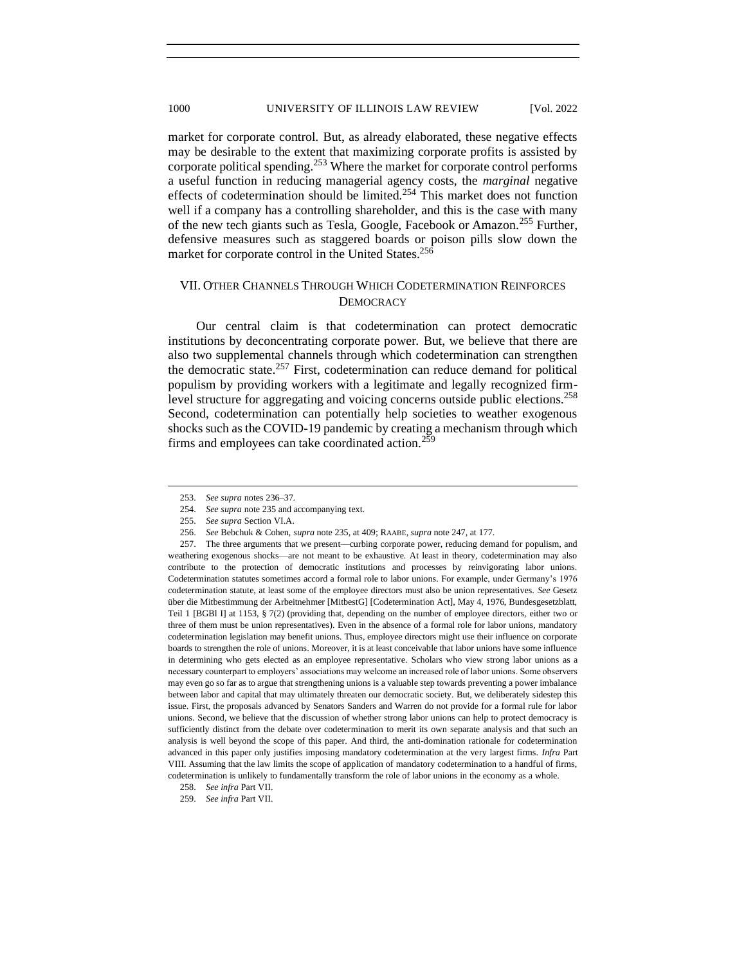market for corporate control. But, as already elaborated, these negative effects may be desirable to the extent that maximizing corporate profits is assisted by corporate political spending.<sup>253</sup> Where the market for corporate control performs a useful function in reducing managerial agency costs, the *marginal* negative effects of codetermination should be limited.<sup>254</sup> This market does not function well if a company has a controlling shareholder, and this is the case with many of the new tech giants such as Tesla, Google, Facebook or Amazon.<sup>255</sup> Further, defensive measures such as staggered boards or poison pills slow down the market for corporate control in the United States.<sup>256</sup>

# <span id="page-37-0"></span>VII. OTHER CHANNELS THROUGH WHICH CODETERMINATION REINFORCES **DEMOCRACY**

Our central claim is that codetermination can protect democratic institutions by deconcentrating corporate power. But, we believe that there are also two supplemental channels through which codetermination can strengthen the democratic state.<sup>257</sup> First, codetermination can reduce demand for political populism by providing workers with a legitimate and legally recognized firmlevel structure for aggregating and voicing concerns outside public elections.<sup>258</sup> Second, codetermination can potentially help societies to weather exogenous shocks such as the COVID-19 pandemic by creating a mechanism through which firms and employees can take coordinated action.<sup>259</sup>

257. The three arguments that we present—curbing corporate power, reducing demand for populism, and weathering exogenous shocks—are not meant to be exhaustive. At least in theory, codetermination may also contribute to the protection of democratic institutions and processes by reinvigorating labor unions. Codetermination statutes sometimes accord a formal role to labor unions. For example, under Germany's 1976 codetermination statute, at least some of the employee directors must also be union representatives. *See* Gesetz über die Mitbestimmung der Arbeitnehmer [MitbestG] [Codetermination Act], May 4, 1976, Bundesgesetzblatt, Teil 1 [BGBl I] at 1153, § 7(2) (providing that, depending on the number of employee directors, either two or three of them must be union representatives). Even in the absence of a formal role for labor unions, mandatory codetermination legislation may benefit unions. Thus, employee directors might use their influence on corporate boards to strengthen the role of unions. Moreover, it is at least conceivable that labor unions have some influence in determining who gets elected as an employee representative. Scholars who view strong labor unions as a necessary counterpart to employers' associations may welcome an increased role of labor unions. Some observers may even go so far as to argue that strengthening unions is a valuable step towards preventing a power imbalance between labor and capital that may ultimately threaten our democratic society. But, we deliberately sidestep this issue. First, the proposals advanced by Senators Sanders and Warren do not provide for a formal rule for labor unions. Second, we believe that the discussion of whether strong labor unions can help to protect democracy is sufficiently distinct from the debate over codetermination to merit its own separate analysis and that such an analysis is well beyond the scope of this paper. And third, the anti-domination rationale for codetermination advanced in this paper only justifies imposing mandatory codetermination at the very largest firms. *Infra* Part VIII. Assuming that the law limits the scope of application of mandatory codetermination to a handful of firms, codetermination is unlikely to fundamentally transform the role of labor unions in the economy as a whole.

<sup>253.</sup> *See supra* notes 236–37.

<sup>254.</sup> *See supra* note 235 and accompanying text.

<sup>255.</sup> *See supra* Section VI.A.

<sup>256.</sup> *See* Bebchuk & Cohen, *supra* note 235, at 409; RAABE, *supra* note 247, at 177.

<sup>258.</sup> *See infra* Part VII.

<sup>259.</sup> *See infra* Part VII.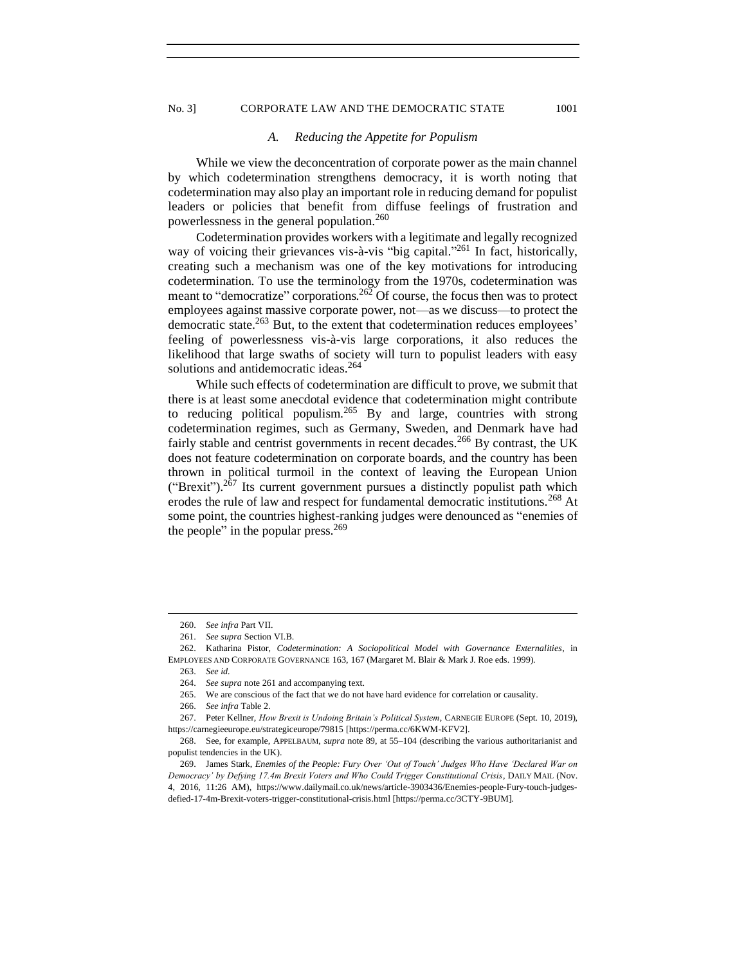# <span id="page-38-0"></span>No. 3] CORPORATE LAW AND THE DEMOCRATIC STATE 1001

### *A. Reducing the Appetite for Populism*

While we view the deconcentration of corporate power as the main channel by which codetermination strengthens democracy, it is worth noting that codetermination may also play an important role in reducing demand for populist leaders or policies that benefit from diffuse feelings of frustration and powerlessness in the general population.<sup>260</sup>

Codetermination provides workers with a legitimate and legally recognized way of voicing their grievances vis-à-vis "big capital."<sup>261</sup> In fact, historically, creating such a mechanism was one of the key motivations for introducing codetermination. To use the terminology from the 1970s, codetermination was meant to "democratize" corporations.<sup>262</sup> Of course, the focus then was to protect employees against massive corporate power, not—as we discuss—to protect the democratic state.<sup>263</sup> But, to the extent that codetermination reduces employees' feeling of powerlessness vis-à-vis large corporations, it also reduces the likelihood that large swaths of society will turn to populist leaders with easy solutions and antidemocratic ideas.<sup>264</sup>

While such effects of codetermination are difficult to prove, we submit that there is at least some anecdotal evidence that codetermination might contribute to reducing political populism.<sup>265</sup> By and large, countries with strong codetermination regimes, such as Germany, Sweden, and Denmark have had fairly stable and centrist governments in recent decades.<sup>266</sup> By contrast, the UK does not feature codetermination on corporate boards, and the country has been thrown in political turmoil in the context of leaving the European Union ("Brexit").<sup>267</sup> Its current government pursues a distinctly populist path which erodes the rule of law and respect for fundamental democratic institutions.<sup>268</sup> At some point, the countries highest-ranking judges were denounced as "enemies of the people" in the popular press. $269$ 

<sup>260.</sup> *See infra* Part VII.

<sup>261.</sup> *See supra* Section VI.B.

<sup>262.</sup> Katharina Pistor, *Codetermination: A Sociopolitical Model with Governance Externalities*, in EMPLOYEES AND CORPORATE GOVERNANCE 163, 167 (Margaret M. Blair & Mark J. Roe eds. 1999).

<sup>263.</sup> *See id.*

<sup>264.</sup> *See supra* note 261 and accompanying text.

<sup>265.</sup> We are conscious of the fact that we do not have hard evidence for correlation or causality.

<sup>266.</sup> *See infra* Table 2.

<sup>267.</sup> Peter Kellner, *How Brexit is Undoing Britain's Political System*, CARNEGIE EUROPE (Sept. 10, 2019), https://carnegieeurope.eu/strategiceurope/79815 [https://perma.cc/6KWM-KFV2].

<sup>268.</sup> See, for example, APPELBAUM, *supra* note 89, at 55–104 (describing the various authoritarianist and populist tendencies in the UK).

<sup>269.</sup> James Stark, *Enemies of the People: Fury Over 'Out of Touch' Judges Who Have 'Declared War on Democracy' by Defying 17.4m Brexit Voters and Who Could Trigger Constitutional Crisis*, DAILY MAIL (Nov. 4, 2016, 11:26 AM), https://www.dailymail.co.uk/news/article-3903436/Enemies-people-Fury-touch-judgesdefied-17-4m-Brexit-voters-trigger-constitutional-crisis.html [https://perma.cc/3CTY-9BUM].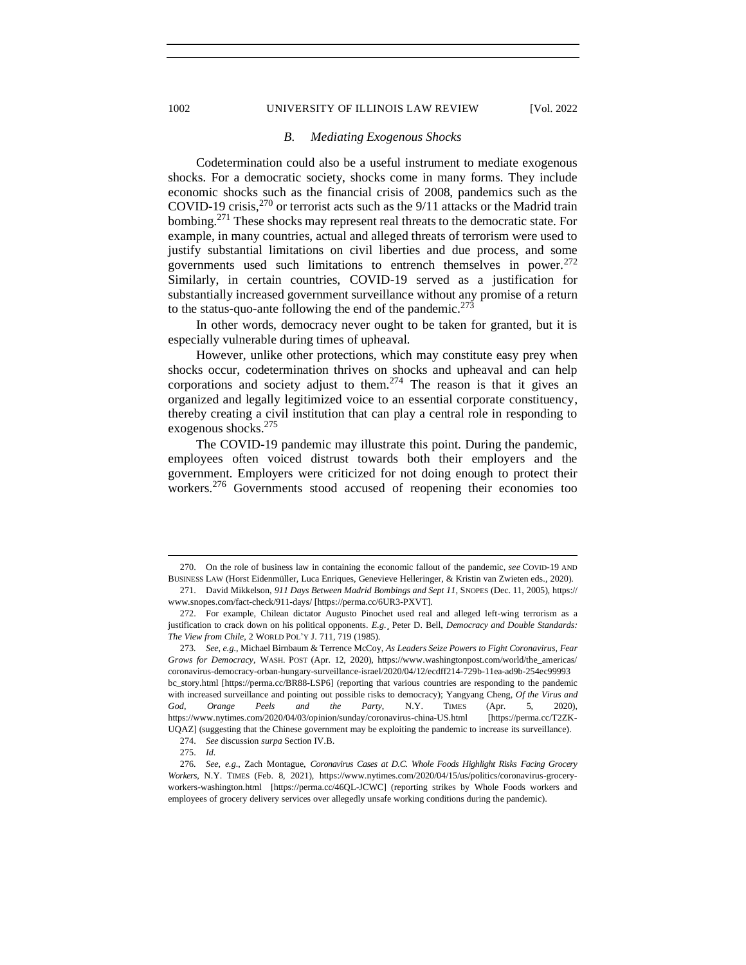### 1002 UNIVERSITY OF ILLINOIS LAW REVIEW [Vol. 2022]

### *B. Mediating Exogenous Shocks*

Codetermination could also be a useful instrument to mediate exogenous shocks. For a democratic society, shocks come in many forms. They include economic shocks such as the financial crisis of 2008, pandemics such as the COVID-19 crisis,<sup>270</sup> or terrorist acts such as the 9/11 attacks or the Madrid train bombing.<sup>271</sup> These shocks may represent real threats to the democratic state. For example, in many countries, actual and alleged threats of terrorism were used to justify substantial limitations on civil liberties and due process, and some governments used such limitations to entrench themselves in power.<sup>272</sup> Similarly, in certain countries, COVID-19 served as a justification for substantially increased government surveillance without any promise of a return to the status-quo-ante following the end of the pandemic.<sup>273</sup>

In other words, democracy never ought to be taken for granted, but it is especially vulnerable during times of upheaval.

However, unlike other protections, which may constitute easy prey when shocks occur, codetermination thrives on shocks and upheaval and can help corporations and society adjust to them.<sup>274</sup> The reason is that it gives an organized and legally legitimized voice to an essential corporate constituency, thereby creating a civil institution that can play a central role in responding to exogenous shocks.<sup>275</sup>

The COVID-19 pandemic may illustrate this point. During the pandemic, employees often voiced distrust towards both their employers and the government. Employers were criticized for not doing enough to protect their workers.<sup>276</sup> Governments stood accused of reopening their economies too

274. *See* discussion *surpa* Section IV.B.

<span id="page-39-0"></span>

<sup>270.</sup> On the role of business law in containing the economic fallout of the pandemic, *see* COVID-19 AND BUSINESS LAW (Horst Eidenmüller, Luca Enriques, Genevieve Helleringer, & Kristin van Zwieten eds., 2020).

<sup>271.</sup> David Mikkelson, *911 Days Between Madrid Bombings and Sept 11*, SNOPES (Dec. 11, 2005), https:// www.snopes.com/fact-check/911-days/ [https://perma.cc/6UR3-PXVT].

<sup>272.</sup> For example, Chilean dictator Augusto Pinochet used real and alleged left-wing terrorism as a justification to crack down on his political opponents. *E.g.*¸ Peter D. Bell, *Democracy and Double Standards: The View from Chile*, 2 WORLD POL'Y J. 711, 719 (1985).

<sup>273</sup>*. See, e.g.*, Michael Birnbaum & Terrence McCoy, *As Leaders Seize Powers to Fight Coronavirus, Fear Grows for Democracy*, WASH. POST (Apr. 12, 2020), https://www.washingtonpost.com/world/the\_americas/ coronavirus-democracy-orban-hungary-surveillance-israel/2020/04/12/ecdff214-729b-11ea-ad9b-254ec99993 bc\_story.html [https://perma.cc/BR88-LSP6] (reporting that various countries are responding to the pandemic with increased surveillance and pointing out possible risks to democracy); Yangyang Cheng, *Of the Virus and God, Orange Peels and the Party*, N.Y. TIMES (Apr. 5, 2020), https://www.nytimes.com/2020/04/03/opinion/sunday/coronavirus-china-US.html [https://perma.cc/T2ZK-UQAZ] (suggesting that the Chinese government may be exploiting the pandemic to increase its surveillance).

<sup>275.</sup> *Id.*

<sup>276</sup>*. See, e.g.*, Zach Montague, *Coronavirus Cases at D.C. Whole Foods Highlight Risks Facing Grocery Workers*, N.Y. TIMES (Feb. 8, 2021), https://www.nytimes.com/2020/04/15/us/politics/coronavirus-groceryworkers-washington.html [https://perma.cc/46QL-JCWC] (reporting strikes by Whole Foods workers and employees of grocery delivery services over allegedly unsafe working conditions during the pandemic).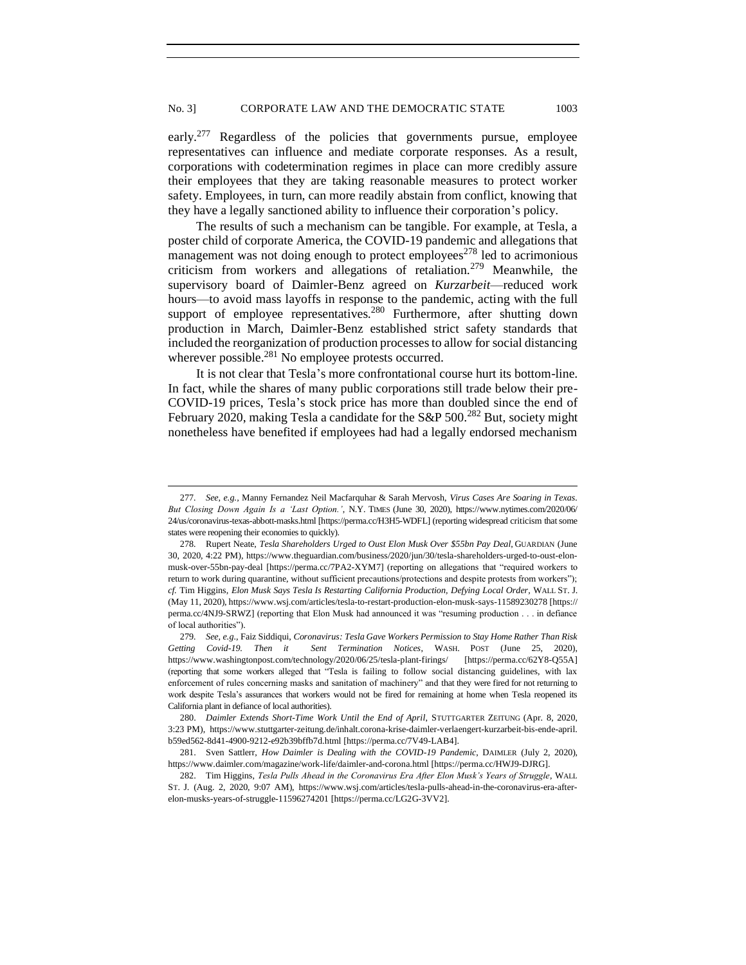early.<sup>277</sup> Regardless of the policies that governments pursue, employee representatives can influence and mediate corporate responses. As a result, corporations with codetermination regimes in place can more credibly assure their employees that they are taking reasonable measures to protect worker safety. Employees, in turn, can more readily abstain from conflict, knowing that they have a legally sanctioned ability to influence their corporation's policy.

The results of such a mechanism can be tangible. For example, at Tesla, a poster child of corporate America, the COVID-19 pandemic and allegations that management was not doing enough to protect employees<sup>278</sup> led to acrimonious criticism from workers and allegations of retaliation.<sup>279</sup> Meanwhile, the supervisory board of Daimler-Benz agreed on *Kurzarbeit*—reduced work hours—to avoid mass layoffs in response to the pandemic, acting with the full support of employee representatives.<sup>280</sup> Furthermore, after shutting down production in March, Daimler-Benz established strict safety standards that included the reorganization of production processes to allow for social distancing wherever possible. $^{281}$  No employee protests occurred.

It is not clear that Tesla's more confrontational course hurt its bottom-line. In fact, while the shares of many public corporations still trade below their pre-COVID-19 prices, Tesla's stock price has more than doubled since the end of February 2020, making Tesla a candidate for the S&P 500.<sup>282</sup> But, society might nonetheless have benefited if employees had had a legally endorsed mechanism

<sup>277</sup>*. See, e.g.,* Manny Fernandez Neil Macfarquhar & Sarah Mervosh, *Virus Cases Are Soaring in Texas. But Closing Down Again Is a 'Last Option.'*, N.Y. TIMES (June 30, 2020), https://www.nytimes.com/2020/06/ 24/us/coronavirus-texas-abbott-masks.html [https://perma.cc/H3H5-WDFL] (reporting widespread criticism that some states were reopening their economies to quickly).

<sup>278</sup>*.* Rupert Neate, *Tesla Shareholders Urged to Oust Elon Musk Over \$55bn Pay Deal*, GUARDIAN (June 30, 2020, 4:22 PM), https://www.theguardian.com/business/2020/jun/30/tesla-shareholders-urged-to-oust-elonmusk-over-55bn-pay-deal [https://perma.cc/7PA2-XYM7] (reporting on allegations that "required workers to return to work during quarantine, without sufficient precautions/protections and despite protests from workers"); *cf.* Tim Higgins, *Elon Musk Says Tesla Is Restarting California Production, Defying Local Order,* WALL ST. J. (May 11, 2020), https://www.wsj.com/articles/tesla-to-restart-production-elon-musk-says-11589230278 [https:// perma.cc/4NJ9-SRWZ] (reporting that Elon Musk had announced it was "resuming production . . . in defiance of local authorities").

<sup>279</sup>*. See, e.g.*, Faiz Siddiqui, *Coronavirus: Tesla Gave Workers Permission to Stay Home Rather Than Risk Getting Covid-19. Then it Sent Termination Notices*, WASH. POST (June 25, 2020), https://www.washingtonpost.com/technology/2020/06/25/tesla-plant-firings/ [https://perma.cc/62Y8-Q55A] (reporting that some workers alleged that "Tesla is failing to follow social distancing guidelines, with lax enforcement of rules concerning masks and sanitation of machinery" and that they were fired for not returning to work despite Tesla's assurances that workers would not be fired for remaining at home when Tesla reopened its California plant in defiance of local authorities).

<sup>280.</sup> *Daimler Extends Short-Time Work Until the End of April*, STUTTGARTER ZEITUNG (Apr. 8, 2020, 3:23 PM), https://www.stuttgarter-zeitung.de/inhalt.corona-krise-daimler-verlaengert-kurzarbeit-bis-ende-april. b59ed562-8d41-4900-9212-e92b39bffb7d.html [https://perma.cc/7V49-LAB4].

<sup>281.</sup> Sven Sattlerr, *How Daimler is Dealing with the COVID-19 Pandemic*, DAIMLER (July 2, 2020), https://www.daimler.com/magazine/work-life/daimler-and-corona.html [https://perma.cc/HWJ9-DJRG].

<sup>282.</sup> Tim Higgins, *Tesla Pulls Ahead in the Coronavirus Era After Elon Musk's Years of Struggle*, WALL ST. J. (Aug. 2, 2020, 9:07 AM), https://www.wsj.com/articles/tesla-pulls-ahead-in-the-coronavirus-era-afterelon-musks-years-of-struggle-11596274201 [https://perma.cc/LG2G-3VV2].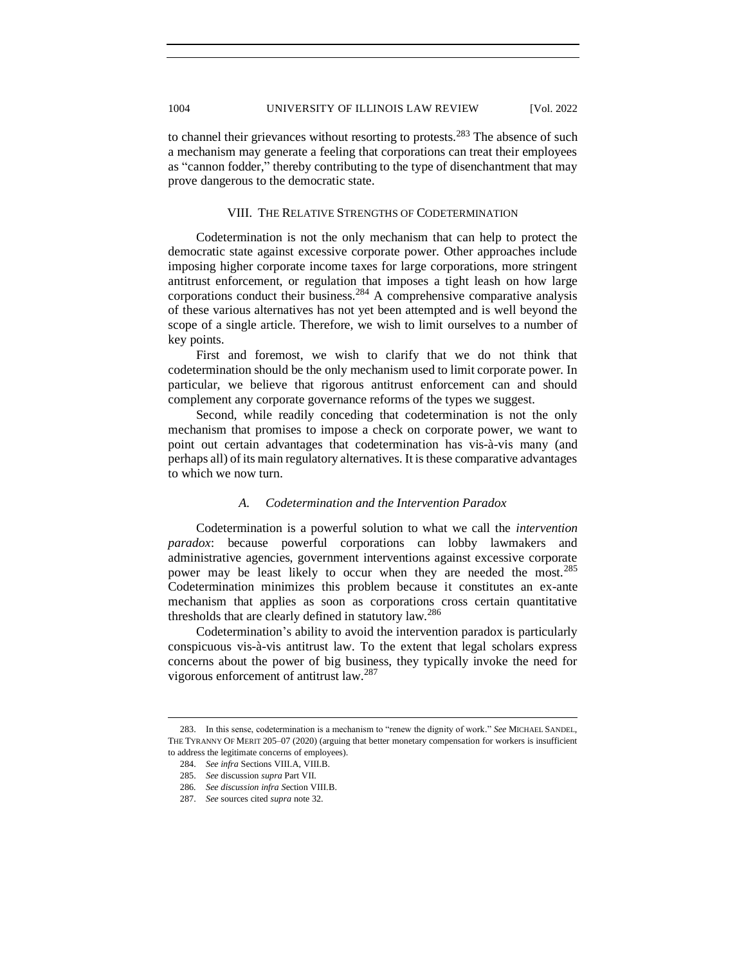to channel their grievances without resorting to protests.<sup>283</sup> The absence of such a mechanism may generate a feeling that corporations can treat their employees as "cannon fodder," thereby contributing to the type of disenchantment that may prove dangerous to the democratic state.

## VIII. THE RELATIVE STRENGTHS OF CODETERMINATION

<span id="page-41-0"></span>Codetermination is not the only mechanism that can help to protect the democratic state against excessive corporate power. Other approaches include imposing higher corporate income taxes for large corporations, more stringent antitrust enforcement, or regulation that imposes a tight leash on how large corporations conduct their business.<sup>284</sup> A comprehensive comparative analysis of these various alternatives has not yet been attempted and is well beyond the scope of a single article. Therefore, we wish to limit ourselves to a number of key points.

First and foremost, we wish to clarify that we do not think that codetermination should be the only mechanism used to limit corporate power. In particular, we believe that rigorous antitrust enforcement can and should complement any corporate governance reforms of the types we suggest.

Second, while readily conceding that codetermination is not the only mechanism that promises to impose a check on corporate power, we want to point out certain advantages that codetermination has vis-à-vis many (and perhaps all) of its main regulatory alternatives. It is these comparative advantages to which we now turn.

# *A. Codetermination and the Intervention Paradox*

<span id="page-41-1"></span>Codetermination is a powerful solution to what we call the *intervention paradox*: because powerful corporations can lobby lawmakers and administrative agencies, government interventions against excessive corporate power may be least likely to occur when they are needed the most.<sup>285</sup> Codetermination minimizes this problem because it constitutes an ex-ante mechanism that applies as soon as corporations cross certain quantitative thresholds that are clearly defined in statutory law.<sup>286</sup>

Codetermination's ability to avoid the intervention paradox is particularly conspicuous vis-à-vis antitrust law. To the extent that legal scholars express concerns about the power of big business, they typically invoke the need for vigorous enforcement of antitrust law.<sup>287</sup>

<sup>283.</sup> In this sense, codetermination is a mechanism to "renew the dignity of work." *See* MICHAEL SANDEL, THE TYRANNY OF MERIT 205–07 (2020) (arguing that better monetary compensation for workers is insufficient to address the legitimate concerns of employees).

<sup>284.</sup> *See infra* Sections VIII.A, VIII.B.

<sup>285.</sup> *See* discussion *supra* Part VII.

<sup>286</sup>*. See discussion infra S*ection VIII.B.

<sup>287.</sup> *See* sources cited *supra* note 32.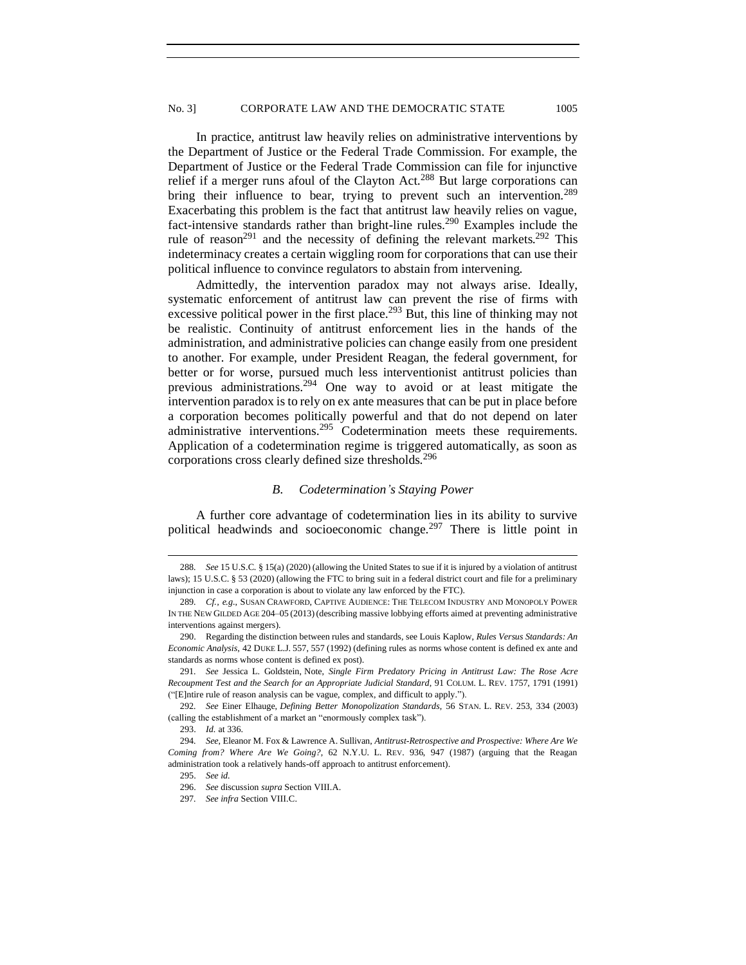In practice, antitrust law heavily relies on administrative interventions by the Department of Justice or the Federal Trade Commission. For example, the Department of Justice or the Federal Trade Commission can file for injunctive relief if a merger runs afoul of the Clayton Act.<sup>288</sup> But large corporations can bring their influence to bear, trying to prevent such an intervention.<sup>289</sup> Exacerbating this problem is the fact that antitrust law heavily relies on vague, fact-intensive standards rather than bright-line rules.<sup>290</sup> Examples include the rule of reason<sup>291</sup> and the necessity of defining the relevant markets.<sup>292</sup> This indeterminacy creates a certain wiggling room for corporations that can use their political influence to convince regulators to abstain from intervening.

Admittedly, the intervention paradox may not always arise. Ideally, systematic enforcement of antitrust law can prevent the rise of firms with excessive political power in the first place.<sup>293</sup> But, this line of thinking may not be realistic. Continuity of antitrust enforcement lies in the hands of the administration, and administrative policies can change easily from one president to another. For example, under President Reagan, the federal government, for better or for worse, pursued much less interventionist antitrust policies than previous administrations.<sup>294</sup> One way to avoid or at least mitigate the intervention paradox is to rely on ex ante measures that can be put in place before a corporation becomes politically powerful and that do not depend on later administrative interventions.<sup>295</sup> Codetermination meets these requirements. Application of a codetermination regime is triggered automatically, as soon as corporations cross clearly defined size thresholds.<sup>296</sup>

### *B. Codetermination's Staying Power*

<span id="page-42-0"></span>A further core advantage of codetermination lies in its ability to survive political headwinds and socioeconomic change.<sup>297</sup> There is little point in

<sup>288</sup>*. See* 15 U.S.C. § 15(a) (2020) (allowing the United States to sue if it is injured by a violation of antitrust laws); 15 U.S.C. § 53 (2020) (allowing the FTC to bring suit in a federal district court and file for a preliminary injunction in case a corporation is about to violate any law enforced by the FTC).

<sup>289</sup>*. Cf., e.g.*, SUSAN CRAWFORD, CAPTIVE AUDIENCE: THE TELECOM INDUSTRY AND MONOPOLY POWER IN THE NEW GILDED AGE 204–05 (2013)(describing massive lobbying efforts aimed at preventing administrative interventions against mergers).

<sup>290.</sup> Regarding the distinction between rules and standards, see Louis Kaplow, *Rules Versus Standards: An Economic Analysis*, 42 DUKE L.J. 557, 557 (1992) (defining rules as norms whose content is defined ex ante and standards as norms whose content is defined ex post).

<sup>291</sup>*. See* Jessica L. Goldstein, Note, *Single Firm Predatory Pricing in Antitrust Law: The Rose Acre Recoupment Test and the Search for an Appropriate Judicial Standard*, 91 COLUM. L. REV. 1757, 1791 (1991) ("[E]ntire rule of reason analysis can be vague, complex, and difficult to apply.").

<sup>292</sup>*. See* Einer Elhauge, *Defining Better Monopolization Standards*, 56 STAN. L. REV. 253, 334 (2003) (calling the establishment of a market an "enormously complex task").

<sup>293.</sup> *Id.* at 336.

<sup>294</sup>*. See*, Eleanor M. Fox & Lawrence A. Sullivan, *Antitrust-Retrospective and Prospective: Where Are We Coming from? Where Are We Going?*, 62 N.Y.U. L. REV. 936, 947 (1987) (arguing that the Reagan administration took a relatively hands-off approach to antitrust enforcement).

<sup>295.</sup> *See id.*

<sup>296.</sup> *See* discussion *supra* Section VIII.A.

<sup>297</sup>*. See infra* Section VIII.C.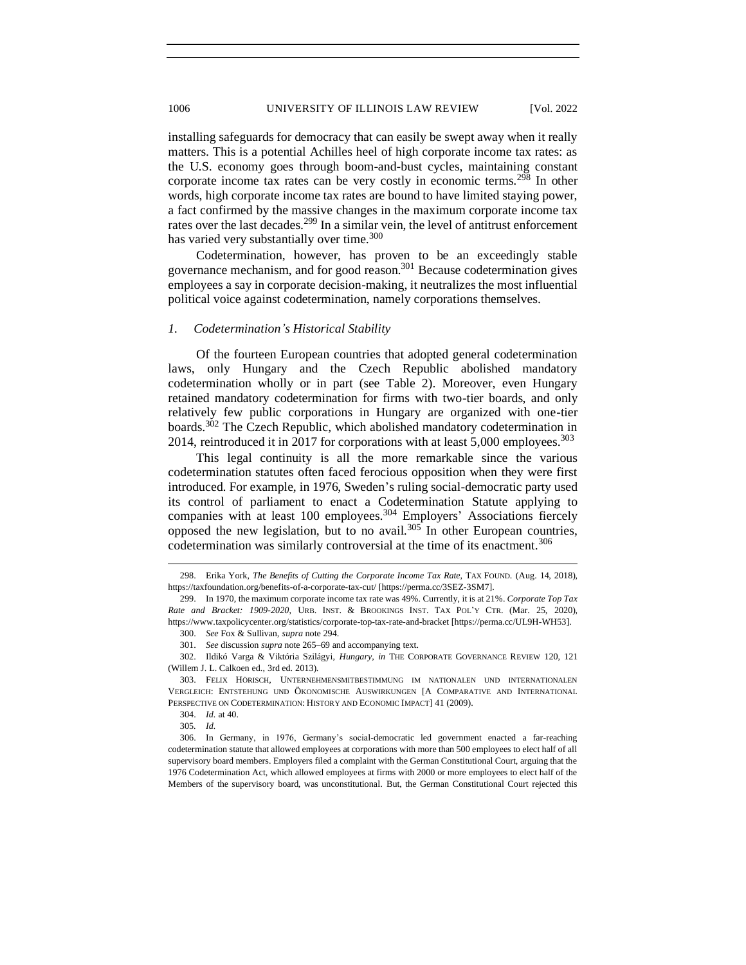installing safeguards for democracy that can easily be swept away when it really matters. This is a potential Achilles heel of high corporate income tax rates: as the U.S. economy goes through boom-and-bust cycles, maintaining constant corporate income tax rates can be very costly in economic terms.<sup>298</sup> In other words, high corporate income tax rates are bound to have limited staying power, a fact confirmed by the massive changes in the maximum corporate income tax rates over the last decades.<sup>299</sup> In a similar vein, the level of antitrust enforcement has varied very substantially over time.<sup>300</sup>

Codetermination, however, has proven to be an exceedingly stable governance mechanism, and for good reason.<sup>301</sup> Because codetermination gives employees a say in corporate decision-making, it neutralizes the most influential political voice against codetermination, namely corporations themselves.

### <span id="page-43-0"></span>*1. Codetermination's Historical Stability*

Of the fourteen European countries that adopted general codetermination laws, only Hungary and the Czech Republic abolished mandatory codetermination wholly or in part (see Table 2). Moreover, even Hungary retained mandatory codetermination for firms with two-tier boards, and only relatively few public corporations in Hungary are organized with one-tier boards.<sup>302</sup> The Czech Republic, which abolished mandatory codetermination in 2014, reintroduced it in 2017 for corporations with at least 5,000 employees.<sup>303</sup>

This legal continuity is all the more remarkable since the various codetermination statutes often faced ferocious opposition when they were first introduced. For example, in 1976, Sweden's ruling social-democratic party used its control of parliament to enact a Codetermination Statute applying to companies with at least 100 employees.<sup>304</sup> Employers' Associations fiercely opposed the new legislation, but to no avail.<sup>305</sup> In other European countries, codetermination was similarly controversial at the time of its enactment.<sup>306</sup>

<sup>298.</sup> Erika York, *The Benefits of Cutting the Corporate Income Tax Rate*, TAX FOUND. (Aug. 14, 2018), https://taxfoundation.org/benefits-of-a-corporate-tax-cut/ [https://perma.cc/3SEZ-3SM7].

<sup>299.</sup> In 1970, the maximum corporate income tax rate was 49%. Currently, it is at 21%. *Corporate Top Tax Rate and Bracket: 1909-2020*, URB. INST. & BROOKINGS INST. TAX POL'Y CTR. (Mar. 25, 2020), https://www.taxpolicycenter.org/statistics/corporate-top-tax-rate-and-bracket [https://perma.cc/UL9H-WH53].

<sup>300.</sup> *See* Fox & Sullivan, *supra* note 294.

<sup>301.</sup> *See* discussion *supra* note 265–69 and accompanying text.

<sup>302.</sup> Ildikó Varga & Viktória Szilágyi, *Hungary*, *in* THE CORPORATE GOVERNANCE REVIEW 120, 121 (Willem J. L. Calkoen ed., 3rd ed. 2013).

<sup>303.</sup> FELIX HÖRISCH, UNTERNEHMENSMITBESTIMMUNG IM NATIONALEN UND INTERNATIONALEN VERGLEICH: ENTSTEHUNG UND ÖKONOMISCHE AUSWIRKUNGEN [A COMPARATIVE AND INTERNATIONAL PERSPECTIVE ON CODETERMINATION: HISTORY AND ECONOMIC IMPACT] 41 (2009).

<sup>304.</sup> *Id.* at 40.

<sup>305</sup>*. Id.*

<sup>306.</sup> In Germany, in 1976, Germany's social-democratic led government enacted a far-reaching codetermination statute that allowed employees at corporations with more than 500 employees to elect half of all supervisory board members. Employers filed a complaint with the German Constitutional Court, arguing that the 1976 Codetermination Act, which allowed employees at firms with 2000 or more employees to elect half of the Members of the supervisory board, was unconstitutional. But, the German Constitutional Court rejected this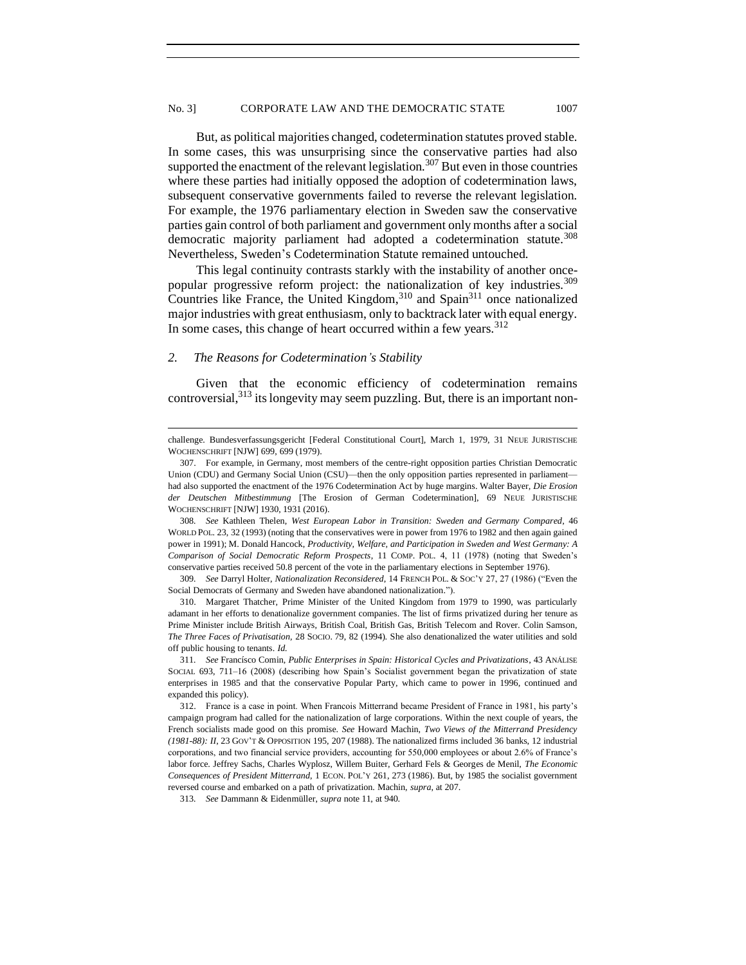But, as political majorities changed, codetermination statutes proved stable. In some cases, this was unsurprising since the conservative parties had also supported the enactment of the relevant legislation.<sup>307</sup> But even in those countries where these parties had initially opposed the adoption of codetermination laws, subsequent conservative governments failed to reverse the relevant legislation. For example, the 1976 parliamentary election in Sweden saw the conservative parties gain control of both parliament and government only months after a social democratic majority parliament had adopted a codetermination statute.<sup>308</sup> Nevertheless, Sweden's Codetermination Statute remained untouched.

This legal continuity contrasts starkly with the instability of another oncepopular progressive reform project: the nationalization of key industries.<sup>309</sup> Countries like France, the United Kingdom, $310$  and Spain $311$  once nationalized major industries with great enthusiasm, only to backtrack later with equal energy. In some cases, this change of heart occurred within a few years.<sup>312</sup>

### <span id="page-44-0"></span>*2. The Reasons for Codetermination's Stability*

Given that the economic efficiency of codetermination remains controversial,<sup>313</sup> its longevity may seem puzzling. But, there is an important non-

308*. See* Kathleen Thelen, *West European Labor in Transition: Sweden and Germany Compared*, 46 WORLD POL. 23, 32 (1993) (noting that the conservatives were in power from 1976 to 1982 and then again gained power in 1991); M. Donald Hancock, *Productivity, Welfare, and Participation in Sweden and West Germany: A Comparison of Social Democratic Reform Prospects*, 11 COMP. POL. 4, 11 (1978) (noting that Sweden's conservative parties received 50.8 percent of the vote in the parliamentary elections in September 1976).

309*. See* Darryl Holter, *Nationalization Reconsidered*, 14 FRENCH POL. & SOC'Y 27, 27 (1986) ("Even the Social Democrats of Germany and Sweden have abandoned nationalization.").

310. Margaret Thatcher, Prime Minister of the United Kingdom from 1979 to 1990, was particularly adamant in her efforts to denationalize government companies. The list of firms privatized during her tenure as Prime Minister include British Airways, British Coal, British Gas, British Telecom and Rover. Colin Samson, *The Three Faces of Privatisation,* 28 SOCIO. 79, 82 (1994). She also denationalized the water utilities and sold off public housing to tenants. *Id.* 

challenge. Bundesverfassungsgericht [Federal Constitutional Court], March 1, 1979, 31 NEUE JURISTISCHE WOCHENSCHRIFT [NJW] 699, 699 (1979).

<sup>307.</sup> For example, in Germany, most members of the centre-right opposition parties Christian Democratic Union (CDU) and Germany Social Union (CSU)—then the only opposition parties represented in parliament had also supported the enactment of the 1976 Codetermination Act by huge margins. Walter Bayer, *Die Erosion der Deutschen Mitbestimmung* [The Erosion of German Codetermination], 69 NEUE JURISTISCHE WOCHENSCHRIFT [NJW] 1930, 1931 (2016).

<sup>311</sup>*. See* Francísco Comin, *Public Enterprises in Spain: Historical Cycles and Privatizations*, 43 ANÁLISE SOCIAL 693, 711–16 (2008) (describing how Spain's Socialist government began the privatization of state enterprises in 1985 and that the conservative Popular Party, which came to power in 1996, continued and expanded this policy).

<sup>312.</sup> France is a case in point. When Francois Mitterrand became President of France in 1981, his party's campaign program had called for the nationalization of large corporations. Within the next couple of years, the French socialists made good on this promise. *See* Howard Machin, *Two Views of the Mitterrand Presidency (1981-88): II*, 23 GOV'T & OPPOSITION 195, 207 (1988). The nationalized firms included 36 banks, 12 industrial corporations, and two financial service providers, accounting for 550,000 employees or about 2.6% of France's labor force. Jeffrey Sachs, Charles Wyplosz, Willem Buiter, Gerhard Fels & Georges de Menil, *The Economic Consequences of President Mitterrand*, 1 ECON. POL'Y 261, 273 (1986). But, by 1985 the socialist government reversed course and embarked on a path of privatization. Machin, *supra*, at 207.

<sup>313</sup>*. See* Dammann & Eidenmüller, *supra* note 11, at 940.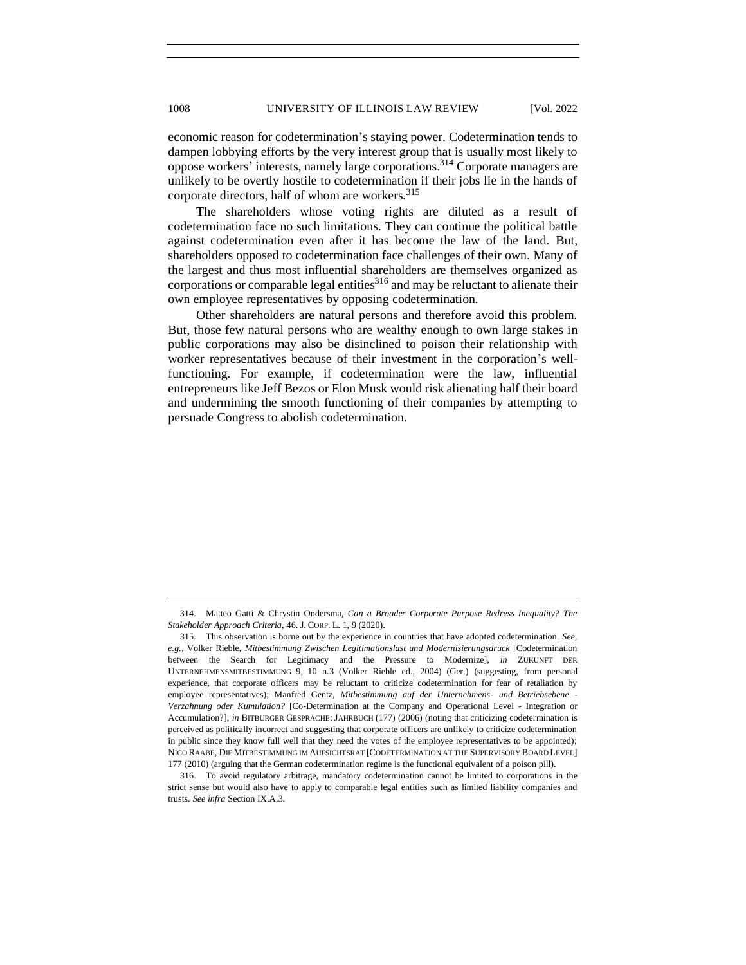economic reason for codetermination's staying power. Codetermination tends to dampen lobbying efforts by the very interest group that is usually most likely to oppose workers' interests, namely large corporations. <sup>314</sup> Corporate managers are unlikely to be overtly hostile to codetermination if their jobs lie in the hands of corporate directors, half of whom are workers.<sup>315</sup>

The shareholders whose voting rights are diluted as a result of codetermination face no such limitations. They can continue the political battle against codetermination even after it has become the law of the land. But, shareholders opposed to codetermination face challenges of their own. Many of the largest and thus most influential shareholders are themselves organized as corporations or comparable legal entities $316$  and may be reluctant to alienate their own employee representatives by opposing codetermination.

Other shareholders are natural persons and therefore avoid this problem. But, those few natural persons who are wealthy enough to own large stakes in public corporations may also be disinclined to poison their relationship with worker representatives because of their investment in the corporation's wellfunctioning. For example, if codetermination were the law, influential entrepreneurs like Jeff Bezos or Elon Musk would risk alienating half their board and undermining the smooth functioning of their companies by attempting to persuade Congress to abolish codetermination.

<sup>314.</sup> Matteo Gatti & Chrystin Ondersma, *Can a Broader Corporate Purpose Redress Inequality? The Stakeholder Approach Criteria*, 46. J. CORP. L. 1, 9 (2020).

<sup>315.</sup> This observation is borne out by the experience in countries that have adopted codetermination. *See, e.g.*, Volker Rieble, *Mitbestimmung Zwischen Legitimationslast und Modernisierungsdruck* [Codetermination between the Search for Legitimacy and the Pressure to Modernize], *in* ZUKUNFT DER UNTERNEHMENSMITBESTIMMUNG 9, 10 n.3 (Volker Rieble ed., 2004) (Ger.) (suggesting, from personal experience, that corporate officers may be reluctant to criticize codetermination for fear of retaliation by employee representatives); Manfred Gentz, *Mitbestimmung auf der Unternehmens- und Betriebsebene - Verzahnung oder Kumulation?* [Co-Determination at the Company and Operational Level - Integration or Accumulation?], *in* BITBURGER GESPRÄCHE: JAHRBUCH (177) (2006) (noting that criticizing codetermination is perceived as politically incorrect and suggesting that corporate officers are unlikely to criticize codetermination in public since they know full well that they need the votes of the employee representatives to be appointed); NICO RAABE, DIE MITBESTIMMUNG IM AUFSICHTSRAT [CODETERMINATION AT THE SUPERVISORY BOARD LEVEL] 177 (2010) (arguing that the German codetermination regime is the functional equivalent of a poison pill).

<sup>316.</sup> To avoid regulatory arbitrage, mandatory codetermination cannot be limited to corporations in the strict sense but would also have to apply to comparable legal entities such as limited liability companies and trusts. *See infra* Section IX.A.3.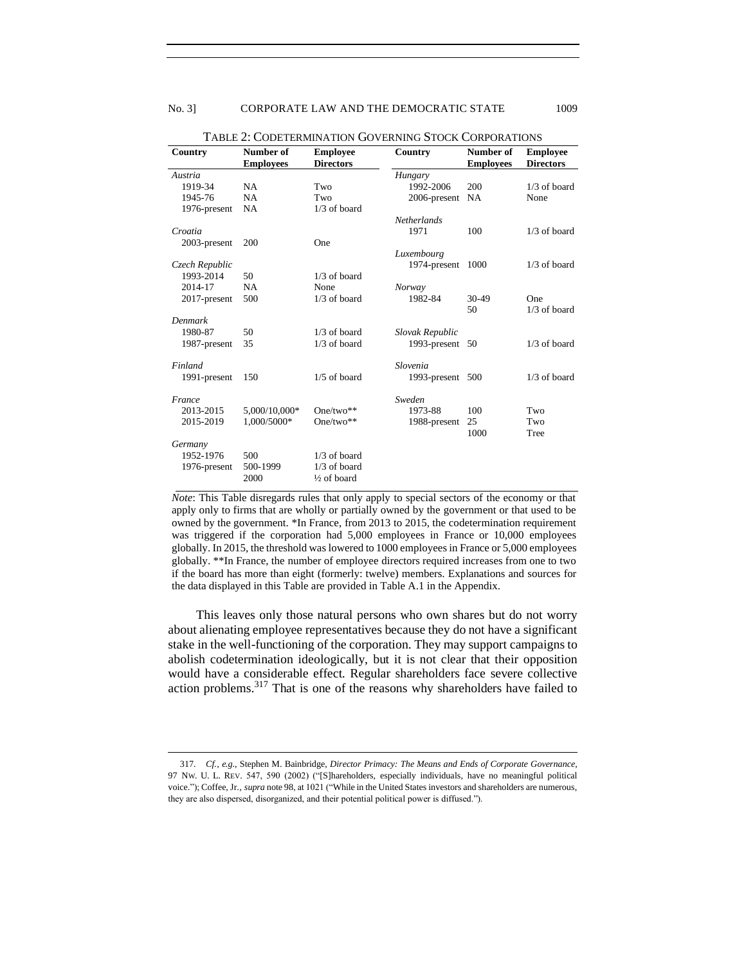| Country        | Number of        | <b>Employee</b>        | Country            | Number of        | <b>Employee</b>  |
|----------------|------------------|------------------------|--------------------|------------------|------------------|
|                | <b>Employees</b> | <b>Directors</b>       |                    | <b>Employees</b> | <b>Directors</b> |
| Austria        |                  |                        | Hungary            |                  |                  |
| 1919-34        | <b>NA</b>        | Two                    | 1992-2006          | 200              | $1/3$ of board   |
| 1945-76        | <b>NA</b>        | Two                    | 2006-present       | <b>NA</b>        | None             |
| 1976-present   | NA               | $1/3$ of board         |                    |                  |                  |
|                |                  |                        | <b>Netherlands</b> |                  |                  |
| Croatia        |                  |                        | 1971               | 100              | $1/3$ of board   |
| 2003-present   | 200              | One                    |                    |                  |                  |
|                |                  |                        | Luxembourg         |                  |                  |
| Czech Republic |                  |                        | 1974-present       | 1000             | $1/3$ of board   |
| 1993-2014      | 50               | $1/3$ of board         |                    |                  |                  |
| 2014-17        | <b>NA</b>        | None                   | Norway             |                  |                  |
| 2017-present   | 500              | $1/3$ of board         | 1982-84            | $30-49$          | One              |
|                |                  |                        |                    | 50               | $1/3$ of board   |
| <b>Denmark</b> |                  |                        |                    |                  |                  |
| 1980-87        | 50               | $1/3$ of board         | Slovak Republic    |                  |                  |
| 1987-present   | 35               | $1/3$ of board         | 1993-present       | 50               | $1/3$ of board   |
|                |                  |                        |                    |                  |                  |
| Finland        |                  |                        | Slovenia           |                  |                  |
| 1991-present   | 150              | $1/5$ of board         | 1993-present 500   |                  | $1/3$ of board   |
|                |                  |                        |                    |                  |                  |
| France         |                  |                        | Sweden             |                  |                  |
| 2013-2015      | 5,000/10,000*    | One/two**              | 1973-88            | 100              | Two              |
| 2015-2019      | 1.000/5000*      | One/two**              | 1988-present       | 25               | Two              |
|                |                  |                        |                    | 1000             | Tree             |
| Germany        |                  |                        |                    |                  |                  |
| 1952-1976      | 500              | $1/3$ of board         |                    |                  |                  |
| 1976-present   | 500-1999         | $1/3$ of board         |                    |                  |                  |
|                | 2000             | $\frac{1}{2}$ of board |                    |                  |                  |

TABLE 2: CODETERMINATION GOVERNING STOCK CORPORATIONS

*Note*: This Table disregards rules that only apply to special sectors of the economy or that apply only to firms that are wholly or partially owned by the government or that used to be owned by the government. \*In France, from 2013 to 2015, the codetermination requirement was triggered if the corporation had 5,000 employees in France or 10,000 employees globally. In 2015, the threshold was lowered to 1000 employees in France or 5,000 employees globally. \*\*In France, the number of employee directors required increases from one to two if the board has more than eight (formerly: twelve) members. Explanations and sources for the data displayed in this Table are provided in Table A.1 in the Appendix.

This leaves only those natural persons who own shares but do not worry about alienating employee representatives because they do not have a significant stake in the well-functioning of the corporation. They may support campaigns to abolish codetermination ideologically, but it is not clear that their opposition would have a considerable effect. Regular shareholders face severe collective action problems.<sup>317</sup> That is one of the reasons why shareholders have failed to

<sup>317</sup>*. Cf., e.g.*, Stephen M. Bainbridge, *Director Primacy: The Means and Ends of Corporate Governance*, 97 NW. U. L. REV. 547, 590 (2002) ("[S]hareholders, especially individuals, have no meaningful political voice."); Coffee, Jr., *supra* note 98, at 1021 ("While in the United States investors and shareholders are numerous, they are also dispersed, disorganized, and their potential political power is diffused.").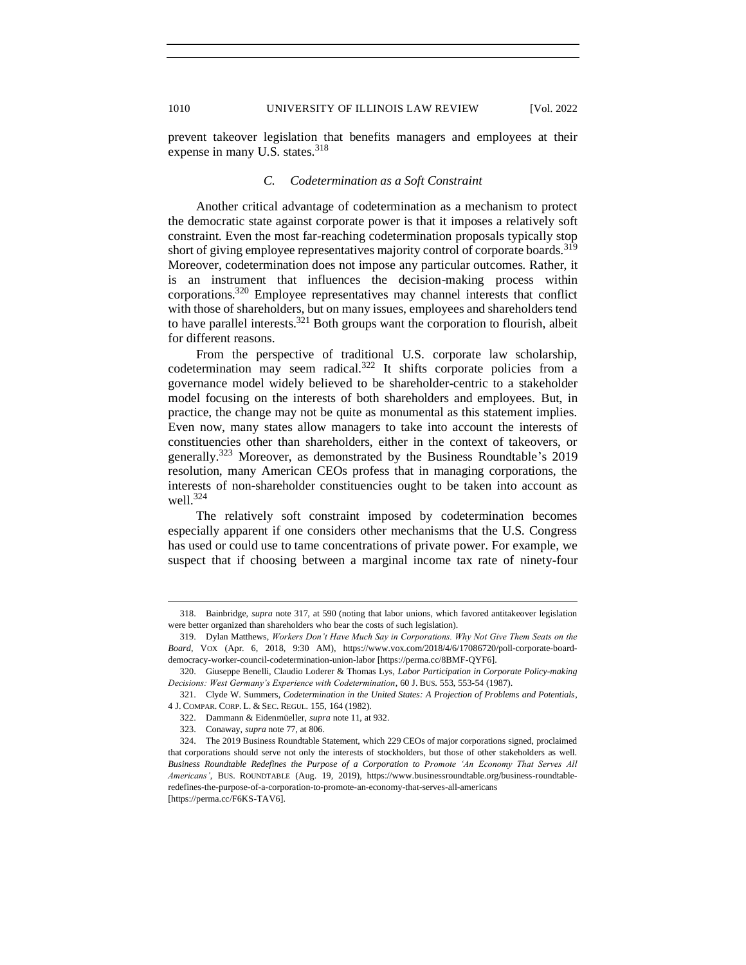<span id="page-47-0"></span>prevent takeover legislation that benefits managers and employees at their expense in many U.S. states.<sup>318</sup>

# *C. Codetermination as a Soft Constraint*

Another critical advantage of codetermination as a mechanism to protect the democratic state against corporate power is that it imposes a relatively soft constraint. Even the most far-reaching codetermination proposals typically stop short of giving employee representatives majority control of corporate boards.<sup>319</sup> Moreover, codetermination does not impose any particular outcomes. Rather, it is an instrument that influences the decision-making process within corporations.<sup>320</sup> Employee representatives may channel interests that conflict with those of shareholders, but on many issues, employees and shareholders tend to have parallel interests.<sup>321</sup> Both groups want the corporation to flourish, albeit for different reasons.

From the perspective of traditional U.S. corporate law scholarship, codetermination may seem radical.<sup>322</sup> It shifts corporate policies from a governance model widely believed to be shareholder-centric to a stakeholder model focusing on the interests of both shareholders and employees. But, in practice, the change may not be quite as monumental as this statement implies. Even now, many states allow managers to take into account the interests of constituencies other than shareholders, either in the context of takeovers, or generally.<sup>323</sup> Moreover, as demonstrated by the Business Roundtable's 2019 resolution, many American CEOs profess that in managing corporations, the interests of non-shareholder constituencies ought to be taken into account as well.<sup>324</sup>

The relatively soft constraint imposed by codetermination becomes especially apparent if one considers other mechanisms that the U.S. Congress has used or could use to tame concentrations of private power. For example, we suspect that if choosing between a marginal income tax rate of ninety-four

<sup>318.</sup> Bainbridge, *supra* note 317, at 590 (noting that labor unions, which favored antitakeover legislation were better organized than shareholders who bear the costs of such legislation).

<sup>319.</sup> Dylan Matthews, *Workers Don't Have Much Say in Corporations. Why Not Give Them Seats on the Board*, VOX (Apr. 6, 2018, 9:30 AM), https://www.vox.com/2018/4/6/17086720/poll-corporate-boarddemocracy-worker-council-codetermination-union-labor [https://perma.cc/8BMF-QYF6].

<sup>320.</sup> Giuseppe Benelli, Claudio Loderer & Thomas Lys, *Labor Participation in Corporate Policy-making Decisions: West Germany's Experience with Codetermination*, 60 J. BUS. 553, 553-54 (1987).

<sup>321.</sup> Clyde W. Summers, *Codetermination in the United States: A Projection of Problems and Potentials*, 4 J. COMPAR. CORP. L. & SEC. REGUL. 155, 164 (1982).

<sup>322.</sup> Dammann & Eidenmüeller, *supra* note 11, at 932.

<sup>323.</sup> Conaway, *supra* note 77, at 806.

<sup>324.</sup> The 2019 Business Roundtable Statement, which 229 CEOs of major corporations signed, proclaimed that corporations should serve not only the interests of stockholders, but those of other stakeholders as well. *Business Roundtable Redefines the Purpose of a Corporation to Promote 'An Economy That Serves All Americans'*, BUS. ROUNDTABLE (Aug. 19, 2019), https://www.businessroundtable.org/business-roundtableredefines-the-purpose-of-a-corporation-to-promote-an-economy-that-serves-all-americans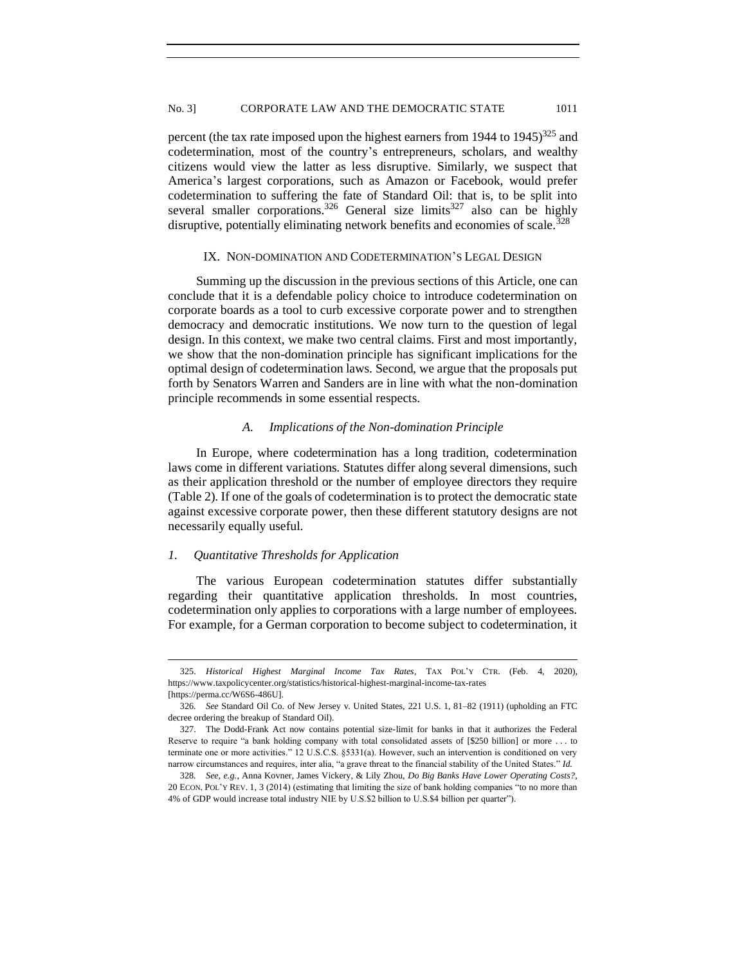### No. 3] CORPORATE LAW AND THE DEMOCRATIC STATE 1011

percent (the tax rate imposed upon the highest earners from  $1944$  to  $1945$ )<sup>325</sup> and codetermination, most of the country's entrepreneurs, scholars, and wealthy citizens would view the latter as less disruptive. Similarly, we suspect that America's largest corporations, such as Amazon or Facebook, would prefer codetermination to suffering the fate of Standard Oil: that is, to be split into several smaller corporations.<sup>326</sup> General size limits<sup>327</sup> also can be highly disruptive, potentially eliminating network benefits and economies of scale.<sup>328</sup>

### IX. NON-DOMINATION AND CODETERMINATION'S LEGAL DESIGN

<span id="page-48-0"></span>Summing up the discussion in the previous sections of this Article, one can conclude that it is a defendable policy choice to introduce codetermination on corporate boards as a tool to curb excessive corporate power and to strengthen democracy and democratic institutions. We now turn to the question of legal design. In this context, we make two central claims. First and most importantly, we show that the non-domination principle has significant implications for the optimal design of codetermination laws. Second, we argue that the proposals put forth by Senators Warren and Sanders are in line with what the non-domination principle recommends in some essential respects.

## *A. Implications of the Non-domination Principle*

<span id="page-48-1"></span>In Europe, where codetermination has a long tradition, codetermination laws come in different variations. Statutes differ along several dimensions, such as their application threshold or the number of employee directors they require (Table 2). If one of the goals of codetermination is to protect the democratic state against excessive corporate power, then these different statutory designs are not necessarily equally useful.

# <span id="page-48-2"></span>*1. Quantitative Thresholds for Application*

The various European codetermination statutes differ substantially regarding their quantitative application thresholds. In most countries, codetermination only applies to corporations with a large number of employees. For example, for a German corporation to become subject to codetermination, it

<sup>325.</sup> *Historical Highest Marginal Income Tax Rates*, TAX POL'Y CTR. (Feb. 4, 2020), https://www.taxpolicycenter.org/statistics/historical-highest-marginal-income-tax-rates [https://perma.cc/W6S6-486U].

<sup>326</sup>*. See* Standard Oil Co. of New Jersey v. United States, 221 U.S. 1, 81–82 (1911) (upholding an FTC decree ordering the breakup of Standard Oil).

<sup>327.</sup> The Dodd-Frank Act now contains potential size-limit for banks in that it authorizes the Federal Reserve to require "a bank holding company with total consolidated assets of [\$250 billion] or more . . . to terminate one or more activities." 12 U.S.C.S. §5331(a). However, such an intervention is conditioned on very narrow circumstances and requires, inter alia, "a grave threat to the financial stability of the United States." *Id.*

<sup>328</sup>*. See, e.g.*, Anna Kovner, James Vickery, & Lily Zhou, *Do Big Banks Have Lower Operating Costs?*, 20 ECON. POL'Y REV. 1, 3 (2014) (estimating that limiting the size of bank holding companies "to no more than 4% of GDP would increase total industry NIE by U.S.\$2 billion to U.S.\$4 billion per quarter").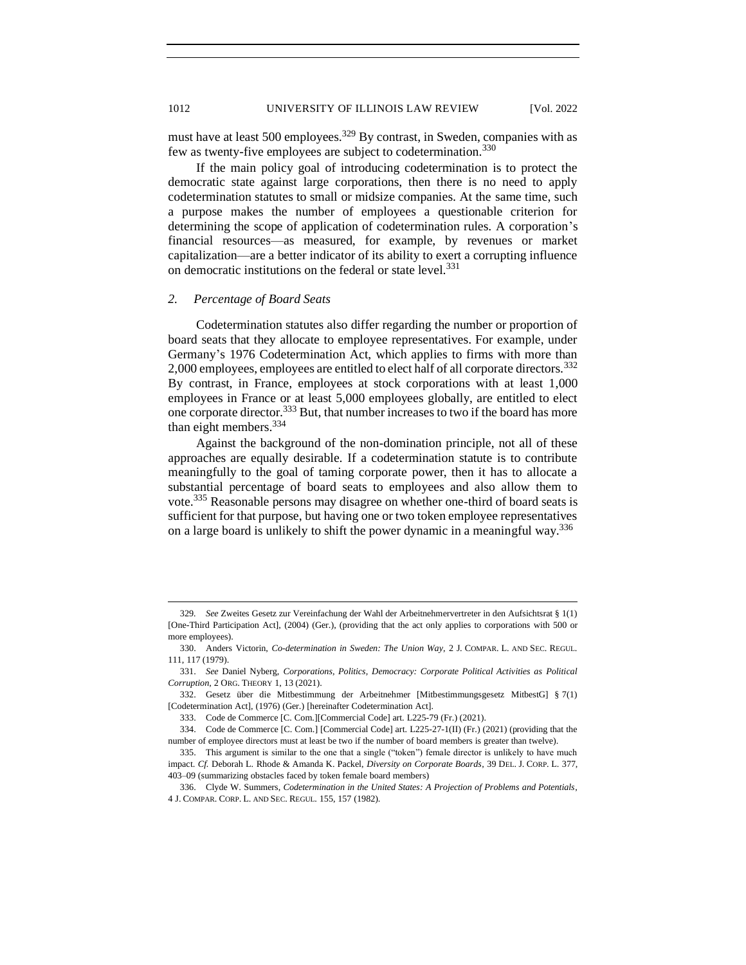# 1012 UNIVERSITY OF ILLINOIS LAW REVIEW [Vol. 2022

must have at least 500 employees.<sup>329</sup> By contrast, in Sweden, companies with as few as twenty-five employees are subject to codetermination.<sup>330</sup>

If the main policy goal of introducing codetermination is to protect the democratic state against large corporations, then there is no need to apply codetermination statutes to small or midsize companies. At the same time, such a purpose makes the number of employees a questionable criterion for determining the scope of application of codetermination rules. A corporation's financial resources—as measured, for example, by revenues or market capitalization—are a better indicator of its ability to exert a corrupting influence on democratic institutions on the federal or state level.<sup>331</sup>

### <span id="page-49-0"></span>*2. Percentage of Board Seats*

Codetermination statutes also differ regarding the number or proportion of board seats that they allocate to employee representatives. For example, under Germany's 1976 Codetermination Act, which applies to firms with more than 2,000 employees, employees are entitled to elect half of all corporate directors.<sup>332</sup> By contrast, in France, employees at stock corporations with at least 1,000 employees in France or at least 5,000 employees globally, are entitled to elect one corporate director.<sup>333</sup> But, that number increases to two if the board has more than eight members.<sup>334</sup>

Against the background of the non-domination principle, not all of these approaches are equally desirable. If a codetermination statute is to contribute meaningfully to the goal of taming corporate power, then it has to allocate a substantial percentage of board seats to employees and also allow them to vote.<sup>335</sup> Reasonable persons may disagree on whether one-third of board seats is sufficient for that purpose, but having one or two token employee representatives on a large board is unlikely to shift the power dynamic in a meaningful way.<sup>336</sup>

<sup>329</sup>*. See* Zweites Gesetz zur Vereinfachung der Wahl der Arbeitnehmervertreter in den Aufsichtsrat § 1(1) [One-Third Participation Act], (2004) (Ger.), (providing that the act only applies to corporations with 500 or more employees).

<sup>330.</sup> Anders Victorin, *Co-determination in Sweden: The Union Way*, 2 J. COMPAR. L. AND SEC. REGUL. 111, 117 (1979).

<sup>331.</sup> *See* Daniel Nyberg, *Corporations, Politics, Democracy: Corporate Political Activities as Political Corruption*, 2 ORG. THEORY 1, 13 (2021).

<sup>332.</sup> Gesetz über die Mitbestimmung der Arbeitnehmer [Mitbestimmungsgesetz MitbestG] § 7(1) [Codetermination Act], (1976) (Ger.) [hereinafter Codetermination Act].

<sup>333.</sup> Code de Commerce [C. Com.][Commercial Code] art. L225-79 (Fr.) (2021).

<sup>334.</sup> Code de Commerce [C. Com.] [Commercial Code] art. L225-27-1(II) (Fr.) (2021) (providing that the number of employee directors must at least be two if the number of board members is greater than twelve).

<sup>335.</sup> This argument is similar to the one that a single ("token") female director is unlikely to have much impact. *Cf.* Deborah L. Rhode & Amanda K. Packel, *Diversity on Corporate Boards*, 39 DEL. J. CORP. L. 377, 403–09 (summarizing obstacles faced by token female board members)

<sup>336.</sup> Clyde W. Summers, *Codetermination in the United States: A Projection of Problems and Potentials*, 4 J. COMPAR. CORP. L. AND SEC. REGUL. 155, 157 (1982).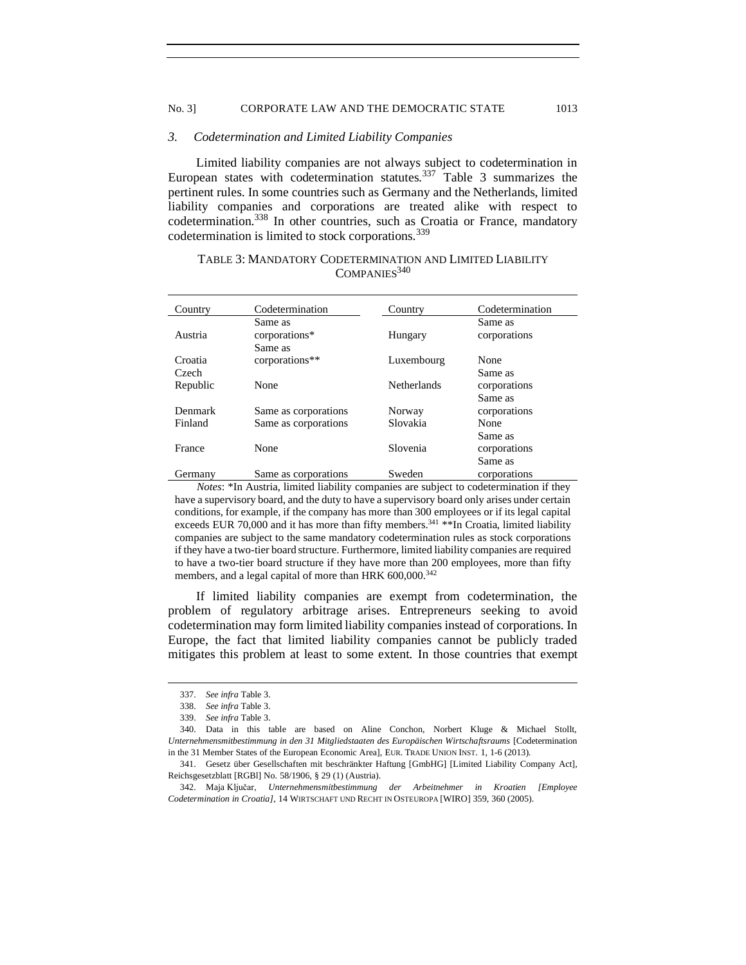### No. 3] CORPORATE LAW AND THE DEMOCRATIC STATE 1013

### <span id="page-50-0"></span>*3. Codetermination and Limited Liability Companies*

Limited liability companies are not always subject to codetermination in European states with codetermination statutes.<sup>337</sup> Table 3 summarizes the pertinent rules. In some countries such as Germany and the Netherlands, limited liability companies and corporations are treated alike with respect to codetermination.<sup>338</sup> In other countries, such as Croatia or France, mandatory codetermination is limited to stock corporations.<sup>339</sup>

| Country          | Codetermination                     | Country            | Codetermination         |
|------------------|-------------------------------------|--------------------|-------------------------|
| Austria          | Same as<br>corporations*<br>Same as | Hungary            | Same as<br>corporations |
| Croatia<br>Czech | corporations**                      | Luxembourg         | None<br>Same as         |
| Republic         | None                                | <b>Netherlands</b> | corporations<br>Same as |
| Denmark          | Same as corporations                | Norway             | corporations            |
| Finland          | Same as corporations                | Slovakia           | None<br>Same as         |
| France           | None                                | Slovenia           | corporations<br>Same as |
| Germany          | Same as corporations                | Sweden             | corporations            |

# TABLE 3: MANDATORY CODETERMINATION AND LIMITED LIABILITY  $COMPANIES<sup>340</sup>$

*Notes*: \*In Austria, limited liability companies are subject to codetermination if they have a supervisory board, and the duty to have a supervisory board only arises under certain conditions, for example, if the company has more than 300 employees or if its legal capital exceeds EUR 70,000 and it has more than fifty members.<sup>341</sup>  $*$ In Croatia, limited liability companies are subject to the same mandatory codetermination rules as stock corporations if they have a two-tier board structure. Furthermore, limited liability companies are required to have a two-tier board structure if they have more than 200 employees, more than fifty members, and a legal capital of more than HRK 600,000.<sup>342</sup>

If limited liability companies are exempt from codetermination, the problem of regulatory arbitrage arises. Entrepreneurs seeking to avoid codetermination may form limited liability companies instead of corporations. In Europe, the fact that limited liability companies cannot be publicly traded mitigates this problem at least to some extent. In those countries that exempt

<sup>337.</sup> *See infra* Table 3.

<sup>338.</sup> *See infra* Table 3.

<sup>339.</sup> *See infra* Table 3.

<sup>340.</sup> Data in this table are based on Aline Conchon, Norbert Kluge & Michael Stollt, *Unternehmensmitbestimmung in den 31 Mitgliedstaaten des Europäischen Wirtschaftsraums* [Codetermination in the 31 Member States of the European Economic Area], EUR. TRADE UNION INST. 1, 1-6 (2013).

<sup>341.</sup> Gesetz über Gesellschaften mit beschränkter Haftung [GmbHG] [Limited Liability Company Act], Reichsgesetzblatt [RGBl] No. 58/1906, § 29 (1) (Austria).

<sup>342.</sup> Maja Ključar, *Unternehmensmitbestimmung der Arbeitnehmer in Kroatien [Employee Codetermination in Croatia]*, 14 WIRTSCHAFT UND RECHT IN OSTEUROPA [WIRO] 359, 360 (2005).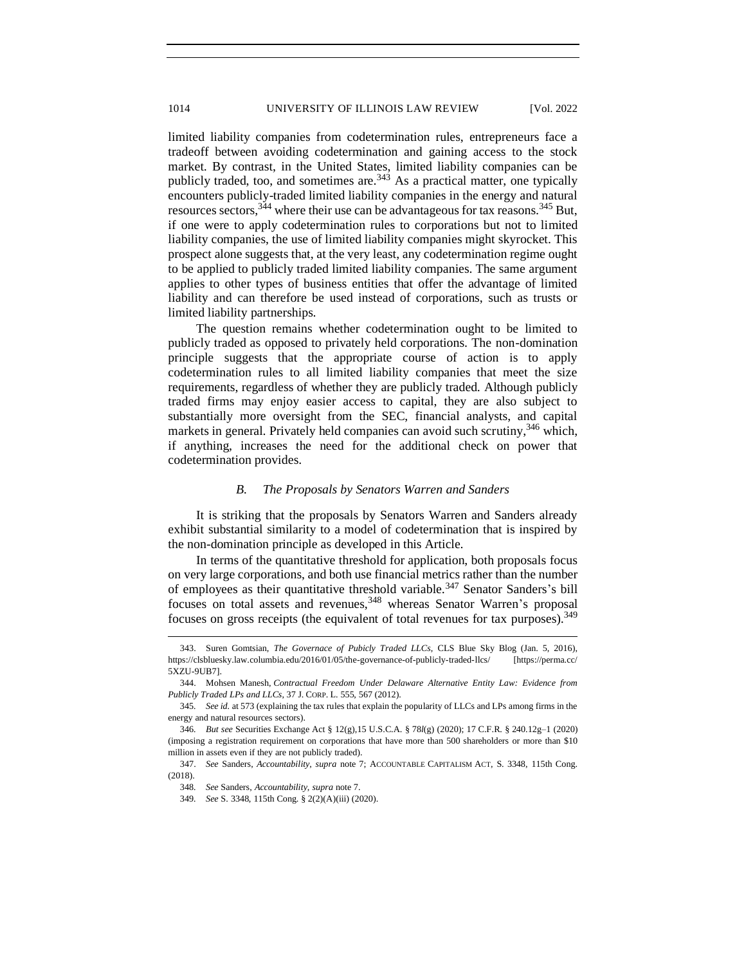limited liability companies from codetermination rules, entrepreneurs face a tradeoff between avoiding codetermination and gaining access to the stock market. By contrast, in the United States, limited liability companies can be publicly traded, too, and sometimes are.<sup>343</sup> As a practical matter, one typically encounters publicly-traded limited liability companies in the energy and natural resources sectors,  $344$  where their use can be advantageous for tax reasons.  $345$  But, if one were to apply codetermination rules to corporations but not to limited liability companies, the use of limited liability companies might skyrocket. This prospect alone suggests that, at the very least, any codetermination regime ought to be applied to publicly traded limited liability companies. The same argument applies to other types of business entities that offer the advantage of limited liability and can therefore be used instead of corporations, such as trusts or limited liability partnerships.

The question remains whether codetermination ought to be limited to publicly traded as opposed to privately held corporations. The non-domination principle suggests that the appropriate course of action is to apply codetermination rules to all limited liability companies that meet the size requirements, regardless of whether they are publicly traded. Although publicly traded firms may enjoy easier access to capital, they are also subject to substantially more oversight from the SEC, financial analysts, and capital markets in general. Privately held companies can avoid such scrutiny,<sup>346</sup> which, if anything, increases the need for the additional check on power that codetermination provides.

# *B. The Proposals by Senators Warren and Sanders*

<span id="page-51-0"></span>It is striking that the proposals by Senators Warren and Sanders already exhibit substantial similarity to a model of codetermination that is inspired by the non-domination principle as developed in this Article.

In terms of the quantitative threshold for application, both proposals focus on very large corporations, and both use financial metrics rather than the number of employees as their quantitative threshold variable.<sup>347</sup> Senator Sanders's bill focuses on total assets and revenues,<sup>348</sup> whereas Senator Warren's proposal focuses on gross receipts (the equivalent of total revenues for tax purposes).<sup>349</sup>

<sup>343.</sup> Suren Gomtsian, *The Governace of Pubicly Traded LLCs*, CLS Blue Sky Blog (Jan. 5, 2016), https://clsbluesky.law.columbia.edu/2016/01/05/the-governance-of-publicly-traded-llcs/ [https://perma.cc/ 5XZU-9UB7].

<sup>344.</sup> Mohsen Manesh, *Contractual Freedom Under Delaware Alternative Entity Law: Evidence from Publicly Traded LPs and LLCs*, 37 J. CORP. L. 555, 567 (2012).

<sup>345</sup>*. See id.* at 573 (explaining the tax rules that explain the popularity of LLCs and LPs among firms in the energy and natural resources sectors).

<sup>346</sup>*. But see* Securities Exchange Act § 12(g),15 U.S.C.A. § 78*l*(g) (2020); 17 C.F.R. § 240.12g–1 (2020) (imposing a registration requirement on corporations that have more than 500 shareholders or more than \$10 million in assets even if they are not publicly traded).

<sup>347.</sup> *See* Sanders, *Accountability*, *supra* note 7; ACCOUNTABLE CAPITALISM ACT, S. 3348, 115th Cong. (2018).

<sup>348</sup>*. See* Sanders, *Accountability*, *supra* note 7.

<sup>349</sup>*. See* S. 3348, 115th Cong. § 2(2)(A)(iii) (2020).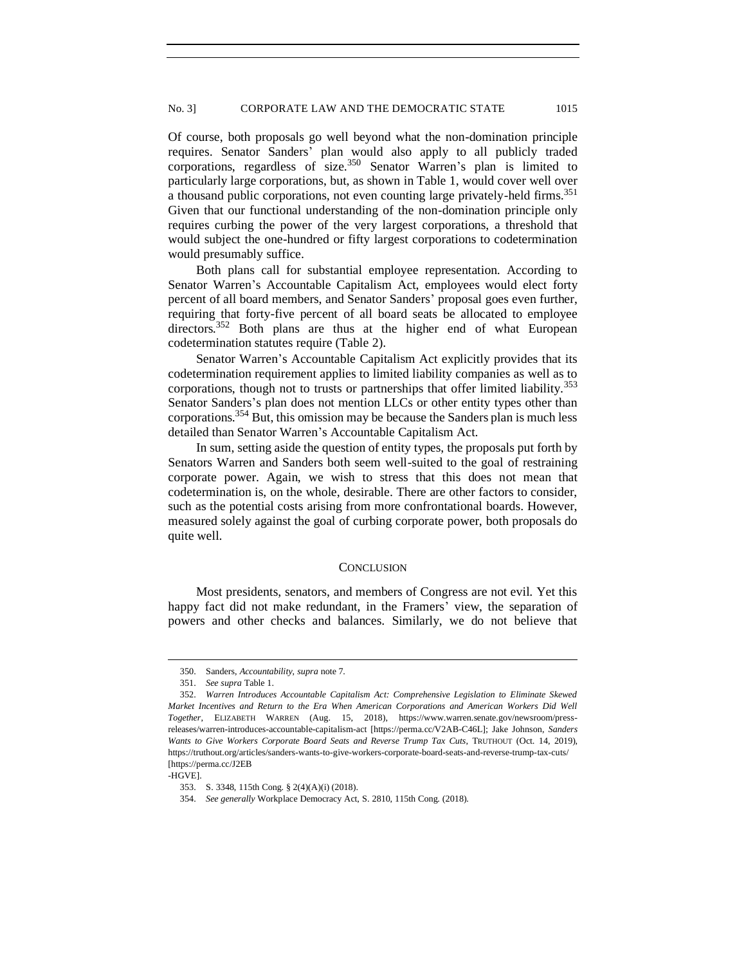Of course, both proposals go well beyond what the non-domination principle requires. Senator Sanders' plan would also apply to all publicly traded corporations, regardless of size.<sup>350</sup> Senator Warren's plan is limited to particularly large corporations, but, as shown in Table 1, would cover well over a thousand public corporations, not even counting large privately-held firms.<sup>351</sup> Given that our functional understanding of the non-domination principle only requires curbing the power of the very largest corporations, a threshold that would subject the one-hundred or fifty largest corporations to codetermination would presumably suffice.

Both plans call for substantial employee representation. According to Senator Warren's Accountable Capitalism Act, employees would elect forty percent of all board members, and Senator Sanders' proposal goes even further, requiring that forty-five percent of all board seats be allocated to employee directors.<sup>352</sup> Both plans are thus at the higher end of what European codetermination statutes require (Table 2).

Senator Warren's Accountable Capitalism Act explicitly provides that its codetermination requirement applies to limited liability companies as well as to corporations, though not to trusts or partnerships that offer limited liability.<sup>353</sup> Senator Sanders's plan does not mention LLCs or other entity types other than corporations.<sup>354</sup> But, this omission may be because the Sanders plan is much less detailed than Senator Warren's Accountable Capitalism Act.

In sum, setting aside the question of entity types, the proposals put forth by Senators Warren and Sanders both seem well-suited to the goal of restraining corporate power. Again, we wish to stress that this does not mean that codetermination is, on the whole, desirable. There are other factors to consider, such as the potential costs arising from more confrontational boards. However, measured solely against the goal of curbing corporate power, both proposals do quite well.

### **CONCLUSION**

<span id="page-52-0"></span>Most presidents, senators, and members of Congress are not evil. Yet this happy fact did not make redundant, in the Framers' view, the separation of powers and other checks and balances. Similarly, we do not believe that

<sup>350.</sup> Sanders, *Accountability*, *supra* note 7.

<sup>351.</sup> *See supra* Table 1.

<sup>352.</sup> *Warren Introduces Accountable Capitalism Act: Comprehensive Legislation to Eliminate Skewed Market Incentives and Return to the Era When American Corporations and American Workers Did Well Together*, ELIZABETH WARREN (Aug. 15, 2018), https://www.warren.senate.gov/newsroom/pressreleases/warren-introduces-accountable-capitalism-act [https://perma.cc/V2AB-C46L]; Jake Johnson, *Sanders Wants to Give Workers Corporate Board Seats and Reverse Trump Tax Cuts*, TRUTHOUT (Oct. 14, 2019), https://truthout.org/articles/sanders-wants-to-give-workers-corporate-board-seats-and-reverse-trump-tax-cuts/ [https://perma.cc/J2EB

<sup>-</sup>HGVE].

<sup>353.</sup> S. 3348, 115th Cong. § 2(4)(A)(i) (2018).

<sup>354.</sup> *See generally* Workplace Democracy Act, S. 2810, 115th Cong. (2018).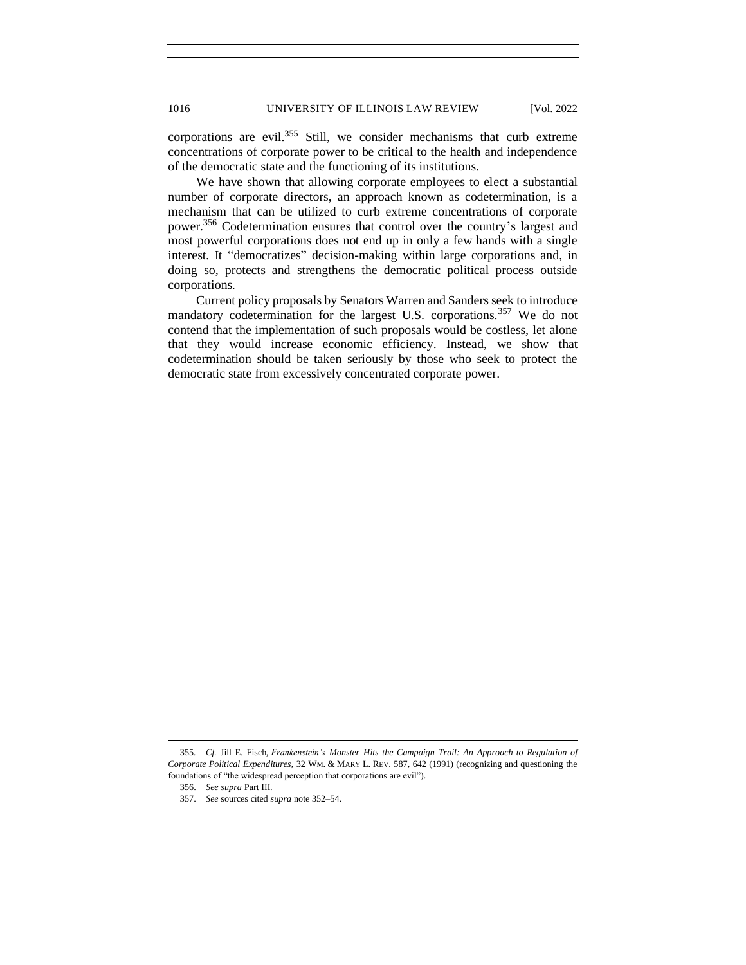corporations are evil.<sup>355</sup> Still, we consider mechanisms that curb extreme concentrations of corporate power to be critical to the health and independence of the democratic state and the functioning of its institutions.

We have shown that allowing corporate employees to elect a substantial number of corporate directors, an approach known as codetermination, is a mechanism that can be utilized to curb extreme concentrations of corporate power.<sup>356</sup> Codetermination ensures that control over the country's largest and most powerful corporations does not end up in only a few hands with a single interest. It "democratizes" decision-making within large corporations and, in doing so, protects and strengthens the democratic political process outside corporations.

Current policy proposals by Senators Warren and Sanders seek to introduce mandatory codetermination for the largest U.S. corporations.<sup>357</sup> We do not contend that the implementation of such proposals would be costless, let alone that they would increase economic efficiency. Instead, we show that codetermination should be taken seriously by those who seek to protect the democratic state from excessively concentrated corporate power.

<sup>355</sup>*. Cf.* Jill E. Fisch, *Frankenstein's Monster Hits the Campaign Trail: An Approach to Regulation of Corporate Political Expenditures*, 32 WM. & MARY L. REV. 587, 642 (1991) (recognizing and questioning the foundations of "the widespread perception that corporations are evil").

<sup>356.</sup> *See supra* Part III.

<sup>357.</sup> *See* sources cited *supra* note 352–54.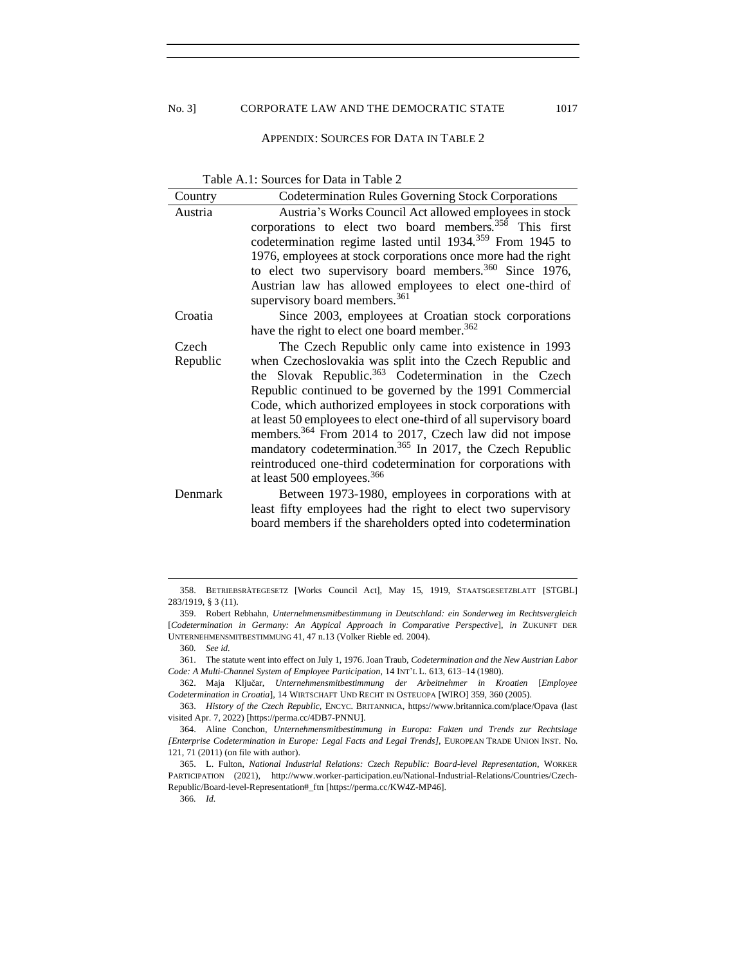### APPENDIX: SOURCES FOR DATA IN TABLE 2

<span id="page-54-0"></span>

| Table A.1: Sources for Data in Table 2 |  |  |  |
|----------------------------------------|--|--|--|
|----------------------------------------|--|--|--|

| Country  | <b>Codetermination Rules Governing Stock Corporations</b>             |  |  |
|----------|-----------------------------------------------------------------------|--|--|
| Austria  | Austria's Works Council Act allowed employees in stock                |  |  |
|          | corporations to elect two board members. <sup>358</sup> This first    |  |  |
|          | codetermination regime lasted until 1934. <sup>359</sup> From 1945 to |  |  |
|          | 1976, employees at stock corporations once more had the right         |  |  |
|          | to elect two supervisory board members. $360$ Since 1976,             |  |  |
|          | Austrian law has allowed employees to elect one-third of              |  |  |
|          | supervisory board members. <sup>361</sup>                             |  |  |
| Croatia  | Since 2003, employees at Croatian stock corporations                  |  |  |
|          | have the right to elect one board member. <sup>362</sup>              |  |  |
| Czech    | The Czech Republic only came into existence in 1993                   |  |  |
| Republic | when Czechoslovakia was split into the Czech Republic and             |  |  |
|          | the Slovak Republic. <sup>363</sup> Codetermination in the Czech      |  |  |
|          | Republic continued to be governed by the 1991 Commercial              |  |  |
|          | Code, which authorized employees in stock corporations with           |  |  |
|          | at least 50 employees to elect one-third of all supervisory board     |  |  |
|          | members. <sup>364</sup> From 2014 to 2017, Czech law did not impose   |  |  |
|          | mandatory codetermination. <sup>365</sup> In 2017, the Czech Republic |  |  |
|          | reintroduced one-third codetermination for corporations with          |  |  |
|          | at least 500 employees. <sup>366</sup>                                |  |  |
| Denmark  | Between 1973-1980, employees in corporations with at                  |  |  |
|          | least fifty employees had the right to elect two supervisory          |  |  |
|          | board members if the shareholders opted into codetermination          |  |  |
|          |                                                                       |  |  |

<sup>358.</sup> BETRIEBSRÄTEGESETZ [Works Council Act], May 15, 1919, STAATSGESETZBLATT [STGBL] 283/1919, § 3 (11).

<sup>359.</sup> Robert Rebhahn, *Unternehmensmitbestimmung in Deutschland: ein Sonderweg im Rechtsvergleich*  [*Codetermination in Germany: An Atypical Approach in Comparative Perspective*], *in* ZUKUNFT DER UNTERNEHMENSMITBESTIMMUNG 41, 47 n.13 (Volker Rieble ed. 2004).

<sup>360</sup>*. See id.*

<sup>361.</sup> The statute went into effect on July 1, 1976. Joan Traub, *Codetermination and the New Austrian Labor Code: A Multi-Channel System of Employee Participation*, 14 INT'L L. 613, 613–14 (1980).

<sup>362.</sup> Maja Ključar, *Unternehmensmitbestimmung der Arbeitnehmer in Kroatien* [*Employee Codetermination in Croatia*], 14 WIRTSCHAFT UND RECHT IN OSTEUOPA [WIRO] 359, 360 (2005).

<sup>363.</sup> *History of the Czech Republic*, ENCYC. BRITANNICA, https://www.britannica.com/place/Opava (last visited Apr. 7, 2022) [https://perma.cc/4DB7-PNNU].

<sup>364.</sup> Aline Conchon, *Unternehmensmitbestimmung in Europa: Fakten und Trends zur Rechtslage [Enterprise Codetermination in Europe: Legal Facts and Legal Trends]*, EUROPEAN TRADE UNION INST. No. 121, 71 (2011) (on file with author).

<sup>365.</sup> L. Fulton, *National Industrial Relations: Czech Republic: Board-level Representation*, WORKER PARTICIPATION (2021), http://www.worker-participation.eu/National-Industrial-Relations/Countries/Czech-Republic/Board-level-Representation#\_ftn [https://perma.cc/KW4Z-MP46].

<sup>366</sup>*. Id.*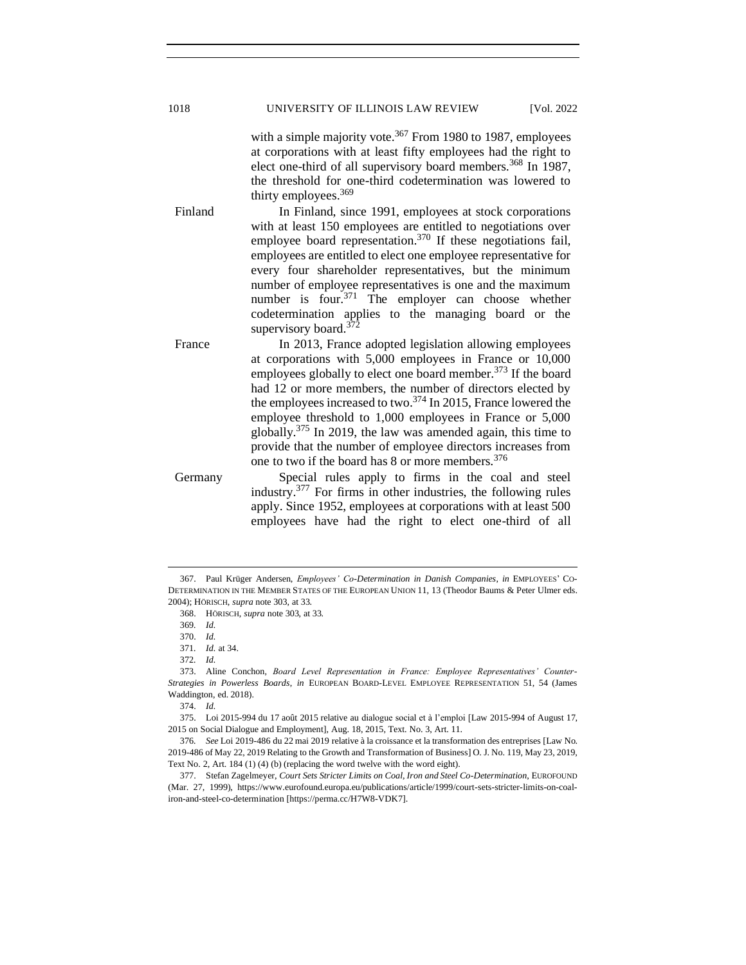with a simple majority vote.<sup>367</sup> From 1980 to 1987, employees at corporations with at least fifty employees had the right to elect one-third of all supervisory board members.<sup>368</sup> In 1987, the threshold for one-third codetermination was lowered to thirty employees.<sup>369</sup>

Finland In Finland, since 1991, employees at stock corporations with at least 150 employees are entitled to negotiations over employee board representation.<sup>370</sup> If these negotiations fail, employees are entitled to elect one employee representative for every four shareholder representatives, but the minimum number of employee representatives is one and the maximum number is four. $371$  The employer can choose whether codetermination applies to the managing board or the supervisory board.<sup>372</sup>

France In 2013, France adopted legislation allowing employees at corporations with 5,000 employees in France or 10,000 employees globally to elect one board member.  $373$  If the board had 12 or more members, the number of directors elected by the employees increased to two. $^{374}$  In 2015, France lowered the employee threshold to 1,000 employees in France or 5,000 globally.<sup>375</sup> In 2019, the law was amended again, this time to provide that the number of employee directors increases from one to two if the board has 8 or more members.  $376$ 

Germany Special rules apply to firms in the coal and steel industry.<sup>377</sup> For firms in other industries, the following rules apply. Since 1952, employees at corporations with at least 500 employees have had the right to elect one-third of all

<sup>367.</sup> Paul Krüger Andersen, *Employees' Co-Determination in Danish Companies*, *in* EMPLOYEES' CO-DETERMINATION IN THE MEMBER STATES OF THE EUROPEAN UNION 11, 13 (Theodor Baums & Peter Ulmer eds. 2004); HÖRISCH, *supra* note 303, at 33.

<sup>368.</sup> HÖRISCH, *supra* note 303, at 33.

<sup>369</sup>*. Id.*

<sup>370.</sup> *Id.*

<sup>371</sup>*. Id.* at 34. 372*. Id.*

<sup>373.</sup> Aline Conchon, *Board Level Representation in France: Employee Representatives' Counter-Strategies in Powerless Boards*, *in* EUROPEAN BOARD-LEVEL EMPLOYEE REPRESENTATION 51, 54 (James Waddington, ed. 2018).

<sup>374.</sup> *Id.*

<sup>375.</sup> Loi 2015-994 du 17 août 2015 relative au dialogue social et à l'emploi [Law 2015-994 of August 17, 2015 on Social Dialogue and Employment], Aug. 18, 2015, Text. No. 3, Art. 11.

<sup>376</sup>*. See* Loi 2019-486 du 22 mai 2019 relative à la croissance et la transformation des entreprises [Law No. 2019-486 of May 22, 2019 Relating to the Growth and Transformation of Business] O. J. No. 119, May 23, 2019, Text No. 2, Art. 184 (1) (4) (b) (replacing the word twelve with the word eight).

<sup>377.</sup> Stefan Zagelmeyer, *Court Sets Stricter Limits on Coal, Iron and Steel Co-Determination*, EUROFOUND (Mar. 27, 1999), https://www.eurofound.europa.eu/publications/article/1999/court-sets-stricter-limits-on-coaliron-and-steel-co-determination [https://perma.cc/H7W8-VDK7].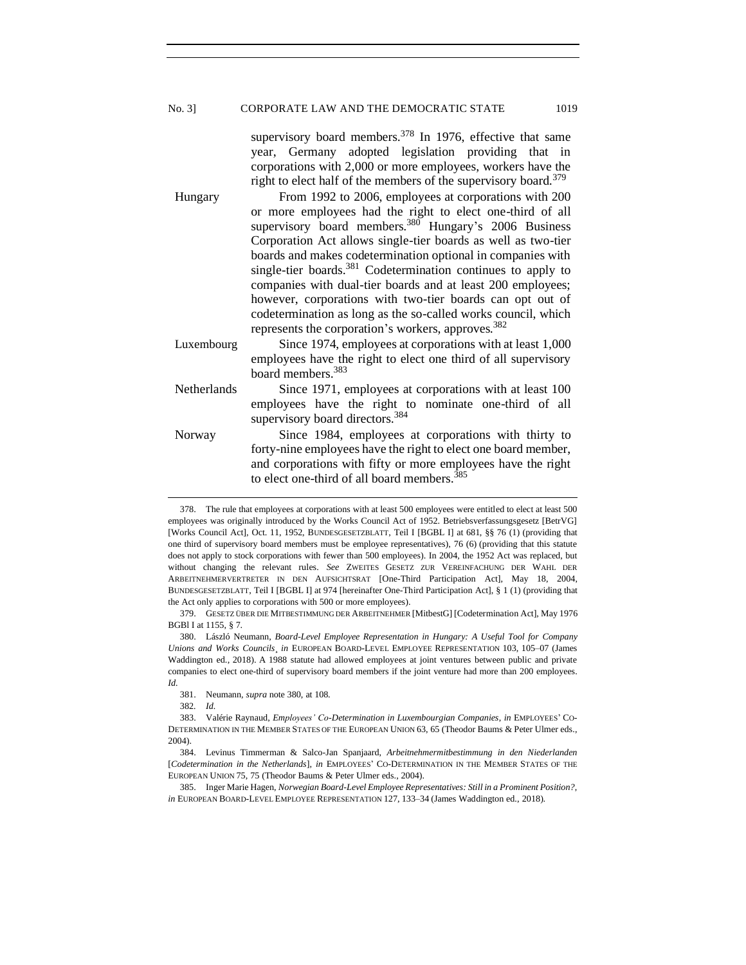### No. 3] CORPORATE LAW AND THE DEMOCRATIC STATE 1019

supervisory board members.<sup>378</sup> In 1976, effective that same year, Germany adopted legislation providing that in corporations with 2,000 or more employees, workers have the right to elect half of the members of the supervisory board.<sup>379</sup>

Hungary From 1992 to 2006, employees at corporations with 200 or more employees had the right to elect one-third of all supervisory board members. $380^\circ$  Hungary's 2006 Business Corporation Act allows single-tier boards as well as two-tier boards and makes codetermination optional in companies with single-tier boards.<sup>381</sup> Codetermination continues to apply to companies with dual-tier boards and at least 200 employees; however, corporations with two-tier boards can opt out of codetermination as long as the so-called works council, which represents the corporation's workers, approves.<sup>382</sup>

- Luxembourg Since 1974, employees at corporations with at least 1,000 employees have the right to elect one third of all supervisory board members.<sup>383</sup>
- Netherlands Since 1971, employees at corporations with at least 100 employees have the right to nominate one-third of all supervisory board directors.<sup>384</sup>
- Norway Since 1984, employees at corporations with thirty to forty-nine employees have the right to elect one board member, and corporations with fifty or more employees have the right to elect one-third of all board members.<sup>385</sup>

<sup>378.</sup> The rule that employees at corporations with at least 500 employees were entitled to elect at least 500 employees was originally introduced by the Works Council Act of 1952. Betriebsverfassungsgesetz [BetrVG] [Works Council Act], Oct. 11, 1952, BUNDESGESETZBLATT, Teil I [BGBL I] at 681, §§ 76 (1) (providing that one third of supervisory board members must be employee representatives), 76 (6) (providing that this statute does not apply to stock corporations with fewer than 500 employees). In 2004, the 1952 Act was replaced, but without changing the relevant rules. *See* ZWEITES GESETZ ZUR VEREINFACHUNG DER WAHL DER ARBEITNEHMERVERTRETER IN DEN AUFSICHTSRAT [One-Third Participation Act], May 18, 2004, BUNDESGESETZBLATT, Teil I [BGBL I] at 974 [hereinafter One-Third Participation Act], § 1 (1) (providing that the Act only applies to corporations with 500 or more employees).

<sup>379.</sup> GESETZ ÜBER DIE MITBESTIMMUNG DER ARBEITNEHMER [MitbestG] [Codetermination Act], May 1976 BGBl I at 1155, § 7.

<sup>380.</sup> László Neumann, *Board-Level Employee Representation in Hungary: A Useful Tool for Company Unions and Works Councils*¸ *in* EUROPEAN BOARD-LEVEL EMPLOYEE REPRESENTATION 103, 105–07 (James Waddington ed., 2018). A 1988 statute had allowed employees at joint ventures between public and private companies to elect one-third of supervisory board members if the joint venture had more than 200 employees. *Id.*

<sup>381.</sup> Neumann*, supra* note 380, at 108.

<sup>382</sup>*. Id.*

<sup>383.</sup> Valérie Raynaud, *Employees' Co-Determination in Luxembourgian Companies*, *in* EMPLOYEES' CO-DETERMINATION IN THE MEMBER STATES OF THE EUROPEAN UNION 63, 65 (Theodor Baums & Peter Ulmer eds., 2004).

<sup>384.</sup> Levinus Timmerman & Salco-Jan Spanjaard, *Arbeitnehmermitbestimmung in den Niederlanden*  [*Codetermination in the Netherlands*], *in* EMPLOYEES' CO-DETERMINATION IN THE MEMBER STATES OF THE EUROPEAN UNION 75, 75 (Theodor Baums & Peter Ulmer eds., 2004).

<sup>385.</sup> Inger Marie Hagen, *Norwegian Board-Level Employee Representatives: Still in a Prominent Position?*, *in* EUROPEAN BOARD-LEVEL EMPLOYEE REPRESENTATION 127, 133–34 (James Waddington ed., 2018).